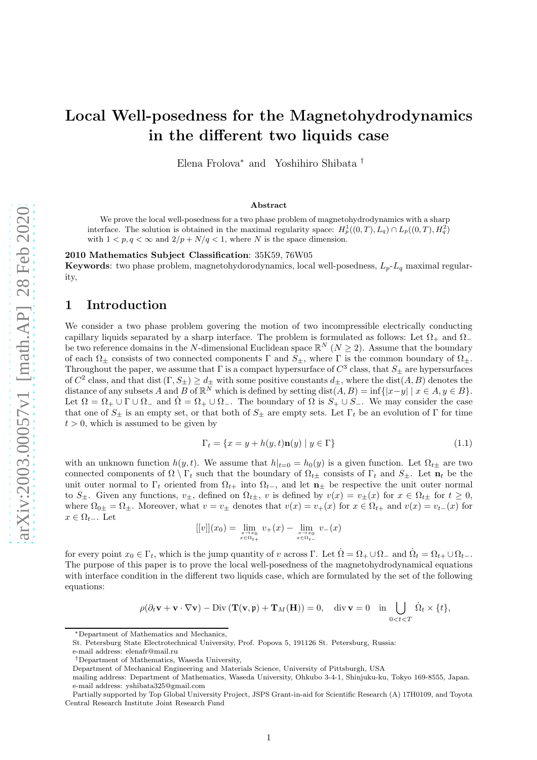# Local Well-posedness for the Magnetohydrodynamics in the different two liquids case

Elena Frolova<sup>∗</sup> and Yoshihiro Shibata †

#### Abstract

We prove the local well-posedness for a two phase problem of magnetohydrodynamics with a sharp interface. The solution is obtained in the maximal regularity space:  $H_p^1((0,T), L_q) \cap L_p((0,T), H_q^2)$ with  $1 < p, q < \infty$  and  $2/p + N/q < 1$ , where N is the space dimension.

2010 Mathematics Subject Classification: 35K59, 76W05

**Keywords:** two phase problem, magnetohydorodynamics, local well-posedness,  $L_p-L_q$  maximal regularity,

## 1 Introduction

We consider a two phase problem govering the motion of two incompressible electrically conducting capillary liquids separated by a sharp interface. The problem is formulated as follows: Let  $\Omega_+$  and  $\Omega_$ be two reference domains in the N-dimensional Euclidean space  $\mathbb{R}^N$  ( $N \geq 2$ ). Assume that the boundary of each  $\Omega_{\pm}$  consists of two connected components  $\Gamma$  and  $S_{\pm}$ , where  $\Gamma$  is the common boundary of  $\Omega_{\pm}$ . Throughout the paper, we assume that  $\Gamma$  is a compact hypersurface of  $C^3$  class, that  $S_{\pm}$  are hypersurfaces of  $C^2$  class, and that dist  $(\Gamma, S_{\pm}) \geq d_{\pm}$  with some positive constants  $d_{\pm}$ , where the dist $(A, B)$  denotes the distance of any subsets A and B of  $\mathbb{R}^N$  which is defined by setting dist $(A, B) = \inf\{|x - y| \mid x \in A, y \in B\}.$ Let  $\Omega = \Omega_+ \cup \Gamma \cup \Omega_-$  and  $\dot{\Omega} = \Omega_+ \cup \Omega_-$ . The boundary of  $\Omega$  is  $S_+ \cup S_-$ . We may consider the case that one of  $S_{\pm}$  is an empty set, or that both of  $S_{\pm}$  are empty sets. Let  $\Gamma_t$  be an evolution of  $\Gamma$  for time  $t > 0$ , which is assumed to be given by

<span id="page-0-0"></span>
$$
\Gamma_t = \{x = y + h(y, t)\mathbf{n}(y) \mid y \in \Gamma\}
$$
\n(1.1)

with an unknown function  $h(y, t)$ . We assume that  $h|_{t=0} = h_0(y)$  is a given function. Let  $\Omega_{t\pm}$  are two connected components of  $\Omega \setminus \Gamma_t$  such that the boundary of  $\Omega_{t\pm}$  consists of  $\Gamma_t$  and  $S_{\pm}$ . Let  $\mathbf{n}_t$  be the unit outer normal to  $\Gamma_t$  oriented from  $\Omega_{t+}$  into  $\Omega_{t-}$ , and let  $\mathbf{n}_\pm$  be respective the unit outer normal to  $S_{\pm}$ . Given any functions,  $v_{\pm}$ , defined on  $\Omega_{t\pm}$ , v is defined by  $v(x) = v_{\pm}(x)$  for  $x \in \Omega_{t\pm}$  for  $t \geq 0$ , where  $\Omega_{0\pm} = \Omega_{\pm}$ . Moreover, what  $v = v_{\pm}$  denotes that  $v(x) = v_{+}(x)$  for  $x \in \Omega_{t+}$  and  $v(x) = v_{t-}(x)$  for  $x \in \Omega_{t-}$ . Let

$$
[[v]](x_0) = \lim_{\substack{x \to x_0 \\ x \in \Omega_{t+}}} v_+(x) - \lim_{\substack{x \to x_0 \\ x \in \Omega_{t-}}} v_-(x)
$$

for every point  $x_0 \in \Gamma_t$ , which is the jump quantity of v across  $\Gamma$ . Let  $\Omega = \Omega_+ \cup \Omega_-$  and  $\Omega_t = \Omega_{t+} \cup \Omega_{t-}$ . The purpose of this paper is to prove the local well-posedness of the magnetohydrodynamical equations with interface condition in the different two liquids case, which are formulated by the set of the following equations:

$$
\rho(\partial_t \mathbf{v} + \mathbf{v} \cdot \nabla \mathbf{v}) - \text{Div}\left(\mathbf{T}(\mathbf{v}, \mathbf{\mathfrak{p}}) + \mathbf{T}_M(\mathbf{H})\right) = 0, \quad \text{div}\,\mathbf{v} = 0 \quad \text{in} \bigcup_{0 < t < T} \dot{\Omega}_t \times \{t\},
$$

<sup>∗</sup>Department of Mathematics and Mechanics,

St. Petersburg State Electrotechnical University, Prof. Popova 5, 191126 St. Petersburg, Russia:

e-mail address: elenafr@mail.ru

<sup>†</sup>Department of Mathematics, Waseda University,

Department of Mechanical Engineering and Materials Science, University of Pittsburgh, USA

mailing address: Department of Mathematics, Waseda University, Ohkubo 3-4-1, Shinjuku-ku, Tokyo 169-8555, Japan. e-mail address: yshibata325@gmail.com

Partially supported by Top Global University Project, JSPS Grant-in-aid for Scientific Research (A) 17H0109, and Toyota Central Research Institute Joint Research Fund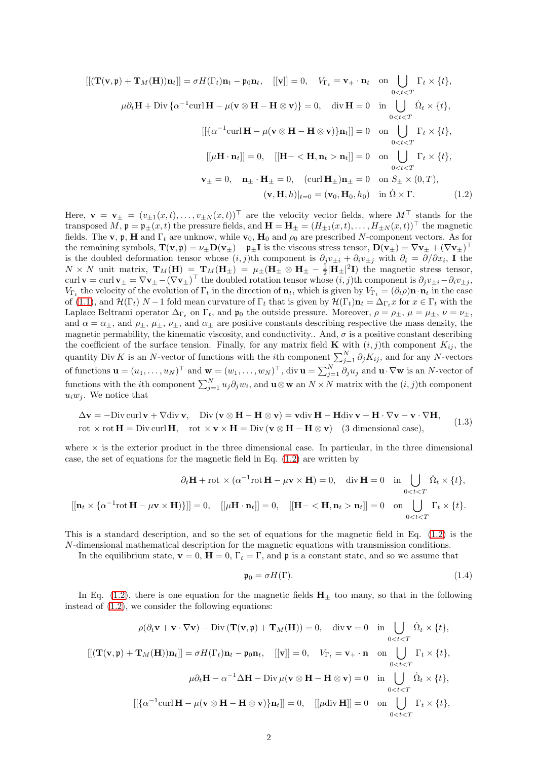<span id="page-1-0"></span>
$$
\begin{aligned}\n\left[\left[\left(\mathbf{T}(\mathbf{v}, \mathbf{\mathfrak{p}}) + \mathbf{T}_M(\mathbf{H})\right)\mathbf{n}_t\right]\right] &= \sigma H(\Gamma_t)\mathbf{n}_t - \mathfrak{p}_0\mathbf{n}_t, \quad \left[\left[\mathbf{v}\right]\right] = 0, \quad V_{\Gamma_t} = \mathbf{v}_+ \cdot \mathbf{n}_t \quad \text{on} \quad \bigcup_{0 < t < T} \Gamma_t \times \{t\}, \\
\mu \partial_t \mathbf{H} + \text{Div}\left\{\alpha^{-1}\text{curl}\,\mathbf{H} - \mu(\mathbf{v} \otimes \mathbf{H} - \mathbf{H} \otimes \mathbf{v})\right\} &= 0, \quad \text{div}\,\mathbf{H} = 0 \quad \text{in} \quad \bigcup_{0 < t < T} \Omega_t \times \{t\}, \\
\left[\left[\left\{\alpha^{-1}\text{curl}\,\mathbf{H} - \mu(\mathbf{v} \otimes \mathbf{H} - \mathbf{H} \otimes \mathbf{v})\right\}\mathbf{n}_t\right]\right] &= 0 \quad \text{on} \quad \bigcup_{0 < t < T} \Gamma_t \times \{t\}, \\
\left[\left[\mu \mathbf{H} \cdot \mathbf{n}_t\right]\right] &= 0, \quad \left[\left[\mathbf{H} - \langle \mathbf{H}, \mathbf{n}_t > \mathbf{n}_t\right]\right] = 0 \quad \text{on} \quad \bigcup_{0 < t < T} \Gamma_t \times \{t\}, \\
\mathbf{v}_\pm = 0, \quad \mathbf{n}_\pm \cdot \mathbf{H}_\pm = 0, \quad \left(\text{curl}\,\mathbf{H}_\pm\right)\mathbf{n}_\pm = 0 \quad \text{on} \quad S_\pm \times (0, T), \\
\left(\mathbf{v}, \mathbf{H}, h\right)|_{t=0} &= \left(\mathbf{v}_0, \mathbf{H}_0, h_0\right) \quad \text{in} \quad \Omega \times \Gamma. \tag{1.2}\n\end{aligned}
$$

Here,  $\mathbf{v} = \mathbf{v}_{\pm} = (v_{\pm 1}(x, t), \dots, v_{\pm N}(x, t))^{\top}$  are the velocity vector fields, where  $M^{\top}$  stands for the transposed M,  $\mathfrak{p} = \mathfrak{p}_{\pm}(x,t)$  the pressure fields, and  $\mathbf{H} = \mathbf{H}_{\pm} = (H_{\pm 1}(x,t), \ldots, H_{\pm N}(x,t))^{\top}$  the magnetic fields. The v, p, H and  $\Gamma_t$  are unknow, while v<sub>0</sub>, H<sub>0</sub> and  $\rho_0$  are prescribed N-component vectors. As for the remaining symbols,  $\mathbf{T}(\mathbf{v}, \mathbf{\mathfrak{p}}) = \nu_{\pm} \mathbf{D}(\mathbf{v}_{\pm}) - \mathbf{\mathfrak{p}}_{\pm} \mathbf{I}$  is the viscous stress tensor,  $\mathbf{D}(\mathbf{v}_{\pm}) = \nabla \mathbf{v}_{\pm} + (\nabla \mathbf{v}_{\pm})^{\top}$ is the doubled deformation tensor whose  $(i, j)$ th component is  $\partial_j v_{\pm i} + \partial_i v_{\pm j}$  with  $\partial_i = \partial/\partial x_i$ , I the  $N \times N$  unit matrix,  $\mathbf{T}_M(\mathbf{H}) = \mathbf{T}_M(\mathbf{H}_{\pm}) = \mu_{\pm}(\mathbf{H}_{\pm} \otimes \mathbf{H}_{\pm} - \frac{1}{2}|\mathbf{H}_{\pm}|^2\mathbf{I})$  the magnetic stress tensor, curl  $\mathbf{v} = \text{curl } \mathbf{v}_{\pm} = \nabla \mathbf{v}_{\pm} - (\nabla \mathbf{v}_{\pm})^\top$  the doubled rotation tensor whose  $(i, j)$ th component is  $\partial_j v_{\pm i} - \partial_i v_{\pm j}$ ,  $V_{\Gamma_t}$  the velocity of the evolution of  $\Gamma_t$  in the direction of  $\mathbf{n}_t$ , which is given by  $V_{\Gamma_t} = (\partial_t \rho) \mathbf{n} \cdot \mathbf{n}_t$  in the case of [\(1.1\)](#page-0-0), and  $\mathcal{H}(\Gamma_t)$  N – 1 fold mean curvature of  $\Gamma_t$  that is given by  $\mathcal{H}(\Gamma_t)\mathbf{n}_t = \Delta_{\Gamma_t} x$  for  $x \in \Gamma_t$  with the Laplace Beltrami operator  $\Delta_{\Gamma_t}$  on  $\Gamma_t$ , and  $\mathfrak{p}_0$  the outside pressure. Moreover,  $\rho = \rho_{\pm}$ ,  $\mu = \mu_{\pm}$ ,  $\nu = \nu_{\pm}$ , and  $\alpha = \alpha_+$ , and  $\rho_+$ ,  $\mu_+$ ,  $\nu_+$ , and  $\alpha_+$  are positive constants describing respective the mass density, the magnetic permability, the kinematic viscosity, and conductivity.. And,  $\sigma$  is a positive constant describing the coefficient of the surface tension. Finally, for any matrix field **K** with  $(i, j)$ th component  $K_{ij}$ , the quantity Div K is an N-vector of functions with the *i*th component  $\sum_{j=1}^{N} \partial_j K_{ij}$ , and for any N-vectors of functions  $\mathbf{u} = (u_1, \dots, u_N)^\top$  and  $\mathbf{w} = (w_1, \dots, w_N)^\top$ , div  $\mathbf{u} = \sum_{j=1}^N \partial_j u_j$  and  $\mathbf{u} \cdot \nabla \mathbf{w}$  is an N-vector of functions with the *i*<sup>th</sup> component  $\sum_{j=1}^{N} u_j \partial_j w_i$ , and  $\mathbf{u} \otimes \mathbf{w}$  an  $N \times N$  matrix with the  $(i, j)$ <sup>th</sup> component  $u_iw_i$ . We notice that

$$
\Delta \mathbf{v} = -\text{Div curl}\,\mathbf{v} + \nabla \text{div}\,\mathbf{v}, \quad \text{Div}\,(\mathbf{v} \otimes \mathbf{H} - \mathbf{H} \otimes \mathbf{v}) = \mathbf{v} \text{div}\,\mathbf{H} - \mathbf{H} \text{div}\,\mathbf{v} + \mathbf{H} \cdot \nabla \mathbf{v} - \mathbf{v} \cdot \nabla \mathbf{H},
$$
  
rot  $\times \text{rot }\mathbf{H} = \text{Div curl}\,\mathbf{H}, \quad \text{rot } \times \mathbf{v} \times \mathbf{H} = \text{Div}\,(\mathbf{v} \otimes \mathbf{H} - \mathbf{H} \otimes \mathbf{v})$  (3 dimensional case), (1.3)

where  $\times$  is the exterior product in the three dimensional case. In particular, in the three dimensional case, the set of equations for the magnetic field in Eq. [\(1.2\)](#page-1-0) are written by

$$
\partial_t \mathbf{H} + \text{rot} \times (\alpha^{-1} \text{rot } \mathbf{H} - \mu \mathbf{v} \times \mathbf{H}) = 0, \quad \text{div } \mathbf{H} = 0 \quad \text{in } \bigcup_{0 < t < T} \dot{\Omega}_t \times \{t\},
$$
\n
$$
[[\mathbf{n}_t \times \{\alpha^{-1} \text{rot } \mathbf{H} - \mu \mathbf{v} \times \mathbf{H})\}]] = 0, \quad [[\mu \mathbf{H} \cdot \mathbf{n}_t]] = 0, \quad [[\mathbf{H} - \langle \mathbf{H}, \mathbf{n}_t > \mathbf{n}_t]] = 0 \quad \text{on } \bigcup_{0 < t < T} \Gamma_t \times \{t\}.
$$

This is a standard description, and so the set of equations for the magnetic field in Eq. [\(1.2\)](#page-1-0) is the N-dimensional mathematical description for the magnetic equations with transmission conditions.

In the equilibrium state,  $\mathbf{v} = 0$ ,  $\mathbf{H} = 0$ ,  $\Gamma_t = \Gamma$ , and  $\mathbf{\mathfrak{p}}$  is a constant state, and so we assume that

<span id="page-1-1"></span>
$$
\mathfrak{p}_0 = \sigma H(\Gamma). \tag{1.4}
$$

In Eq. [\(1.2\)](#page-1-0), there is one equation for the magnetic fields  $H_{\pm}$  too many, so that in the following instead of [\(1.2\)](#page-1-0), we consider the following equations:

$$
\rho(\partial_t \mathbf{v} + \mathbf{v} \cdot \nabla \mathbf{v}) - \text{Div} (\mathbf{T}(\mathbf{v}, \mathbf{\mathfrak{p}}) + \mathbf{T}_M(\mathbf{H})) = 0, \quad \text{div } \mathbf{v} = 0 \quad \text{in } \bigcup_{0 < t < T} \dot{\Omega}_t \times \{t\},
$$
\n
$$
[[(\mathbf{T}(\mathbf{v}, \mathbf{\mathfrak{p}}) + \mathbf{T}_M(\mathbf{H}))\mathbf{n}_t]] = \sigma H(\Gamma_t)\mathbf{n}_t - \mathbf{p}_0 \mathbf{n}_t, \quad [[\mathbf{v}]] = 0, \quad V_{\Gamma_t} = \mathbf{v}_+ \cdot \mathbf{n} \quad \text{on } \bigcup_{0 < t < T} \Gamma_t \times \{t\},
$$
\n
$$
\mu \partial_t \mathbf{H} - \alpha^{-1} \Delta \mathbf{H} - \text{Div } \mu(\mathbf{v} \otimes \mathbf{H} - \mathbf{H} \otimes \mathbf{v}) = 0 \quad \text{in } \bigcup_{0 < t < T} \dot{\Omega}_t \times \{t\},
$$
\n
$$
[[\{\alpha^{-1}\text{curl}\,\mathbf{H} - \mu(\mathbf{v} \otimes \mathbf{H} - \mathbf{H} \otimes \mathbf{v})\}\mathbf{n}_t]] = 0, \quad [[\mu \text{div }\mathbf{H}]] = 0 \quad \text{on } \bigcup_{0 < t < T} \Gamma_t \times \{t\},
$$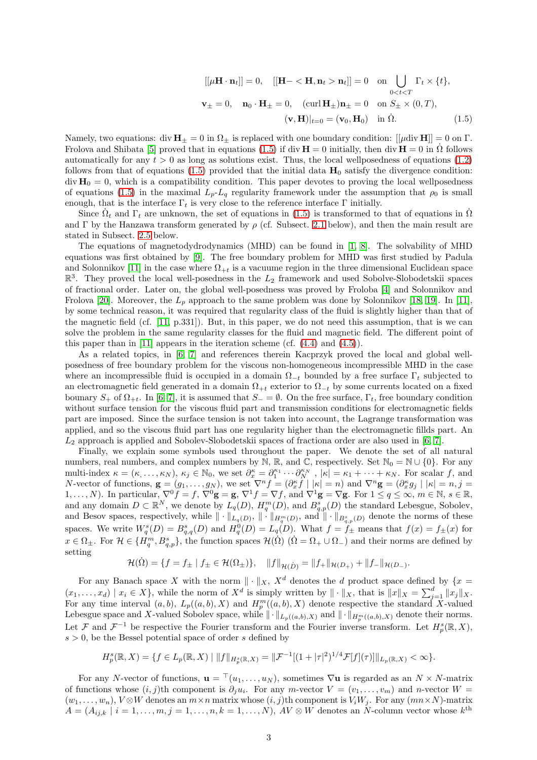<span id="page-2-0"></span>
$$
[[\mu \mathbf{H} \cdot \mathbf{n}_t]] = 0, \quad [[\mathbf{H} - \langle \mathbf{H}, \mathbf{n}_t > \mathbf{n}_t]] = 0 \quad \text{on} \quad \bigcup_{0 < t < T} \Gamma_t \times \{t\},
$$
\n
$$
\mathbf{v}_{\pm} = 0, \quad \mathbf{n}_0 \cdot \mathbf{H}_{\pm} = 0, \quad (\text{curl } \mathbf{H}_{\pm}) \mathbf{n}_{\pm} = 0 \quad \text{on} \quad S_{\pm} \times (0, T),
$$
\n
$$
(\mathbf{v}, \mathbf{H})|_{t=0} = (\mathbf{v}_0, \mathbf{H}_0) \quad \text{in} \quad \dot{\Omega}. \tag{1.5}
$$

Namely, two equations: div  $H_{+} = 0$  in  $\Omega_{+}$  is replaced with one boundary condition:  $[|\mu \text{div } H|] = 0$  on  $\Gamma$ . Frolova and Shibata [\[5\]](#page-35-0) proved that in equations [\(1.5\)](#page-2-0) if div  $\mathbf{H} = 0$  initially, then div  $\mathbf{H} = 0$  in  $\Omega$  follows automatically for any  $t > 0$  as long as solutions exist. Thus, the local wellposedness of equations [\(1.2\)](#page-1-0) follows from that of equations [\(1.5\)](#page-2-0) provided that the initial data  $H_0$  satisfy the divergence condition:  $div H_0 = 0$ , which is a compatibility condition. This paper devotes to proving the local wellposedness of equations [\(1.5\)](#page-2-0) in the maximal  $L_p-L_q$  regularity framework under the assumption that  $\rho_0$  is small enough, that is the interface  $\Gamma_t$  is very close to the reference interface  $\Gamma$  initially.

Since  $\dot{\Omega}_t$  and  $\Gamma_t$  are unknown, the set of equations in [\(1.5\)](#page-2-0) is transformed to that of equations in  $\dot{\Omega}$ and Γ by the Hanzawa transform generated by  $\rho$  (cf. Subsect. [2.1](#page-3-0) below), and then the main result are stated in Subsect. [2.5](#page-13-0) below.

The equations of magnetodydrodynamics (MHD) can be found in [\[1,](#page-35-1) [8\]](#page-35-2). The solvability of MHD equations was first obtained by [\[9\]](#page-35-3). The free boundary problem for MHD was first studied by Padula and Solonnikov [\[11\]](#page-35-4) in the case where  $\Omega_{+t}$  is a vacuume region in the three dimensional Euclidean space  $\mathbb{R}^3$ . They proved the local well-posedness in the  $L_2$  framework and used Sobolve-Slobodetskii spaces of fractional order. Later on, the global well-posedness was proved by Froloba [\[4\]](#page-35-5) and Solonnikov and Frolova [\[20\]](#page-36-0). Moreover, the  $L_p$  approach to the same problem was done by Solonnikov [\[18,](#page-36-1) [19\]](#page-36-2). In [\[11\]](#page-35-4), by some technical reason, it was required that regularity class of the fluid is slightly higher than that of the magnetic field (cf. [\[11,](#page-35-4) p.331]). But, in this paper, we do not need this assumption, that is we can solve the problem in the same regularity classes for the fluid and magnetic field. The different point of this paper than in [\[11\]](#page-35-4) appears in the iteration scheme (cf.  $(4.4)$ ) and  $(4.5)$ ).

As a related topics, in [\[6,](#page-35-6) [7\]](#page-35-7) and references therein Kacprzyk proved the local and global wellposedness of free boundary problem for the viscous non-homogeneous incompressible MHD in the case where an incompressible fluid is occupied in a domain  $\Omega_{-t}$  bounded by a free surface  $\Gamma_t$  subjected to an electromagnetic field generated in a domain  $\Omega_{+t}$  exterior to  $\Omega_{-t}$  by some currents located on a fixed bounary  $S_+$  of  $\Omega_{+t}$ . In [\[6,](#page-35-6) [7\]](#page-35-7), it is assumed that  $S_-=\emptyset$ . On the free surface,  $\Gamma_t$ , free boundary condition without surface tension for the viscous fluid part and transmission conditions for electromagnetic fields part are imposed. Since the surface tension is not taken into account, the Lagrange transformation was applied, and so the viscous fluid part has one regularity higher than the electromagnetic fillds part. An  $L_2$  approach is applied and Sobolev-Slobodetskii spaces of fractiona order are also used in [\[6,](#page-35-6) [7\]](#page-35-7).

Finally, we explain some symbols used throughout the paper. We denote the set of all natural numbers, real numbers, and complex numbers by N, R, and C, respectively. Set  $\mathbb{N}_0 = \mathbb{N} \cup \{0\}$ . For any multi-index  $\kappa = (\kappa, ..., \kappa_N)$ ,  $\kappa_j \in \mathbb{N}_0$ , we set  $\partial_x^{\kappa} = \partial_1^{\kappa_1} \cdots \partial_N^{\kappa_N}$ ,  $|\kappa| = \kappa_1 + \cdots + \kappa_N$ . For scalar f, and N-vector of functions,  $\mathbf{g} = (g_1, \ldots, g_N)$ , we set  $\nabla^n f = (\partial_x^{\kappa} f \mid |\kappa| = n)$  and  $\nabla^n \mathbf{g} = (\partial_x^{\kappa} g_j \mid |\kappa| = n, j = n$ 1, ..., N). In particular,  $\nabla^0 f = f$ ,  $\nabla^0 \mathbf{g} = \mathbf{g}$ ,  $\nabla^1 f = \nabla f$ , and  $\nabla^1 \mathbf{g} = \nabla \mathbf{g}$ . For  $1 \le q \le \infty$ ,  $m \in \mathbb{N}$ ,  $s \in \mathbb{R}$ , and any domain  $D \subset \mathbb{R}^N$ , we denote by  $L_q(D)$ ,  $H_q^m(D)$ , and  $B_{q,p}^s(D)$  the standard Lebesgue, Sobolev, and Besov spaces, respectively, while  $\|\cdot\|_{L_q(D)},\|\cdot\|_{H_q^m(D)}$ , and  $\|\cdot\|_{B_{q,p}^s(D)}$  denote the norms of these spaces. We write  $W_q^s(D) = B_{q,q}^s(D)$  and  $H_q^0(D) = L_q(D)$ . What  $f = f_{\pm}$  means that  $f(x) = f_{\pm}(x)$  for  $x \in \Omega_{\pm}$ . For  $\mathcal{H} \in \{H_q^m, B_{q,p}^s\}$ , the function spaces  $\mathcal{H}(\dot{\Omega})$   $(\dot{\Omega} = \Omega_{+} \cup \Omega_{-})$  and their norms are defined by setting

$$
\mathcal{H}(\dot{\Omega}) = \{ f = f_{\pm} \mid f_{\pm} \in \mathcal{H}(\Omega_{\pm}) \}, \quad ||f||_{\mathcal{H}(\dot{D})} = ||f_{+}||_{\mathcal{H}(D_{+})} + ||f_{-}||_{\mathcal{H}(D_{-})}.
$$

For any Banach space X with the norm  $\|\cdot\|_X$ ,  $X^d$  denotes the d product space defined by  $\{x =$  $(x_1, \ldots, x_d) \mid x_i \in X$ , while the norm of  $X^d$  is simply written by  $\|\cdot\|_X$ , that is  $\|x\|_X = \sum_{j=1}^d \|x_j\|_X$ . For any time interval  $(a, b)$ ,  $L_p((a, b), X)$  and  $H_p^m((a, b), X)$  denote respective the standard X-valued Lebesgue space and X-valued Sobolev space, while  $\|\cdot\|_{L_p((a,b),X)}$  and  $\|\cdot\|_{H_p^m((a,b),X)}$  denote their norms. Let F and  $\mathcal{F}^{-1}$  be respective the Fourier transform and the Fourier inverse transform. Let  $H_p^s(\mathbb{R}, X)$ ,  $s > 0$ , be the Bessel potential space of order s defined by

$$
H_p^s(\mathbb{R}, X) = \{ f \in L_p(\mathbb{R}, X) \mid ||f||_{H_p^s(\mathbb{R}, X)} = ||\mathcal{F}^{-1}[(1+|\tau|^2)^{1/4}\mathcal{F}[f](\tau)]||_{L_p(\mathbb{R}, X)} < \infty \}.
$$

For any N-vector of functions,  $\mathbf{u} = {}^{\top}(u_1, \ldots, u_N)$ , sometimes  $\nabla \mathbf{u}$  is regarded as an  $N \times N$ -matrix of functions whose  $(i, j)$ th component is  $\partial_j u_i$ . For any m-vector  $V = (v_1, \ldots, v_m)$  and n-vector  $W =$  $(w_1, \ldots, w_n)$ ,  $V \otimes W$  denotes an  $m \times n$  matrix whose  $(i, j)$ th component is  $V_i W_j$ . For any  $(mn \times N)$ -matrix  $A = (A_{ij,k} \mid i = 1, \ldots, m, j = 1, \ldots, n, k = 1, \ldots, N)$ ,  $AV \otimes W$  denotes an N-column vector whose  $k^{\text{th}}$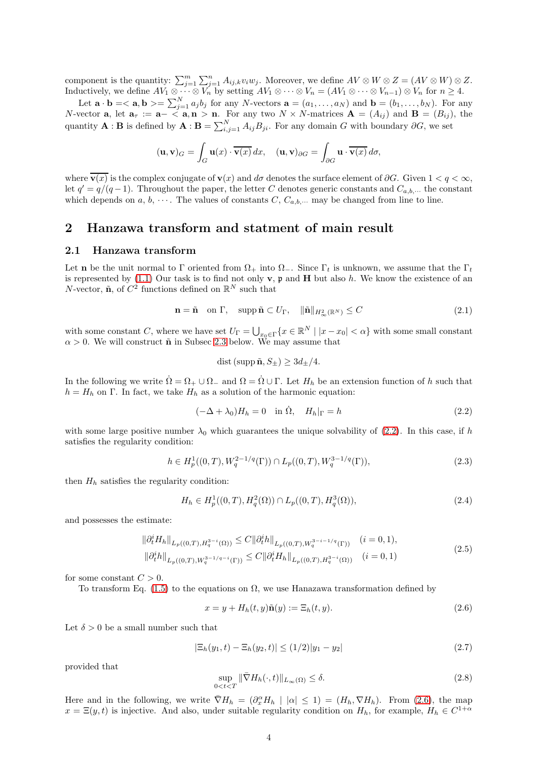component is the quantity:  $\sum_{j=1}^{m} \sum_{j=1}^{n} A_{ij,k} v_i w_j$ . Moreover, we define  $AV \otimes W \otimes Z = (AV \otimes W) \otimes Z$ . Inductively, we define  $AV_1 \otimes \cdots \otimes V_n$  by setting  $AV_1 \otimes \cdots \otimes V_n = (AV_1 \otimes \cdots \otimes V_{n-1}) \otimes V_n$  for  $n \geq 4$ .

Let  $\mathbf{a} \cdot \mathbf{b} = \langle \mathbf{a}, \mathbf{b} \rangle = \sum_{j=1}^{N} a_j b_j$  for any N-vectors  $\mathbf{a} = (a_1, \dots, a_N)$  and  $\mathbf{b} = (b_1, \dots, b_N)$ . For any N-vector **a**, let  $\mathbf{a}_{\tau} := \mathbf{a} - \langle \mathbf{a}, \mathbf{n} \rangle \mathbf{n}$ . For any two  $N \times N$ -matrices  $\mathbf{A} = (A_{ij})$  and  $\mathbf{B} = (B_{ij})$ , the quantity **A** : **B** is defined by  $\mathbf{A} \cdot \mathbf{B} = \sum_{i,j=1}^{N} A_{ij} B_{ji}$ . For any domain G with boundary  $\partial G$ , we set

$$
(\mathbf{u}, \mathbf{v})_G = \int_G \mathbf{u}(x) \cdot \overline{\mathbf{v}(x)} dx, \quad (\mathbf{u}, \mathbf{v})_{\partial G} = \int_{\partial G} \mathbf{u} \cdot \overline{\mathbf{v}(x)} d\sigma,
$$

where  $\overline{\mathbf{v}(x)}$  is the complex conjugate of  $\mathbf{v}(x)$  and  $d\sigma$  denotes the surface element of  $\partial G$ . Given  $1 < q < \infty$ , let  $q' = q/(q-1)$ . Throughout the paper, the letter C denotes generic constants and  $C_{a,b,\cdots}$  the constant which depends on a, b,  $\cdots$ . The values of constants C,  $C_{a,b,\cdots}$  may be changed from line to line.

### <span id="page-3-0"></span>2 Hanzawa transform and statment of main result

#### 2.1 Hanzawa transform

Let **n** be the unit normal to Γ oriented from  $\Omega_+$  into  $\Omega_-$ . Since Γ<sub>t</sub> is unknown, we assume that the Γ<sub>t</sub> is represented by  $(1.1)$  Our task is to find not only  $\bf{v}$ ,  $\bf{p}$  and  $\bf{H}$  but also h. We know the existence of an N-vector,  $\tilde{\mathbf{n}}$ , of  $C^2$  functions defined on  $\mathbb{R}^N$  such that

$$
\mathbf{n} = \tilde{\mathbf{n}} \quad \text{on } \Gamma, \quad \text{supp } \tilde{\mathbf{n}} \subset U_{\Gamma}, \quad \|\tilde{\mathbf{n}}\|_{H^2_{\infty}(\mathbb{R}^N)} \le C \tag{2.1}
$$

<span id="page-3-4"></span>with some constant C, where we have set  $U_{\Gamma} = \bigcup_{x_0 \in \Gamma} \{x \in \mathbb{R}^N \mid |x - x_0| < \alpha\}$  with some small constant  $\alpha > 0$ . We will construct  $\tilde{\mathbf{n}}$  in Subsec [2.3](#page-7-0) below. We may assume that

$$
dist \,(\text{supp}\,\tilde{\mathbf{n}}, S_{\pm}) \geq 3d_{\pm}/4.
$$

In the following we write  $\Omega = \Omega_+ \cup \Omega_-$  and  $\Omega = \Omega \cup \Gamma$ . Let  $H_h$  be an extension function of h such that  $h = H_h$  on Γ. In fact, we take  $H_h$  as a solution of the harmonic equation:

<span id="page-3-1"></span>
$$
(-\Delta + \lambda_0)H_h = 0 \quad \text{in } \dot{\Omega}, \quad H_h|_{\Gamma} = h \tag{2.2}
$$

with some large positive number  $\lambda_0$  which guarantees the unique solvability of [\(2.2\)](#page-3-1). In this case, if h satisfies the regularity condition:

<span id="page-3-5"></span>
$$
h \in H_p^1((0,T), W_q^{2-1/q}(\Gamma)) \cap L_p((0,T), W_q^{3-1/q}(\Gamma)),
$$
\n(2.3)

then  $H_h$  satisfies the regularity condition:

<span id="page-3-6"></span>
$$
H_h \in H_p^1((0,T), H_q^2(\Omega)) \cap L_p((0,T), H_q^3(\Omega)), \tag{2.4}
$$

and possesses the estimate:

<span id="page-3-7"></span>
$$
\begin{aligned} \|\partial_t^i H_h\|_{L_p((0,T),H_q^{3-i}(\Omega))} &\leq C \|\partial_t^i h\|_{L_p((0,T),W_q^{3-i-1/q}(\Gamma))} \quad (i=0,1),\\ \|\partial_t^i h\|_{L_p((0,T),W_q^{3-1/q-i}(\Gamma))} &\leq C \|\partial_t^i H_h\|_{L_p((0,T),H_q^{3-i}(\Omega))} \quad (i=0,1) \end{aligned} \tag{2.5}
$$

for some constant  $C > 0$ .

To transform Eq. [\(1.5\)](#page-2-0) to the equations on  $\Omega$ , we use Hanazawa transformation defined by

<span id="page-3-2"></span>
$$
x = y + H_h(t, y)\tilde{\mathbf{n}}(y) := \Xi_h(t, y). \tag{2.6}
$$

Let  $\delta > 0$  be a small number such that

$$
|\Xi_h(y_1, t) - \Xi_h(y_2, t)| \le (1/2)|y_1 - y_2| \tag{2.7}
$$

provided that

<span id="page-3-3"></span>
$$
\sup_{0
$$

Here and in the following, we write  $\nabla H_h = (\partial_x^{\alpha} H_h | |\alpha| \leq 1) = (H_h, \nabla H_h)$ . From [\(2.6\)](#page-3-2), the map  $x = \Xi(y, t)$  is injective. And also, under suitable regularity condition on  $H_h$ , for example,  $H_h \in C^{1+\alpha}$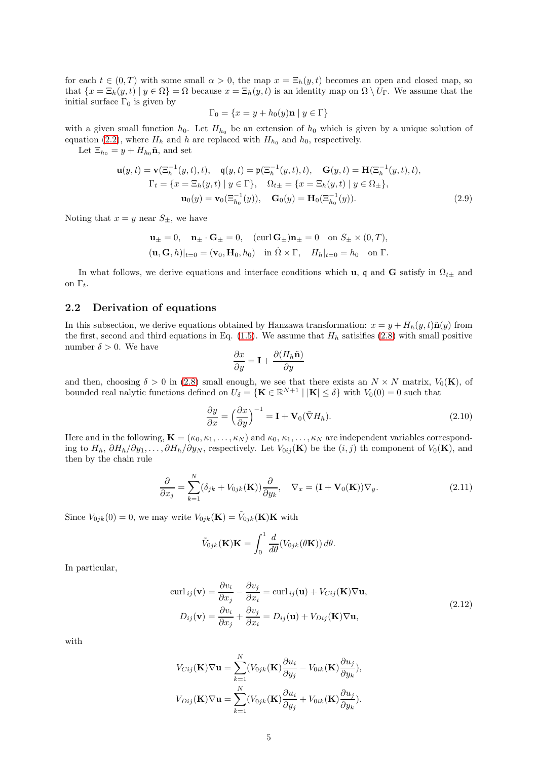for each  $t \in (0,T)$  with some small  $\alpha > 0$ , the map  $x = \Xi_h(y,t)$  becomes an open and closed map, so that  $\{x = \Xi_h(y, t) \mid y \in \Omega\} = \Omega$  because  $x = \Xi_h(y, t)$  is an identity map on  $\Omega \setminus U_\Gamma$ . We assume that the initial surface  $\Gamma_0$  is given by

$$
\Gamma_0 = \{ x = y + h_0(y)\mathbf{n} \mid y \in \Gamma \}
$$

with a given small function  $h_0$ . Let  $H_{h_0}$  be an extension of  $h_0$  which is given by a unique solution of equation [\(2.2\)](#page-3-1), where  $H_h$  and h are replaced with  $H_{h_0}$  and  $h_0$ , respectively.

Let  $\Xi_{h_0} = y + H_{h_0} \tilde{\mathbf{n}}$ , and set

$$
\mathbf{u}(y,t) = \mathbf{v}(\Xi_h^{-1}(y,t),t), \quad \mathbf{q}(y,t) = \mathbf{p}(\Xi_h^{-1}(y,t),t), \quad \mathbf{G}(y,t) = \mathbf{H}(\Xi_h^{-1}(y,t),t),
$$
  
\n
$$
\Gamma_t = \{x = \Xi_h(y,t) \mid y \in \Gamma\}, \quad \Omega_{t\pm} = \{x = \Xi_h(y,t) \mid y \in \Omega_{\pm}\},
$$
  
\n
$$
\mathbf{u}_0(y) = \mathbf{v}_0(\Xi_{h_0}^{-1}(y)), \quad \mathbf{G}_0(y) = \mathbf{H}_0(\Xi_{h_0}^{-1}(y)).
$$
\n(2.9)

Noting that  $x = y$  near  $S_{\pm}$ , we have

$$
\mathbf{u}_{\pm} = 0, \quad \mathbf{n}_{\pm} \cdot \mathbf{G}_{\pm} = 0, \quad (\text{curl } \mathbf{G}_{\pm})\mathbf{n}_{\pm} = 0 \quad \text{on } S_{\pm} \times (0, T),
$$

$$
(\mathbf{u}, \mathbf{G}, h)|_{t=0} = (\mathbf{v}_0, \mathbf{H}_0, h_0) \quad \text{in } \Omega \times \Gamma, \quad H_h|_{t=0} = h_0 \quad \text{on } \Gamma.
$$

In what follows, we derive equations and interface conditions which u, q and G satisfy in  $\Omega_{t\pm}$  and on  $\Gamma_t$ .

#### <span id="page-4-2"></span>2.2 Derivation of equations

In this subsection, we derive equations obtained by Hanzawa transformation:  $x = y + H_h(y, t)\tilde{\mathbf{n}}(y)$  from the first, second and third equations in Eq. [\(1.5\)](#page-2-0). We assume that  $H<sub>h</sub>$  satisifies [\(2.8\)](#page-3-3) with small positive number  $\delta > 0$ . We have

$$
\frac{\partial x}{\partial y} = \mathbf{I} + \frac{\partial (H_h \tilde{\mathbf{n}})}{\partial y}
$$

and then, choosing  $\delta > 0$  in [\(2.8\)](#page-3-3) small enough, we see that there exists an  $N \times N$  matrix,  $V_0(\mathbf{K})$ , of bounded real nalytic functions defined on  $U_{\delta} = \{ \mathbf{K} \in \mathbb{R}^{N+1} \mid |\mathbf{K}| \leq \delta \}$  with  $V_0(0) = 0$  such that

$$
\frac{\partial y}{\partial x} = \left(\frac{\partial x}{\partial y}\right)^{-1} = \mathbf{I} + \mathbf{V}_0(\bar{\nabla}H_h). \tag{2.10}
$$

Here and in the following,  $\mathbf{K} = (\kappa_0, \kappa_1, \dots, \kappa_N)$  and  $\kappa_0, \kappa_1, \dots, \kappa_N$  are independent variables corresponding to  $H_h$ ,  $\partial H_h/\partial y_1, \ldots, \partial H_h/\partial y_N$ , respectively. Let  $V_{0ij}(\mathbf{K})$  be the  $(i, j)$  th component of  $V_0(\mathbf{K})$ , and then by the chain rule

<span id="page-4-0"></span>
$$
\frac{\partial}{\partial x_j} = \sum_{k=1}^N (\delta_{jk} + V_{0jk}(\mathbf{K})) \frac{\partial}{\partial y_k}, \quad \nabla_x = (\mathbf{I} + \mathbf{V}_0(\mathbf{K})) \nabla_y.
$$
\n(2.11)

Since  $V_{0jk}(0) = 0$ , we may write  $V_{0jk}(\mathbf{K}) = \tilde{V}_{0jk}(\mathbf{K})\mathbf{K}$  with

$$
\tilde{V}_{0jk}(\mathbf{K})\mathbf{K} = \int_0^1 \frac{d}{d\theta} (V_{0jk}(\theta \mathbf{K})) d\theta.
$$

In particular,

$$
\text{curl}_{ij}(\mathbf{v}) = \frac{\partial v_i}{\partial x_j} - \frac{\partial v_j}{\partial x_i} = \text{curl}_{ij}(\mathbf{u}) + V_{Cij}(\mathbf{K})\nabla \mathbf{u},
$$
\n
$$
D_{ij}(\mathbf{v}) = \frac{\partial v_i}{\partial x_j} + \frac{\partial v_j}{\partial x_i} = D_{ij}(\mathbf{u}) + V_{Dij}(\mathbf{K})\nabla \mathbf{u},
$$
\n(2.12)

<span id="page-4-1"></span>with

$$
V_{Cij}(\mathbf{K})\nabla\mathbf{u} = \sum_{k=1}^{N} (V_{0jk}(\mathbf{K})\frac{\partial u_i}{\partial y_j} - V_{0ik}(\mathbf{K})\frac{\partial u_j}{\partial y_k}),
$$
  

$$
V_{Dij}(\mathbf{K})\nabla\mathbf{u} = \sum_{k=1}^{N} (V_{0jk}(\mathbf{K})\frac{\partial u_i}{\partial y_j} + V_{0ik}(\mathbf{K})\frac{\partial u_j}{\partial y_k}).
$$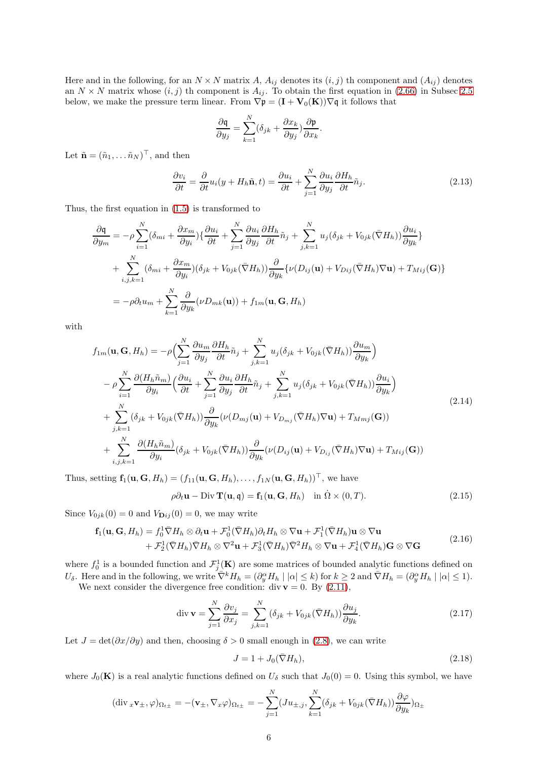Here and in the following, for an  $N \times N$  matrix A,  $A_{ij}$  denotes its  $(i, j)$  th component and  $(A_{ij})$  denotes an  $N \times N$  matrix whose  $(i, j)$  th component is  $A_{ij}$ . To obtain the first equation in [\(2.66\)](#page-13-1) in Subsec [2.5](#page-13-0) below, we make the pressure term linear. From  $\nabla \mathfrak{p} = (\mathbf{I} + \mathbf{V}_0(\mathbf{K})) \nabla \mathfrak{q}$  it follows that

$$
\frac{\partial \mathbf{q}}{\partial y_j} = \sum_{k=1}^N (\delta_{jk} + \frac{\partial x_k}{\partial y_j}) \frac{\partial \mathbf{p}}{\partial x_k}.
$$

Let  $\tilde{\mathbf{n}} = (\tilde{n}_1, \dots, \tilde{n}_N)^\top$ , and then

<span id="page-5-2"></span>
$$
\frac{\partial v_i}{\partial t} = \frac{\partial}{\partial t} u_i(y + H_h \tilde{\mathbf{n}}, t) = \frac{\partial u_i}{\partial t} + \sum_{j=1}^N \frac{\partial u_i}{\partial y_j} \frac{\partial H_h}{\partial t} \tilde{n}_j.
$$
(2.13)

Thus, the first equation in [\(1.5\)](#page-2-0) is transformed to

$$
\frac{\partial \mathbf{q}}{\partial y_m} = -\rho \sum_{i=1}^N (\delta_{mi} + \frac{\partial x_m}{\partial y_i}) \{ \frac{\partial u_i}{\partial t} + \sum_{j=1}^N \frac{\partial u_i}{\partial y_j} \frac{\partial H_h}{\partial t} \tilde{n}_j + \sum_{j,k=1}^N u_j (\delta_{jk} + V_{0jk} (\bar{\nabla} H_h)) \frac{\partial u_i}{\partial y_k} \} \n+ \sum_{i,j,k=1}^N (\delta_{mi} + \frac{\partial x_m}{\partial y_i}) (\delta_{jk} + V_{0jk} (\bar{\nabla} H_h)) \frac{\partial}{\partial y_k} \{ \nu (D_{ij}(\mathbf{u}) + V_{Dij} (\bar{\nabla} H_h) \nabla \mathbf{u}) + T_{Mij}(\mathbf{G}) \} \n= -\rho \partial_t u_m + \sum_{k=1}^N \frac{\partial}{\partial y_k} (\nu D_{mk}(\mathbf{u})) + f_{1m}(\mathbf{u}, \mathbf{G}, H_h)
$$

with

$$
f_{1m}(\mathbf{u}, \mathbf{G}, H_h) = -\rho \Big( \sum_{j=1}^{N} \frac{\partial u_m}{\partial y_j} \frac{\partial H_h}{\partial t} \tilde{n}_j + \sum_{j,k=1}^{N} u_j (\delta_{jk} + V_{0jk} (\bar{\nabla} H_h)) \frac{\partial u_m}{\partial y_k} \Big)
$$
  
\n
$$
- \rho \sum_{i=1}^{N} \frac{\partial (H_h \tilde{n}_m)}{\partial y_i} \Big( \frac{\partial u_i}{\partial t} + \sum_{j=1}^{N} \frac{\partial u_i}{\partial y_j} \frac{\partial H_h}{\partial t} \tilde{n}_j + \sum_{j,k=1}^{N} u_j (\delta_{jk} + V_{0jk} (\bar{\nabla} H_h)) \frac{\partial u_i}{\partial y_k} \Big)
$$
  
\n
$$
+ \sum_{j,k=1}^{N} (\delta_{jk} + V_{0jk} (\bar{\nabla} H_h)) \frac{\partial}{\partial y_k} (\nu (D_{mj}(\mathbf{u}) + V_{D_{mj}} (\bar{\nabla} H_h) \nabla \mathbf{u}) + T_{Mmj}(\mathbf{G}))
$$
  
\n
$$
+ \sum_{i,j,k=1}^{N} \frac{\partial (H_h \tilde{n}_m)}{\partial y_i} (\delta_{jk} + V_{0jk} (\bar{\nabla} H_h)) \frac{\partial}{\partial y_k} (\nu (D_{ij}(\mathbf{u}) + V_{D_{ij}} (\bar{\nabla} H_h) \nabla \mathbf{u}) + T_{Mij}(\mathbf{G}))
$$
  
\n(2.14)

Thus, setting  $\mathbf{f}_1(\mathbf{u}, \mathbf{G}, H_h) = (f_{11}(\mathbf{u}, \mathbf{G}, H_h), \dots, f_{1N}(\mathbf{u}, \mathbf{G}, H_h))^{\top}$ , we have

$$
\rho \partial_t \mathbf{u} - \text{Div } \mathbf{T}(\mathbf{u}, \mathbf{q}) = \mathbf{f}_1(\mathbf{u}, \mathbf{G}, H_h) \quad \text{in } \Omega \times (0, T). \tag{2.15}
$$

Since  $V_{0jk}(0) = 0$  and  $V_{\mathbf{D}ij}(0) = 0$ , we may write

<span id="page-5-3"></span>
$$
\mathbf{f}_1(\mathbf{u}, \mathbf{G}, H_h) = f_0^1 \bar{\nabla} H_h \otimes \partial_t \mathbf{u} + \mathcal{F}_0^1 (\bar{\nabla} H_h) \partial_t H_h \otimes \nabla \mathbf{u} + \mathcal{F}_1^1 (\bar{\nabla} H_h) \mathbf{u} \otimes \nabla \mathbf{u} + \mathcal{F}_2^1 (\bar{\nabla} H_h) \bar{\nabla} H_h \otimes \nabla^2 \mathbf{u} + \mathcal{F}_3^1 (\bar{\nabla} H_h) \bar{\nabla}^2 H_h \otimes \nabla \mathbf{u} + \mathcal{F}_4^1 (\bar{\nabla} H_h) \mathbf{G} \otimes \nabla \mathbf{G}
$$
\n(2.16)

where  $f_0^1$  is a bounded function and  $\mathcal{F}_j^1(\mathbf{K})$  are some matrices of bounded analytic functions defined on U<sub>δ</sub>. Here and in the following, we write  $\overline{\nabla}^k H_h = (\partial_y^{\alpha} H_h \mid |\alpha| \leq k)$  for  $k \geq 2$  and  $\overline{\nabla} H_h = (\partial_y^{\alpha} H_h \mid |\alpha| \leq 1)$ . We next consider the divergence free condition: div  $\mathbf{v} = 0$ . By  $(2.11)$ ,

<span id="page-5-0"></span>
$$
\operatorname{div} \mathbf{v} = \sum_{j=1}^{N} \frac{\partial v_j}{\partial x_j} = \sum_{j,k=1}^{N} (\delta_{jk} + V_{0jk} (\bar{\nabla} H_h)) \frac{\partial u_j}{\partial y_k}.
$$
 (2.17)

Let  $J = det(\partial x/\partial y)$  and then, choosing  $\delta > 0$  small enough in [\(2.8\)](#page-3-3), we can write

<span id="page-5-1"></span>
$$
J = 1 + J_0(\bar{\nabla}H_h),\tag{2.18}
$$

where  $J_0(\mathbf{K})$  is a real analytic functions defined on  $U_\delta$  such that  $J_0(0) = 0$ . Using this symbol, we have

$$
(\text{div}_x \mathbf{v}_{\pm}, \varphi)_{\Omega_{t\pm}} = -(\mathbf{v}_{\pm}, \nabla_x \varphi)_{\Omega_{t\pm}} = -\sum_{j=1}^N (Ju_{\pm,j}, \sum_{k=1}^N (\delta_{jk} + V_{0jk}(\bar{\nabla} H_h)) \frac{\partial \varphi}{\partial y_k})_{\Omega_{\pm}}
$$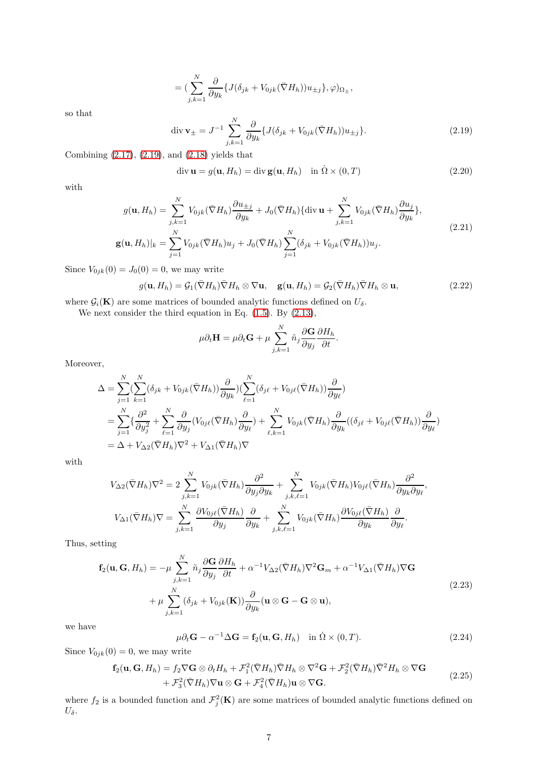$$
= \left(\sum_{j,k=1}^N \frac{\partial}{\partial y_k} \{J(\delta_{jk} + V_{0jk}(\bar{\nabla}H_h))u_{\pm j}\}, \varphi\right)_{\Omega_{\pm}},
$$

so that

<span id="page-6-0"></span>
$$
\operatorname{div} \mathbf{v}_{\pm} = J^{-1} \sum_{j,k=1}^{N} \frac{\partial}{\partial y_k} \{ J(\delta_{jk} + V_{0jk}(\bar{\nabla}H_h)) u_{\pm j} \}.
$$
 (2.19)

Combining [\(2.17\)](#page-5-0), [\(2.19\)](#page-6-0), and [\(2.18\)](#page-5-1) yields that

<span id="page-6-3"></span>
$$
\operatorname{div} \mathbf{u} = g(\mathbf{u}, H_h) = \operatorname{div} \mathbf{g}(\mathbf{u}, H_h) \quad \text{in } \Omega \times (0, T) \tag{2.20}
$$

<span id="page-6-1"></span>with

$$
g(\mathbf{u}, H_h) = \sum_{j,k=1}^{N} V_{0jk}(\bar{\nabla}H_h) \frac{\partial u_{\pm j}}{\partial y_k} + J_0(\bar{\nabla}H_h) \{ \text{div } \mathbf{u} + \sum_{j,k=1}^{N} V_{0jk}(\bar{\nabla}H_h) \frac{\partial u_j}{\partial y_k} \},
$$
  

$$
\mathbf{g}(\mathbf{u}, H_h)|_k = \sum_{j=1}^{N} V_{0jk}(\bar{\nabla}H_h) u_j + J_0(\bar{\nabla}H_h) \sum_{j=1}^{N} (\delta_{jk} + V_{0jk}(\bar{\nabla}H_h)) u_j.
$$
 (2.21)

Since  $V_{0jk}(0) = J_0(0) = 0$ , we may write

<span id="page-6-2"></span>
$$
g(\mathbf{u}, H_h) = \mathcal{G}_1(\bar{\nabla}H_h)\bar{\nabla}H_h \otimes \nabla \mathbf{u}, \quad \mathbf{g}(\mathbf{u}, H_h) = \mathcal{G}_2(\bar{\nabla}H_h)\bar{\nabla}H_h \otimes \mathbf{u}, \tag{2.22}
$$

where  $G_i(\mathbf{K})$  are some matrices of bounded analytic functions defined on  $U_\delta$ .

We next consider the third equation in Eq. [\(1.5\)](#page-2-0). By [\(2.13\)](#page-5-2),

$$
\mu \partial_t \mathbf{H} = \mu \partial_t \mathbf{G} + \mu \sum_{j,k=1}^N \tilde{n}_j \frac{\partial \mathbf{G}}{\partial y_j} \frac{\partial H_h}{\partial t}.
$$

Moreover,

$$
\Delta = \sum_{j=1}^{N} (\sum_{k=1}^{N} (\delta_{jk} + V_{0jk}(\bar{\nabla}H_h)) \frac{\partial}{\partial y_k}) (\sum_{\ell=1}^{N} (\delta_{j\ell} + V_{0j\ell}(\bar{\nabla}H_h)) \frac{\partial}{\partial y_\ell})
$$
  
\n
$$
= \sum_{j=1}^{N} \{ \frac{\partial^2}{\partial y_j^2} + \sum_{\ell=1}^{N} \frac{\partial}{\partial y_j} (V_{0j\ell}(\bar{\nabla}H_h) \frac{\partial}{\partial y_\ell}) + \sum_{\ell,k=1}^{N} V_{0jk}(\bar{\nabla}H_h) \frac{\partial}{\partial y_k} ((\delta_{j\ell} + V_{0j\ell}(\bar{\nabla}H_h)) \frac{\partial}{\partial y_\ell})
$$
  
\n
$$
= \Delta + V_{\Delta 2}(\bar{\nabla}H_h) \nabla^2 + V_{\Delta 1}(\bar{\nabla}H_h) \nabla
$$

with

$$
V_{\Delta 2}(\bar{\nabla}H_h)\nabla^2 = 2\sum_{j,k=1}^N V_{0jk}(\bar{\nabla}H_h)\frac{\partial^2}{\partial y_j\partial y_k} + \sum_{j,k,\ell=1}^N V_{0jk}(\bar{\nabla}H_h)V_{0j\ell}(\bar{\nabla}H_h)\frac{\partial^2}{\partial y_k\partial y_\ell},
$$
  

$$
V_{\Delta 1}(\bar{\nabla}H_h)\nabla = \sum_{j,k=1}^N \frac{\partial V_{0j\ell}(\bar{\nabla}H_h)}{\partial y_j}\frac{\partial}{\partial y_k} + \sum_{j,k,\ell=1}^N V_{0jk}(\bar{\nabla}H_h)\frac{\partial V_{0j\ell}(\bar{\nabla}H_h)}{\partial y_k}\frac{\partial}{\partial y_\ell}.
$$

Thus, setting

$$
\mathbf{f}_2(\mathbf{u}, \mathbf{G}, H_h) = -\mu \sum_{j,k=1}^N \tilde{n}_j \frac{\partial \mathbf{G}}{\partial y_j} \frac{\partial H_h}{\partial t} + \alpha^{-1} V_{\Delta 2} (\bar{\nabla} H_h) \nabla^2 \mathbf{G}_m + \alpha^{-1} V_{\Delta 1} (\bar{\nabla} H_h) \nabla \mathbf{G}
$$
\n
$$
+ \mu \sum_{j,k=1}^N (\delta_{jk} + V_{0jk}(\mathbf{K})) \frac{\partial}{\partial y_k} (\mathbf{u} \otimes \mathbf{G} - \mathbf{G} \otimes \mathbf{u}),
$$
\n(2.23)

<span id="page-6-4"></span>we have

$$
\mu \partial_t \mathbf{G} - \alpha^{-1} \Delta \mathbf{G} = \mathbf{f}_2(\mathbf{u}, \mathbf{G}, H_h) \quad \text{in } \Omega \times (0, T). \tag{2.24}
$$

Since  $V_{0jk}(0) = 0$ , we may write

<span id="page-6-5"></span>
$$
\mathbf{f}_2(\mathbf{u}, \mathbf{G}, H_h) = f_2 \nabla \mathbf{G} \otimes \partial_t H_h + \mathcal{F}_1^2 (\nabla H_h) \nabla H_h \otimes \nabla^2 \mathbf{G} + \mathcal{F}_2^2 (\nabla H_h) \nabla^2 H_h \otimes \nabla \mathbf{G} + \mathcal{F}_3^2 (\nabla H_h) \nabla \mathbf{u} \otimes \mathbf{G} + \mathcal{F}_4^2 (\nabla H_h) \mathbf{u} \otimes \nabla \mathbf{G}.
$$
\n(2.25)

where  $f_2$  is a bounded function and  $\mathcal{F}^2_j(\mathbf{K})$  are some matrices of bounded analytic functions defined on  $U_{\delta}$ .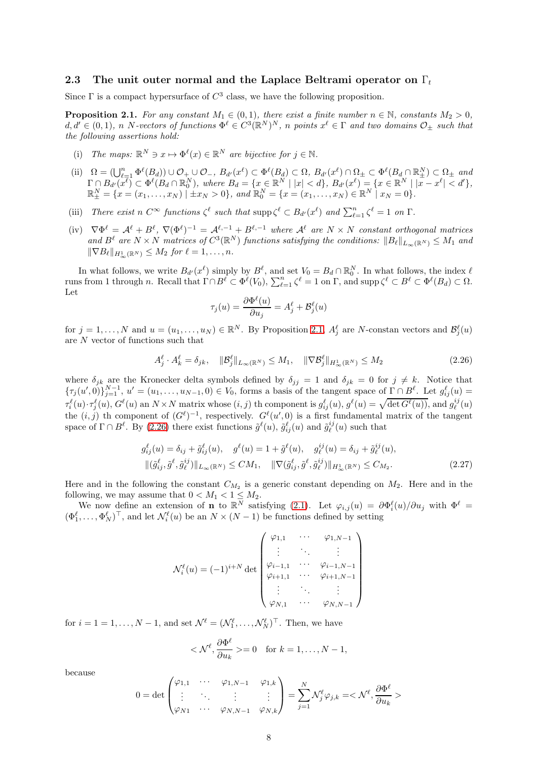#### <span id="page-7-0"></span>2.3 The unit outer normal and the Laplace Beltrami operator on  $\Gamma_t$

Since  $\Gamma$  is a compact hypersurface of  $C^3$  class, we have the following proposition.

<span id="page-7-1"></span>**Proposition 2.1.** *For any constant*  $M_1 \in (0,1)$ *, there exist a finite number*  $n \in \mathbb{N}$ *, constants*  $M_2 > 0$ *,*  $d, d' \in (0, 1)$ , n N-vectors of functions  $\Phi^{\ell} \in C^3(\mathbb{R}^N)^N$ , n points  $x^{\ell} \in \Gamma$  and two domains  $\mathcal{O}_\pm$  such that *the following assertions hold:*

- (i) The maps:  $\mathbb{R}^N \ni x \mapsto \Phi^{\ell}(x) \in \mathbb{R}^N$  are bijective for  $j \in \mathbb{N}$ .
- (ii)  $\Omega = (\bigcup_{\ell=1}^n \Phi^{\ell}(B_d)) \cup \mathcal{O}_+ \cup \mathcal{O}_-, B_{d'}(x^{\ell}) \subset \Phi^{\ell}(B_d) \subset \Omega, B_{d'}(x^{\ell}) \cap \Omega_{\pm} \subset \Phi^{\ell}(B_d \cap \mathbb{R}_{\pm}^N) \subset \Omega_{\pm}$  and  $\Gamma \cap B_{d'}(x^{\overline{\ell}}) \subset \Phi^{\ell}(B_d \cap \mathbb{R}_0^N)$ , where  $B_d = \{x \in \mathbb{R}^N \mid |x| < d\}$ ,  $B_{d'}(x^{\ell}) = \{x \in \mathbb{R}^N \mid |\overline{x} - x^{\ell}| < d'\}$ ,  $\mathbb{R}^N_{\pm} = \{x = (x_1, \ldots, x_N) \mid \pm x_N > 0\}$ , and  $\mathbb{R}^N_0 = \{x = (x_1, \ldots, x_N) \in \mathbb{R}^N \mid x_N =$
- (iii) *There exist*  $n \in \mathbb{C}^{\infty}$  *functions*  $\zeta^{\ell}$  *such that*  $\supp \zeta^{\ell} \subset B_{d'}(x^{\ell})$  *and*  $\sum_{\ell=1}^{n} \zeta^{\ell} = 1$  *on*  $\Gamma$ *.*
- $(\mathrm{iv})$   $\nabla \Phi^{\ell} = \mathcal{A}^{\ell} + B^{\ell}, \ \nabla (\Phi^{\ell})^{-1} = \mathcal{A}^{\ell,-1} + B^{\ell,-1}$  where  $\mathcal{A}^{\ell}$  are  $N \times N$  constant orthogonal matrices and  $B^{\ell}$  are  $N \times N$  *matrices of*  $C^{3}(\mathbb{R}^{N})$  *functions satisfying the conditions:*  $||B_{\ell}||_{L_{\infty}(\mathbb{R}^{N})} \leq M_1$  and  $\|\nabla B_{\ell}\|_{H^1_{-\ell}(\mathbb{R}^N)} \leq M_2$  *for*  $\ell = 1, \ldots, n$ *.*

In what follows, we write  $B_{d'}(x^{\ell})$  simply by  $B^{\ell}$ , and set  $V_0 = B_d \cap \mathbb{R}_0^N$ . In what follows, the index  $\ell$ runs from 1 through n. Recall that  $\Gamma \cap B^{\ell} \subset \Phi^{\ell}(V_0)$ ,  $\sum_{\ell=1}^n \zeta^{\ell} = 1$  on  $\Gamma$ , and supp  $\zeta^{\ell} \subset B^{\ell} \subset \Phi^{\ell}(B_d) \subset \Omega$ . Let

$$
\tau_j(u) = \frac{\partial \Phi^{\ell}(u)}{\partial u_j} = A_j^{\ell} + \mathcal{B}_j^{\ell}(u)
$$

for  $j = 1, ..., N$  and  $u = (u_1, ..., u_N) \in \mathbb{R}^N$ . By Proposition [2.1,](#page-7-1)  $A_j^{\ell}$  are N-constan vectors and  $\mathcal{B}_j^{\ell}(u)$ are N vector of functions such that

<span id="page-7-2"></span>
$$
A_j^\ell \cdot A_k^\ell = \delta_{jk}, \quad \|\mathcal{B}_j^\ell\|_{L_\infty(\mathbb{R}^N)} \le M_1, \quad \|\nabla \mathcal{B}_j^\ell\|_{H_\infty^1(\mathbb{R}^N)} \le M_2 \tag{2.26}
$$

where  $\delta_{jk}$  are the Kronecker delta symbols defined by  $\delta_{jj} = 1$  and  $\delta_{jk} = 0$  for  $j \neq k$ . Notice that  $\{\tau_j(u',0)\}_{j=1}^{N-1}, u'=(u_1,\ldots,u_{N-1},0)\in V_0$ , forms a basis of the tangent space of  $\Gamma\cap B^\ell$ . Let  $g_{ij}^\ell(u)=$  $\tau_i^{\ell}(u) \cdot \tau_j^{\ell}(u), G^{\ell}(u)$  an  $N \times N$  matrix whose  $(i, j)$  th component is  $g_{ij}^{\ell}(u), g^{\ell}(u) = \sqrt{\det G^{\ell}(u)}$ , and  $g_{\ell}^{ij}(u)$ the  $(i, j)$  th component of  $(G<sup>\ell</sup>)^{-1}$ , respectively.  $G<sup>\ell</sup>(u', 0)$  is a first fundamental matrix of the tangent space of  $\Gamma \cap B^{\ell}$ . By [\(2.26\)](#page-7-2) there exist functions  $\tilde{g}^{\ell}(u)$ ,  $\tilde{g}^{\ell}_{ij}(u)$  and  $\tilde{g}^{ij}_{\ell}(u)$  such that

$$
g_{ij}^{\ell}(u) = \delta_{ij} + \tilde{g}_{ij}^{\ell}(u), \quad g^{\ell}(u) = 1 + \tilde{g}^{\ell}(u), \quad g_{\ell}^{ij}(u) = \delta_{ij} + \tilde{g}_{\ell}^{ij}(u),
$$
  

$$
\|(\tilde{g}_{ij}^{\ell}, \tilde{g}^{\ell}, \tilde{g}_{\ell}^{ij})\|_{L_{\infty}(\mathbb{R}^{N})} \le CM_{1}, \quad \|\nabla(\tilde{g}_{ij}^{\ell}, \tilde{g}^{\ell}, \tilde{g}_{\ell}^{ij})\|_{H_{\infty}^{1}(\mathbb{R}^{N})} \le C_{M_{2}}.
$$
\n(2.27)

Here and in the following the constant  $C_{M_2}$  is a generic constant depending on  $M_2$ . Here and in the following, we may assume that  $0 < M_1 < 1 \le M_2$ .

We now define an extension of **n** to  $\mathbb{R}^N$  satisfying [\(2.1\)](#page-3-4). Let  $\varphi_{i,j}(u) = \partial \Phi_i^{\ell}(u) / \partial u_j$  with  $\Phi^{\ell} =$  $(\Phi_1^{\ell}, \ldots, \Phi_N^{\ell})^{\top}$ , and let  $\mathcal{N}_i^{\ell}(u)$  be an  $N \times (N-1)$  be functions defined by setting

<span id="page-7-3"></span>
$$
\mathcal{N}_{i}^{\ell}(u) = (-1)^{i+N} \det \begin{pmatrix} \varphi_{1,1} & \cdots & \varphi_{1,N-1} \\ \vdots & \ddots & \vdots \\ \varphi_{i-1,1} & \cdots & \varphi_{i-1,N-1} \\ \varphi_{i+1,1} & \cdots & \varphi_{i+1,N-1} \\ \vdots & \ddots & \vdots \\ \varphi_{N,1} & \cdots & \varphi_{N,N-1} \end{pmatrix}
$$

for  $i = 1, \ldots, N - 1$ , and set  $\mathcal{N}^{\ell} = (\mathcal{N}^{\ell}_1, \ldots, \mathcal{N}^{\ell}_N)^{\top}$ . Then, we have

$$
<\mathcal{N}^{\ell}, \frac{\partial \Phi^{\ell}}{\partial u_k} > = 0 \text{ for } k = 1, ..., N - 1,
$$

because

$$
0 = \det \begin{pmatrix} \varphi_{1,1} & \cdots & \varphi_{1,N-1} & \varphi_{1,k} \\ \vdots & \ddots & \vdots & \vdots \\ \varphi_{N1} & \cdots & \varphi_{N,N-1} & \varphi_{N,k} \end{pmatrix} = \sum_{j=1}^{N} \mathcal{N}_j^{\ell} \varphi_{j,k} = \langle \mathcal{N}^{\ell}, \frac{\partial \Phi^{\ell}}{\partial u_k} \rangle
$$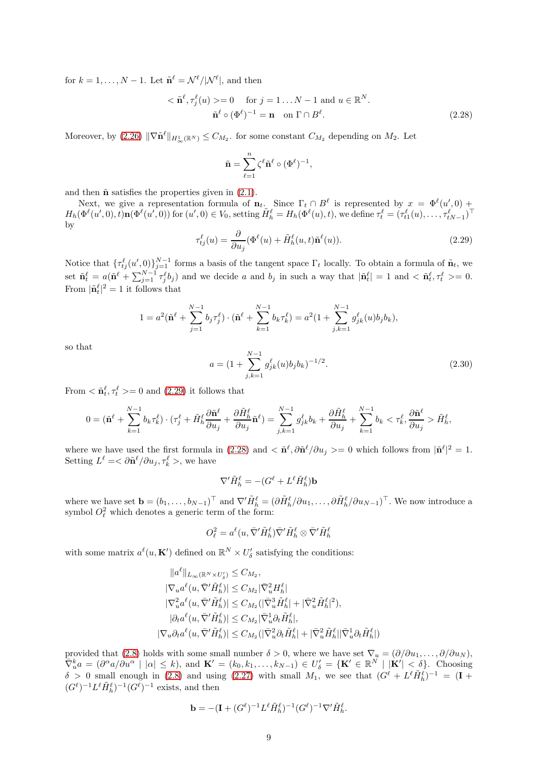for  $k = 1, ..., N - 1$ . Let  $\tilde{\mathbf{n}}^{\ell} = \mathcal{N}^{\ell} / |\mathcal{N}^{\ell}|$ , and then

$$
<\tilde{\mathbf{n}}^{\ell}, \tau_j^{\ell}(u) > = 0 \quad \text{for } j = 1...N-1 \text{ and } u \in \mathbb{R}^N.
$$
  
 $\tilde{\mathbf{n}}^{\ell} \circ (\Phi^{\ell})^{-1} = \mathbf{n} \quad \text{on } \Gamma \cap B^{\ell}.$  (2.28)

Moreover, by  $(2.26)$   $\|\nabla \tilde{\mathbf{n}}^{\ell}\|_{H^1_{\infty}(\mathbb{R}^N)} \leq C_{M_2}$ . for some constant  $C_{M_2}$  depending on  $M_2$ . Let

<span id="page-8-1"></span>
$$
\tilde{\mathbf{n}} = \sum_{\ell=1}^n \zeta^{\ell} \tilde{\mathbf{n}}^{\ell} \circ (\Phi^{\ell})^{-1},
$$

and then  $\tilde{\mathbf{n}}$  satisfies the properties given in [\(2.1\)](#page-3-4).

Next, we give a representation formula of  $\mathbf{n}_t$ . Since  $\Gamma_t \cap B^\ell$  is represented by  $x = \Phi^\ell(u',0) + \Phi^\ell(u',0)$  $H_h(\Phi^{\ell}(u',0),\tilde{t})\mathbf{n}(\Phi^{\ell}(u',0))$  for  $(u',0) \in V_0$ , setting  $\tilde{H}_h^{\ell} = H_h(\Phi^{\ell}(u),t)$ , we define  $\tau_t^{\ell} = (\tau_{t1}^{\ell}(u),\ldots,\tau_{tN-1}^{\ell})^{\top}$ by

<span id="page-8-0"></span>
$$
\tau_{tj}^{\ell}(u) = \frac{\partial}{\partial u_j} (\Phi^{\ell}(u) + \tilde{H}_h^{\ell}(u, t)\tilde{\mathbf{n}}^{\ell}(u)).
$$
\n(2.29)

Notice that  $\{\tau_{tj}^{\ell}(u',0)\}_{j=1}^{N-1}$  forms a basis of the tangent space  $\Gamma_t$  locally. To obtain a formula of  $\tilde{\mathbf{n}}_t$ , we set  $\tilde{\mathbf{n}}_t^{\ell} = a(\tilde{\mathbf{n}}^{\ell} + \sum_{j=1}^{N-1} \tau_j^{\ell} b_j)$  and we decide a and  $b_j$  in such a way that  $|\tilde{\mathbf{n}}_t^{\ell}| = 1$  and  $\langle \tilde{\mathbf{n}}_t^{\ell}, \tau_t^{\ell} \rangle = 0$ . From  $|\tilde{\mathbf{n}}_t^{\ell}|^2 = 1$  it follows that

$$
1 = a^2 (\tilde{\mathbf{n}}^{\ell} + \sum_{j=1}^{N-1} b_j \tau_j^{\ell}) \cdot (\tilde{\mathbf{n}}^{\ell} + \sum_{k=1}^{N-1} b_k \tau_k^{\ell}) = a^2 (1 + \sum_{j,k=1}^{N-1} g_{jk}^{\ell}(u) b_j b_k),
$$

so that

$$
a = \left(1 + \sum_{j,k=1}^{N-1} g_{jk}^{\ell}(u)b_j b_k\right)^{-1/2}.
$$
\n(2.30)

From  $\langle \tilde{\mathbf{n}}_t^{\ell}, \tau_t^{\ell} \rangle = 0$  and [\(2.29\)](#page-8-0) it follows that

$$
0 = (\tilde{\mathbf{n}}^{\ell} + \sum_{k=1}^{N-1} b_k \tau_k^{\ell}) \cdot (\tau_j^{\ell} + \tilde{H}_h^{\ell} \frac{\partial \tilde{\mathbf{n}}^{\ell}}{\partial u_j} + \frac{\partial \tilde{H}_h^{\ell}}{\partial u_j} \tilde{\mathbf{n}}^{\ell}) = \sum_{j,k=1}^{N-1} g_{jk}^{\ell} b_k + \frac{\partial \tilde{H}_h^{\ell}}{\partial u_j} + \sum_{k=1}^{N-1} b_k < \tau_k^{\ell}, \frac{\partial \tilde{\mathbf{n}}^{\ell}}{\partial u_j} > \tilde{H}_h^{\ell},
$$

where we have used the first formula in  $(2.28)$  and  $\langle \tilde{\mathbf{n}}^{\ell}, \partial \tilde{\mathbf{n}}^{\ell}/\partial u_j \rangle = 0$  which follows from  $|\tilde{\mathbf{n}}^{\ell}|^2 = 1$ . Setting  $L^{\ell} = \langle \partial \tilde{\mathbf{n}}^{\ell} / \partial u_j, \tau_k^{\ell} \rangle$ , we have

$$
\nabla' \tilde{H}_h^{\ell} = -(G^{\ell} + L^{\ell} \tilde{H}_h^{\ell}) \mathbf{b}
$$

where we have set  $\mathbf{b} = (b_1, \ldots, b_{N-1})^\top$  and  $\nabla' \tilde{H}_h^{\ell} = (\partial \tilde{H}_h^{\ell}/\partial u_1, \ldots, \partial \tilde{H}_h^{\ell}/\partial u_{N-1})^\top$ . We now introduce a symbol  $O_{\ell}^2$  which denotes a generic term of the form:

$$
O_{\ell}^2 = a^{\ell}(u, \bar{\nabla}' \tilde{H}_h^{\ell}) \bar{\nabla}' \tilde{H}_h^{\ell} \otimes \bar{\nabla}' \tilde{H}_h^{\ell}
$$

with some matrix  $a^{\ell}(u, \mathbf{K}')$  defined on  $\mathbb{R}^N \times U'_{\delta}$  satisfying the conditions:

$$
\|a^{\ell}\|_{L_{\infty}(\mathbb{R}^N \times U_{\delta}')} \leq C_{M_2},
$$
  
\n
$$
|\nabla_u a^{\ell}(u, \bar{\nabla}' \tilde{H}_h^{\ell})| \leq C_{M_2} |\bar{\nabla}_u^2 H_h^{\ell}|
$$
  
\n
$$
|\nabla_u^2 a^{\ell}(u, \bar{\nabla}' \tilde{H}_h^{\ell})| \leq C_{M_2} (|\bar{\nabla}_u^3 \tilde{H}_h^{\ell}| + |\bar{\nabla}_u^2 \tilde{H}_h^{\ell}|^2),
$$
  
\n
$$
|\partial_t a^{\ell}(u, \bar{\nabla}' \tilde{H}_h^{\ell})| \leq C_{M_2} |\bar{\nabla}_u^1 \partial_t \tilde{H}_h^{\ell}|,
$$
  
\n
$$
|\nabla_u \partial_t a^{\ell}(u, \bar{\nabla}' \tilde{H}_h^{\ell})| \leq C_{M_2} (|\bar{\nabla}_u^2 \partial_t \tilde{H}_h^{\ell}| + |\bar{\nabla}_u^2 \tilde{H}_h^{\ell}| |\bar{\nabla}_u^1 \partial_t \tilde{H}_h^{\ell}|)
$$

provided that [\(2.8\)](#page-3-3) holds with some small number  $\delta > 0$ , where we have set  $\nabla_u = (\partial/\partial u_1, \dots, \partial/\partial u_N)$ ,  $\overline{\nabla}_{u}^{k} a = (\partial^{\alpha} a / \partial u^{\alpha} \mid |\alpha| \leq k)$ , and  $\mathbf{K}' = (k_{0}, k_{1}, \ldots, k_{N-1}) \in U'_{\delta} = {\mathbf{K}' \in \mathbb{R}^{N} \mid |\mathbf{K}'| \leq \delta}.$  Choosing  $\delta > 0$  small enough in [\(2.8\)](#page-3-3) and using [\(2.27\)](#page-7-3) with small  $M_1$ , we see that  $(G^{\ell} + L^{\ell} \tilde{H}_{h}^{\ell})^{-1} = (\mathbf{I} +$  $(G^{\ell})^{-1}L^{\ell}\tilde{H}_{h}^{\ell})^{-1}(G^{\ell})^{-1}$  exists, and then

$$
\mathbf{b} = -(\mathbf{I} + (G^{\ell})^{-1} L^{\ell} \tilde{H}_h^{\ell})^{-1} (G^{\ell})^{-1} \nabla^{\prime} \tilde{H}_h^{\ell}.
$$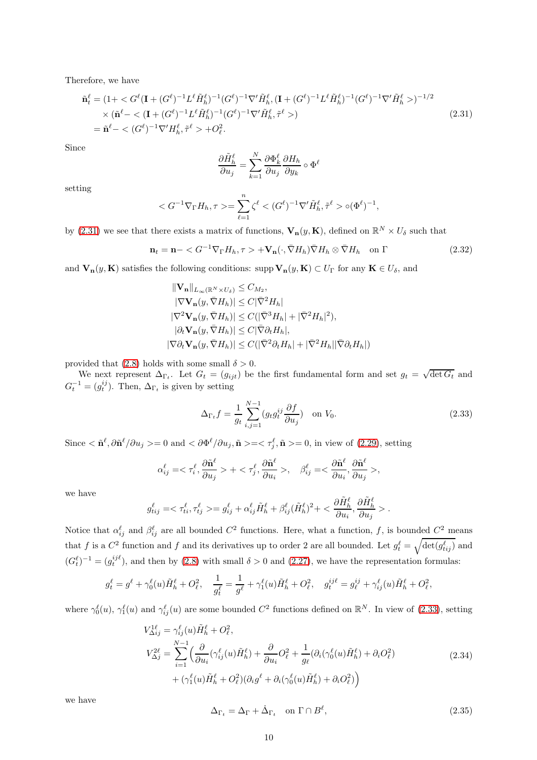Therefore, we have

<span id="page-9-0"></span>
$$
\tilde{\mathbf{n}}_t^{\ell} = (1 + \langle G^{\ell}(\mathbf{I} + (G^{\ell})^{-1} L^{\ell} \tilde{H}_h^{\ell})^{-1} (G^{\ell})^{-1} \nabla^{\prime} \tilde{H}_h^{\ell}, (\mathbf{I} + (G^{\ell})^{-1} L^{\ell} \tilde{H}_h^{\ell})^{-1} (G^{\ell})^{-1} \nabla^{\prime} \tilde{H}_h^{\ell} \rangle )^{-1/2} \times (\tilde{\mathbf{n}}^{\ell} - \langle (\mathbf{I} + (G^{\ell})^{-1} L^{\ell} \tilde{H}_h^{\ell})^{-1} (G^{\ell})^{-1} \nabla^{\prime} \tilde{H}_h^{\ell}, \tilde{\tau}^{\ell} \rangle ) \n= \tilde{\mathbf{n}}^{\ell} - \langle (G^{\ell})^{-1} \nabla^{\prime} H_h^{\ell}, \tilde{\tau}^{\ell} \rangle + O_{\ell}^2.
$$
\n(2.31)

Since

$$
\frac{\partial \tilde H_h^\ell}{\partial u_j} = \sum_{k=1}^N \frac{\partial \Phi_k^\ell}{\partial u_j} \frac{\partial H_h}{\partial y_k} \circ \Phi^\ell
$$

setting

$$
\langle G^{-1} \nabla_{\Gamma} H_h, \tau \rangle = \sum_{\ell=1}^n \zeta^{\ell} \langle G^{\ell} \rangle^{-1} \nabla^{\prime} \tilde{H}_h^{\ell}, \tilde{\tau}^{\ell} \rangle \langle \Phi^{\ell} \rangle^{-1},
$$

by [\(2.31\)](#page-9-0) we see that there exists a matrix of functions,  $\mathbf{V}_n(y, \mathbf{K})$ , defined on  $\mathbb{R}^N \times U_\delta$  such that

<span id="page-9-4"></span>
$$
\mathbf{n}_t = \mathbf{n} - \langle G^{-1} \nabla_{\Gamma} H_h, \tau \rangle + \mathbf{V}_n (\cdot, \bar{\nabla} H_h) \bar{\nabla} H_h \otimes \bar{\nabla} H_h \quad \text{on } \Gamma \tag{2.32}
$$

and  $V_n(y, K)$  satisfies the following conditions: supp  $V_n(y, K) \subset U_\Gamma$  for any  $K \in U_\delta$ , and

$$
\|\mathbf{V}_{\mathbf{n}}\|_{L_{\infty}(\mathbb{R}^{N}\times U_{\delta})} \leq C_{M_{2}},
$$
  
\n
$$
|\nabla \mathbf{V}_{\mathbf{n}}(y, \bar{\nabla}H_{h})| \leq C|\bar{\nabla}^{2}H_{h}|
$$
  
\n
$$
|\nabla^{2}\mathbf{V}_{\mathbf{n}}(y, \bar{\nabla}H_{h})| \leq C(|\bar{\nabla}^{3}H_{h}| + |\bar{\nabla}^{2}H_{h}|^{2}),
$$
  
\n
$$
|\partial_{t}\mathbf{V}_{\mathbf{n}}(y, \bar{\nabla}H_{h})| \leq C|\bar{\nabla}\partial_{t}H_{h}|,
$$
  
\n
$$
|\nabla \partial_{t}\mathbf{V}_{\mathbf{n}}(y, \bar{\nabla}H_{h})| \leq C(|\bar{\nabla}^{2}\partial_{t}H_{h}| + |\bar{\nabla}^{2}H_{h}||\bar{\nabla}\partial_{t}H_{h}|)
$$

provided that [\(2.8\)](#page-3-3) holds with some small  $\delta > 0$ .

We next represent  $\Delta_{\Gamma_t}$ . Let  $G_t = (g_{ijt})$  be the first fundamental form and set  $g_t = \sqrt{\det G_t}$  and  $G_t^{-1} = (g_t^{ij})$ . Then,  $\Delta_{\Gamma_t}$  is given by setting

<span id="page-9-1"></span>
$$
\Delta_{\Gamma_t} f = \frac{1}{g_t} \sum_{i,j=1}^{N-1} (g_t g_t^{ij} \frac{\partial f}{\partial u_j}) \quad \text{on } V_0.
$$
\n(2.33)

Since  $\langle \n\mathbf{\tilde{n}}^\ell, \partial \mathbf{\tilde{n}}^\ell/\partial u_j \rangle = 0$  and  $\langle \partial \Phi^\ell/\partial u_j, \mathbf{\tilde{n}} \rangle = \langle \tau_j^\ell, \mathbf{\tilde{n}} \rangle = 0$ , in view of [\(2.29\)](#page-8-0), setting

$$
\alpha_{ij}^\ell=<\tau_i^\ell, \frac{\partial \tilde{\mathbf{n}}^\ell}{\partial u_j}>+<\tau_j^\ell, \frac{\partial \tilde{\mathbf{n}}^\ell}{\partial u_i}>, \quad \beta_{ij}^\ell=<\frac{\partial \tilde{\mathbf{n}}^\ell}{\partial u_i}, \frac{\partial \tilde{\mathbf{n}}^\ell}{\partial u_j}>,
$$

we have

$$
g^\ell_{tij} = <\tau^\ell_{ti}, \tau^\ell_{tj}> = g^\ell_{ij} + \alpha^\ell_{ij}\tilde{H}^\ell_h + \beta^\ell_{ij}(\tilde{H}^\ell_h)^2 + <\frac{\partial \tilde{H}^\ell_h}{\partial u_i}, \frac{\partial \tilde{H}^\ell_h}{\partial u_j}>.
$$

Notice that  $\alpha_{ij}^{\ell}$  and  $\beta_{ij}^{\ell}$  are all bounded  $C^2$  functions. Here, what a function, f, is bounded  $C^2$  means that f is a  $C^2$  function and f and its derivatives up to order 2 are all bounded. Let  $g_t^{\ell} = \sqrt{\det(g_{tij}^{\ell})}$  and  $(G_t^{\ell})^{-1} = (g_t^{ijk})$ , and then by [\(2.8\)](#page-3-3) with small  $\delta > 0$  and [\(2.27\)](#page-7-3), we have the representation formulas:

$$
g_t^{\ell} = g^{\ell} + \gamma_0^{\ell}(u)\tilde{H}_h^{\ell} + O_{\ell}^2, \quad \frac{1}{g_t^{\ell}} = \frac{1}{g^{\ell}} + \gamma_1^{\ell}(u)\tilde{H}_h^{\ell} + O_{\ell}^2, \quad g_t^{ij\ell} = g_{\ell}^{ij} + \gamma_{ij}^{\ell}(u)\tilde{H}_h^{\ell} + O_{\ell}^2,
$$

where  $\gamma_0^{\ell}(u)$ ,  $\gamma_1^{\ell}(u)$  and  $\gamma_{ij}^{\ell}(u)$  are some bounded  $C^2$  functions defined on  $\mathbb{R}^N$ . In view of [\(2.33\)](#page-9-1), setting

<span id="page-9-3"></span>
$$
V_{\Delta ij}^{1\ell} = \gamma_{ij}^{\ell}(u)\tilde{H}_{h}^{\ell} + O_{\ell}^{2},
$$
  
\n
$$
V_{\Delta j}^{2\ell} = \sum_{i=1}^{N-1} \left( \frac{\partial}{\partial u_{i}} (\gamma_{ij}^{\ell}(u)\tilde{H}_{h}^{\ell}) + \frac{\partial}{\partial u_{i}} O_{\ell}^{2} + \frac{1}{g_{\ell}} (\partial_{i} (\gamma_{0}^{\ell}(u)\tilde{H}_{h}^{\ell}) + \partial_{i} O_{\ell}^{2}) + (\gamma_{1}^{\ell}(u)\tilde{H}_{h}^{\ell} + O_{\ell}^{2}) (\partial_{i} g^{\ell} + \partial_{i} (\gamma_{0}^{\ell}(u)\tilde{H}_{h}^{\ell}) + \partial_{i} O_{\ell}^{2}) \right)
$$
\n(2.34)

we have

<span id="page-9-2"></span>
$$
\Delta_{\Gamma_t} = \Delta_{\Gamma} + \dot{\Delta}_{\Gamma_t} \quad \text{on } \Gamma \cap B^\ell,
$$
\n(2.35)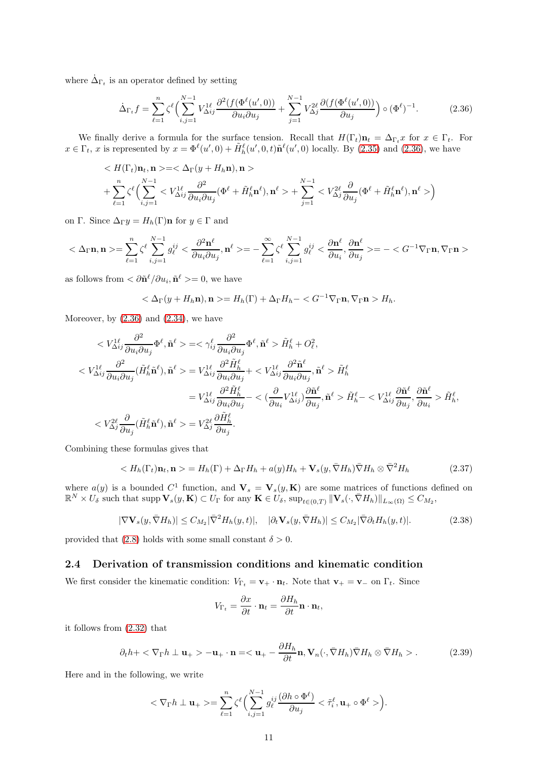where  $\dot{\Delta}_{\Gamma_t}$  is an operator defined by setting

<span id="page-10-0"></span>
$$
\dot{\Delta}_{\Gamma_t} f = \sum_{\ell=1}^n \zeta^{\ell} \Big( \sum_{i,j=1}^{N-1} V_{\Delta ij}^{1\ell} \frac{\partial^2 (f(\Phi^{\ell}(u',0))}{\partial u_i \partial u_j} + \sum_{j=1}^{N-1} V_{\Delta j}^{2\ell} \frac{\partial (f(\Phi^{\ell}(u',0))}{\partial u_j} \Big) \circ (\Phi^{\ell})^{-1}.
$$
 (2.36)

We finally derive a formula for the surface tension. Recall that  $H(\Gamma_t)\mathbf{n}_t = \Delta_{\Gamma_t} x$  for  $x \in \Gamma_t$ . For  $x \in \Gamma_t$ , x is represented by  $x = \Phi^{\ell}(u', 0) + \tilde{H}_h^{\ell}(u', 0, t)\tilde{\mathbf{n}}^{\ell}(u', 0)$  locally. By [\(2.35\)](#page-9-2) and [\(2.36\)](#page-10-0), we have

$$
\langle H(\Gamma_t)\mathbf{n}_t, \mathbf{n}\rangle = \langle \Delta_{\Gamma}(y + H_h \mathbf{n}), \mathbf{n}\rangle
$$
  
+ 
$$
\sum_{\ell=1}^n \zeta^{\ell} \Big( \sum_{i,j=1}^{N-1} \langle V_{\Delta ij}^{1\ell} \frac{\partial^2}{\partial u_i \partial u_j} (\Phi^{\ell} + \tilde{H}_h^{\ell} \mathbf{n}^{\ell}), \mathbf{n}^{\ell}\rangle + \sum_{j=1}^{N-1} \langle V_{\Delta j}^{2\ell} \frac{\partial}{\partial u_j} (\Phi^{\ell} + \tilde{H}_h^{\ell} \mathbf{n}^{\ell}), \mathbf{n}^{\ell}\rangle \Big)
$$

on Γ. Since  $\Delta_{\Gamma} y = H_h(\Gamma) \mathbf{n}$  for  $y \in \Gamma$  and

$$
<\Delta_{\Gamma}\mathbf{n},\mathbf{n}>=\sum_{\ell=1}^n\zeta^{\ell}\sum_{i,j=1}^{N-1}g_{\ell}^{ij}<\frac{\partial^2\mathbf{n}^{\ell}}{\partial u_i\partial u_j},\mathbf{n}^{\ell}>=-\sum_{\ell=1}^{\infty}\zeta^{\ell}\sum_{i,j=1}^{N-1}g_{\ell}^{ij}<\frac{\partial\mathbf{n}^{\ell}}{\partial u_i},\frac{\partial\mathbf{n}^{\ell}}{\partial u_j}>=-
$$

as follows from  $\langle \partial \tilde{\mathbf{n}}^{\ell}/\partial u_i, \tilde{\mathbf{n}}^{\ell} \rangle = 0$ , we have

$$
\langle \Delta_{\Gamma}(y + H_h \mathbf{n}), \mathbf{n} \rangle = H_h(\Gamma) + \Delta_{\Gamma} H_h - \langle G^{-1} \nabla_{\Gamma} \mathbf{n}, \nabla_{\Gamma} \mathbf{n} \rangle H_h.
$$

Moreover, by  $(2.36)$  and  $(2.34)$ , we have

$$
\langle V^{\mathbf{1}\ell}_{\Delta ij} \frac{\partial^2}{\partial u_i \partial u_j} \Phi^\ell, \tilde{\mathbf{n}}^\ell \rangle = \langle \gamma_{ij}^\ell \frac{\partial^2}{\partial u_i \partial u_j} \Phi^\ell, \tilde{\mathbf{n}}^\ell \rangle \tilde{H}_h^\ell + O_\ell^2,
$$
\n
$$
\langle V^{\mathbf{1}\ell}_{\Delta ij} \frac{\partial^2}{\partial u_i \partial u_j} (\tilde{H}_h^\ell \tilde{\mathbf{n}}^\ell), \tilde{\mathbf{n}}^\ell \rangle = V^{\mathbf{1}\ell}_{\Delta ij} \frac{\partial^2 \tilde{H}_h^\ell}{\partial u_i \partial u_j} + \langle V^{\mathbf{1}\ell}_{\Delta ij} \frac{\partial^2 \tilde{\mathbf{n}}^\ell}{\partial u_i \partial u_j}, \tilde{\mathbf{n}}^\ell \rangle \tilde{H}_h^\ell
$$
\n
$$
= V^{\mathbf{1}\ell}_{\Delta ij} \frac{\partial^2 \tilde{H}_h^\ell}{\partial u_i \partial u_j} - \langle (\frac{\partial}{\partial u_i} V^{\mathbf{1}\ell}_{\Delta ij}) \frac{\partial \tilde{\mathbf{n}}^\ell}{\partial u_j}, \tilde{\mathbf{n}}^\ell \rangle \tilde{H}_h^\ell - \langle V^{\mathbf{1}\ell}_{\Delta ij} \frac{\partial \tilde{\mathbf{n}}^\ell}{\partial u_j}, \frac{\partial \tilde{\mathbf{n}}^\ell}{\partial u_j}, \frac{\partial \tilde{\mathbf{n}}^\ell}{\partial u_j} \rangle \tilde{H}_h^\ell,
$$
\n
$$
\langle V^{\mathbf{2}\ell}_{\Delta ij} \frac{\partial}{\partial u_j} (\tilde{H}_h^\ell \tilde{\mathbf{n}}^\ell), \tilde{\mathbf{n}}^\ell \rangle = V^{\mathbf{2}\ell}_{\Delta j} \frac{\partial \tilde{H}_h^\ell}{\partial u_j}.
$$

Combining these formulas gives that

<span id="page-10-1"></span>
$$
\langle H_h(\Gamma_t)\mathbf{n}_t, \mathbf{n} \rangle = H_h(\Gamma) + \Delta_{\Gamma} H_h + a(y)H_h + \mathbf{V}_s(y, \bar{\nabla} H_h) \bar{\nabla} H_h \otimes \bar{\nabla}^2 H_h \tag{2.37}
$$

where  $a(y)$  is a bounded  $C^1$  function, and  $\mathbf{V}_s = \mathbf{V}_s(y, \mathbf{K})$  are some matrices of functions defined on  $\mathbb{R}^N \times U_{\delta}$  such that supp  $\mathbf{V}_s(y, \mathbf{K}) \subset U_{\Gamma}$  for any  $\mathbf{K} \in U_{\delta}$ ,  $\sup_{t \in (0,T)} \|\mathbf{V}_s(\cdot, \bar{\nabla} H_h)\|_{L_{\infty}(\Omega)} \leq C_{M_2}$ ,

$$
|\nabla \mathbf{V}_s(y, \bar{\nabla} H_h)| \le C_{M_2} |\bar{\nabla}^2 H_h(y, t)|, \quad |\partial_t \mathbf{V}_s(y, \bar{\nabla} H_h)| \le C_{M_2} |\bar{\nabla} \partial_t H_h(y, t)|. \tag{2.38}
$$

provided that [\(2.8\)](#page-3-3) holds with some small constant  $\delta > 0$ .

#### <span id="page-10-2"></span>2.4 Derivation of transmission conditions and kinematic condition

We first consider the kinematic condition:  $V_{\Gamma_t} = \mathbf{v}_+ \cdot \mathbf{n}_t$ . Note that  $\mathbf{v}_+ = \mathbf{v}_-$  on  $\Gamma_t$ . Since

$$
V_{\Gamma_t} = \frac{\partial x}{\partial t} \cdot \mathbf{n}_t = \frac{\partial H_h}{\partial t} \mathbf{n} \cdot \mathbf{n}_t,
$$

it follows from [\(2.32\)](#page-9-4) that

$$
\partial_t h + \langle \nabla_{\Gamma} h \perp \mathbf{u}_+ \rangle - \mathbf{u}_+ \cdot \mathbf{n} = \langle \mathbf{u}_+ - \frac{\partial H_h}{\partial t} \mathbf{n}, \mathbf{V}_n(\cdot, \bar{\nabla} H_h) \bar{\nabla} H_h \otimes \bar{\nabla} H_h \rangle. \tag{2.39}
$$

Here and in the following, we write

$$
<\nabla_{\Gamma} h \perp \mathbf{u}_{+} > = \sum_{\ell=1}^{n} \zeta^{\ell} \Biggl( \sum_{i,j=1}^{N-1} g_{\ell}^{ij} \frac{(\partial h \circ \Phi^{\ell})}{\partial u_{j}} < \tilde{\tau}_{i}^{\ell}, \mathbf{u}_{+} \circ \Phi^{\ell} > \Biggr).
$$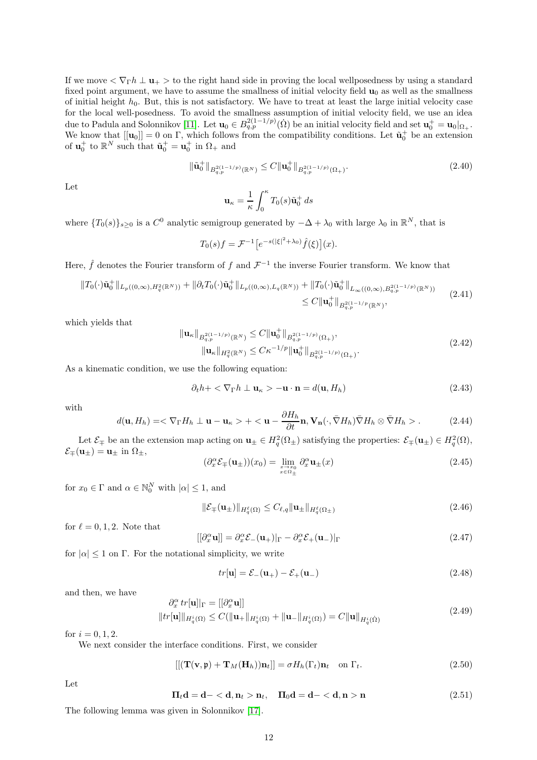If we move  $\langle \nabla_{\Gamma} h \perp \mathbf{u}_+ \rangle$  to the right hand side in proving the local wellposedness by using a standard fixed point argument, we have to assume the smallness of initial velocity field  $\mathbf{u}_0$  as well as the smallness of initial height  $h_0$ . But, this is not satisfactory. We have to treat at least the large initial velocity case for the local well-posedness. To avoid the smallness assumption of initial velocity field, we use an idea due to Padula and Solonnikov [\[11\]](#page-35-4). Let  $\mathbf{u}_0 \in B_{q,p}^{2(1-1/p)}(\Omega)$  be an initial velocity field and set  $\mathbf{u}_0^+ = \mathbf{u}_0|_{\Omega_+}$ . We know that  $[[\mathbf{u}_0]] = 0$  on  $\Gamma$ , which follows from the compatibility conditions. Let  $\tilde{\mathbf{u}}_0^+$  be an extension of  $\mathbf{u}_0^+$  to  $\mathbb{R}^N$  such that  $\tilde{\mathbf{u}}_0^+ = \mathbf{u}_0^+$  in  $\Omega_+$  and

$$
\|\tilde{\mathbf{u}}_0^+\|_{B_{q,p}^{2(1-1/p)}(\mathbb{R}^N)} \le C \|\mathbf{u}_0^+\|_{B_{q,p}^{2(1-1/p)}(\Omega_+)}.\tag{2.40}
$$

Let

$$
\mathbf{u}_{\kappa} = \frac{1}{\kappa} \int_0^{\kappa} T_0(s) \tilde{\mathbf{u}}_0^+ ds
$$

where  $\{T_0(s)\}_{s\geq 0}$  is a  $C^0$  analytic semigroup generated by  $-\Delta + \lambda_0$  with large  $\lambda_0$  in  $\mathbb{R}^N$ , that is

$$
T_0(s)f = \mathcal{F}^{-1}\big[e^{-s(|\xi|^2 + \lambda_0)}\hat{f}(\xi)\big](x).
$$

Here,  $\hat{f}$  denotes the Fourier transform of  $f$  and  $\mathcal{F}^{-1}$  the inverse Fourier transform. We know that

<span id="page-11-4"></span>
$$
||T_0(\cdot)\tilde{\mathbf{u}}_0^+||_{L_p((0,\infty),H_q^2(\mathbb{R}^N))} + ||\partial_t T_0(\cdot)\tilde{\mathbf{u}}_0^+||_{L_p((0,\infty),L_q(\mathbb{R}^N))} + ||T_0(\cdot)\tilde{\mathbf{u}}_0^+||_{L_\infty((0,\infty),B_{q,p}^{2(1-1/p)}(\mathbb{R}^N))}
$$
\n
$$
\leq C||\mathbf{u}_0^+||_{B_{q,p}^{2(1-1/p}(\mathbb{R}^N))},
$$
\n(2.41)

which yields that

<span id="page-11-3"></span>
$$
\|\mathbf{u}_{\kappa}\|_{B_{q,p}^{2(1-1/p)}(\mathbb{R}^N)} \leq C \|\mathbf{u}_{0}^{+}\|_{B_{q,p}^{2(1-1/p)}(\Omega_{+})},
$$
  

$$
\|\mathbf{u}_{\kappa}\|_{H_{q}^{2}(\mathbb{R}^N)} \leq C \kappa^{-1/p} \|\mathbf{u}_{0}^{+}\|_{B_{q,p}^{2(1-1/p)}(\Omega_{+})}.
$$
 (2.42)

As a kinematic condition, we use the following equation:

$$
\partial_t h + \langle \nabla_{\Gamma} h \perp \mathbf{u}_{\kappa} \rangle - \mathbf{u} \cdot \mathbf{n} = d(\mathbf{u}, H_h) \tag{2.43}
$$

with

<span id="page-11-2"></span>
$$
d(\mathbf{u}, H_h) = \langle \nabla_{\Gamma} H_h \perp \mathbf{u} - \mathbf{u}_\kappa \rangle + \langle \mathbf{u} - \frac{\partial H_h}{\partial t} \mathbf{n}, \mathbf{V}_n(\cdot, \bar{\nabla} H_h) \bar{\nabla} H_h \otimes \bar{\nabla} H_h \rangle. \tag{2.44}
$$

Let  $\mathcal{E}_{\pm}$  be an the extension map acting on  $\mathbf{u}_{\pm} \in H_q^2(\Omega_{\pm})$  satisfying the properties:  $\mathcal{E}_{\mp}(\mathbf{u}_{\pm}) \in H_q^2(\Omega)$ ,  $\mathcal{E}_{\mp}(\mathbf{u}_{\pm}) = \mathbf{u}_{\pm}$  in  $\Omega_{\pm}$ ,

$$
(\partial_x^{\alpha} \mathcal{E}_{\mp}(\mathbf{u}_{\pm}))(x_0) = \lim_{\substack{x \to x_0 \\ x \in \Omega_{\pm}}} \partial_x^{\alpha} \mathbf{u}_{\pm}(x) \tag{2.45}
$$

for  $x_0 \in \Gamma$  and  $\alpha \in \mathbb{N}_0^N$  with  $|\alpha| \leq 1$ , and

$$
\|\mathcal{E}_{\mp}(\mathbf{u}_{\pm})\|_{H_q^{\ell}(\Omega)} \le C_{\ell,q} \|\mathbf{u}_{\pm}\|_{H_q^{\ell}(\Omega_{\pm})}
$$
\n(2.46)

for  $\ell = 0, 1, 2$ . Note that

$$
[[\partial_x^{\alpha} \mathbf{u}]] = \partial_x^{\alpha} \mathcal{E}_{-}(\mathbf{u}_{+})|_{\Gamma} - \partial_x^{\alpha} \mathcal{E}_{+}(\mathbf{u}_{-})|_{\Gamma}
$$
\n(2.47)

for  $|\alpha| \leq 1$  on  $\Gamma$ . For the notational simplicity, we write

$$
tr[\mathbf{u}] = \mathcal{E}_{-}(\mathbf{u}_{+}) - \mathcal{E}_{+}(\mathbf{u}_{-})
$$
\n(2.48)

and then, we have

<span id="page-11-1"></span>
$$
\partial_x^{\alpha} \operatorname{tr}[\mathbf{u}]]_{\Gamma} = [[\partial_x^{\alpha} \mathbf{u}]]
$$
  
\n
$$
||\operatorname{tr}[\mathbf{u}]]_{H_q^i(\Omega)} \le C(||\mathbf{u}_+||_{H_q^i(\Omega)} + ||\mathbf{u}_-||_{H_q^i(\Omega)}) = C||\mathbf{u}||_{H_q^i(\Omega)}
$$
\n(2.49)

for  $i = 0, 1, 2$ .

We next consider the interface conditions. First, we consider

<span id="page-11-0"></span>
$$
\left[\left((\mathbf{T}(\mathbf{v},\mathbf{\mathfrak{p}})+\mathbf{T}_M(\mathbf{H}_h))\mathbf{n}_t\right]\right]=\sigma H_h(\Gamma_t)\mathbf{n}_t\quad\text{on }\Gamma_t.
$$
\n(2.50)

Let

$$
\Pi_t \mathbf{d} = \mathbf{d} - \langle \mathbf{d}, \mathbf{n}_t \rangle \mathbf{n}_t, \quad \Pi_0 \mathbf{d} = \mathbf{d} - \langle \mathbf{d}, \mathbf{n} \rangle \mathbf{n} \tag{2.51}
$$

The following lemma was given in Solonnikov [\[17\]](#page-35-8).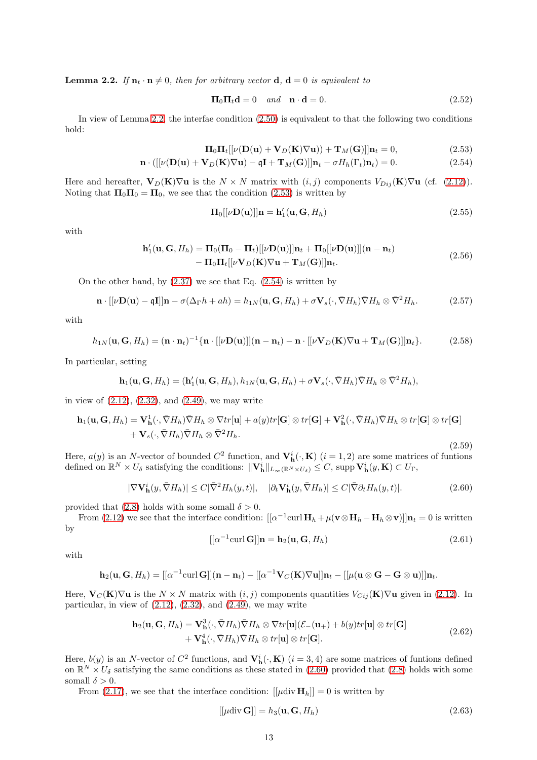<span id="page-12-0"></span>**Lemma 2.2.** *If*  $n_t \cdot n \neq 0$ *, then for arbitrary vector* **d**, **d** = 0 *is equivalent to* 

<span id="page-12-1"></span>
$$
\Pi_0 \Pi_t \mathbf{d} = 0 \quad and \quad \mathbf{n} \cdot \mathbf{d} = 0. \tag{2.52}
$$

In view of Lemma [2.2,](#page-12-0) the interfae condition  $(2.50)$  is equivalent to that the following two conditions hold:

$$
\mathbf{\Pi}_0 \mathbf{\Pi}_t [[\nu(\mathbf{D}(\mathbf{u}) + \mathbf{V}_D(\mathbf{K})\nabla \mathbf{u}]) + \mathbf{T}_M(\mathbf{G})]]\mathbf{n}_t = 0,
$$
\n(2.53)

$$
\mathbf{n} \cdot \left( \left[ \left[ \nu(\mathbf{D}(\mathbf{u}) + \mathbf{V}_D(\mathbf{K}) \nabla \mathbf{u} \right) - \mathbf{q} \mathbf{I} + \mathbf{T}_M(\mathbf{G}) \right] \right] \mathbf{n}_t - \sigma H_h(\Gamma_t) \mathbf{n}_t \right) = 0. \tag{2.54}
$$

Here and hereafter,  $V_D(K)\nabla u$  is the  $N \times N$  matrix with  $(i, j)$  components  $V_{Dij}(K)\nabla u$  (cf. [\(2.12\)](#page-4-1)). Noting that  $\Pi_0 \Pi_0 = \Pi_0$ , we see that the condition [\(2.53\)](#page-12-1) is written by

<span id="page-12-2"></span>
$$
\mathbf{\Pi}_{0}[[\nu \mathbf{D}(\mathbf{u})]]\mathbf{n} = \mathbf{h}'_{1}(\mathbf{u}, \mathbf{G}, H_{h})
$$
\n(2.55)

with

$$
\mathbf{h}'_1(\mathbf{u}, \mathbf{G}, H_h) = \mathbf{\Pi}_0(\mathbf{\Pi}_0 - \mathbf{\Pi}_t)[[\nu \mathbf{D}(\mathbf{u})]]\mathbf{n}_t + \mathbf{\Pi}_0[[\nu \mathbf{D}(\mathbf{u})]](\mathbf{n} - \mathbf{n}_t) - \mathbf{\Pi}_0 \mathbf{\Pi}_t[[\nu \mathbf{V}_D(\mathbf{K}) \nabla \mathbf{u} + \mathbf{T}_M(\mathbf{G})]]\mathbf{n}_t.
$$
\n(2.56)

On the other hand, by  $(2.37)$  we see that Eq.  $(2.54)$  is written by

$$
\mathbf{n} \cdot [[\nu \mathbf{D}(\mathbf{u}) - \mathbf{qI}]]\mathbf{n} - \sigma(\Delta_{\Gamma} h + ah) = h_{1N}(\mathbf{u}, \mathbf{G}, H_h) + \sigma \mathbf{V}_s(\cdot, \bar{\nabla} H_h) \bar{\nabla} H_h \otimes \bar{\nabla}^2 H_h.
$$
 (2.57)

with

$$
h_{1N}(\mathbf{u}, \mathbf{G}, H_h) = (\mathbf{n} \cdot \mathbf{n}_t)^{-1} \{ \mathbf{n} \cdot [[\nu \mathbf{D}(\mathbf{u})]](\mathbf{n} - \mathbf{n}_t) - \mathbf{n} \cdot [[\nu \mathbf{V}_D(\mathbf{K}) \nabla \mathbf{u} + \mathbf{T}_M(\mathbf{G})]]\mathbf{n}_t \}.
$$
 (2.58)

In particular, setting

$$
\mathbf{h}_1(\mathbf{u},\mathbf{G},H_h)=(\mathbf{h}'_1(\mathbf{u},\mathbf{G},H_h),h_{1N}(\mathbf{u},\mathbf{G},H_h)+\sigma\mathbf{V}_s(\cdot,\bar{\nabla}H_h)\bar{\nabla}H_h\otimes\bar{\nabla}^2H_h),
$$

in view of  $(2.12)$ ,  $(2.32)$ , and  $(2.49)$ , we may write

<span id="page-12-4"></span>
$$
\mathbf{h}_1(\mathbf{u}, \mathbf{G}, H_h) = \mathbf{V}_\mathbf{h}^1(\cdot, \bar{\nabla}H_h) \bar{\nabla}H_h \otimes \nabla tr[\mathbf{u}] + a(y)tr[\mathbf{G}] \otimes tr[\mathbf{G}] + \mathbf{V}_\mathbf{h}^2(\cdot, \bar{\nabla}H_h) \bar{\nabla}H_h \otimes tr[\mathbf{G}] \otimes tr[\mathbf{G}] + \mathbf{V}_s(\cdot, \bar{\nabla}H_h) \bar{\nabla}H_h \otimes \bar{\nabla}^2 H_h.
$$

Here,  $a(y)$  is an N-vector of bounded  $C^2$  function, and  $\mathbf{V}_\mathbf{h}^i(\cdot,\mathbf{K})$   $(i = 1, 2)$  are some matrices of funtions defined on  $\mathbb{R}^N \times U_{\delta}$  satisfying the conditions:  $\|\mathbf{V}_{\mathbf{h}}^i\|_{L_{\infty}(\mathbb{R}^N \times U_{\delta})} \leq C$ , supp  $\mathbf{V}_{\mathbf{h}}^i(y, \mathbf{K}) \subset U_{\Gamma}$ ,

<span id="page-12-3"></span>
$$
|\nabla \mathbf{V}_{\mathbf{h}}^{i}(y,\bar{\nabla}H_{h})| \leq C|\bar{\nabla}^{2}H_{h}(y,t)|, \quad |\partial_{t}\mathbf{V}_{\mathbf{h}}^{i}(y,\bar{\nabla}H_{h})| \leq C|\bar{\nabla}\partial_{t}H_{h}(y,t)|. \tag{2.60}
$$

provided that [\(2.8\)](#page-3-3) holds with some somall  $\delta > 0$ .

From [\(2.12\)](#page-4-1) we see that the interface condition:  $[[\alpha^{-1}\text{curl }\mathbf{H}_h + \mu(\mathbf{v}\otimes \mathbf{H}_h - \mathbf{H}_h\otimes \mathbf{v})]]\mathbf{n}_t = 0$  is written by

<span id="page-12-5"></span>
$$
[[\alpha^{-1}\text{curl }\mathbf{G}]]\mathbf{n} = \mathbf{h}_2(\mathbf{u}, \mathbf{G}, H_h)
$$
\n(2.61)

(2.59)

with

$$
\mathbf{h}_2(\mathbf{u},\mathbf{G},H_h)=[[\alpha^{-1}\mathrm{curl}\,\mathbf{G}]](\mathbf{n}-\mathbf{n}_t)-[[\alpha^{-1}\mathbf{V}_C(\mathbf{K})\nabla\mathbf{u}]]\mathbf{n}_t-[[\mu(\mathbf{u}\otimes\mathbf{G}-\mathbf{G}\otimes\mathbf{u})]]\mathbf{n}_t.
$$

Here,  $\mathbf{V}_C(\mathbf{K})\nabla \mathbf{u}$  is the  $N \times N$  matrix with  $(i, j)$  components quantities  $V_{Cij}(\mathbf{K})\nabla \mathbf{u}$  given in [\(2.12\)](#page-4-1). In particular, in view of  $(2.12)$ ,  $(2.32)$ , and  $(2.49)$ , we may write

$$
\mathbf{h}_2(\mathbf{u}, \mathbf{G}, H_h) = \mathbf{V}_h^3(\cdot, \bar{\nabla}H_h) \bar{\nabla}H_h \otimes \nabla tr[\mathbf{u}](\mathcal{E}_-(\mathbf{u}_+) + b(y)tr[\mathbf{u}] \otimes tr[\mathbf{G}] + \mathbf{V}_h^4(\cdot, \bar{\nabla}H_h) \bar{\nabla}H_h \otimes tr[\mathbf{u}] \otimes tr[\mathbf{G}].
$$
\n(2.62)

Here,  $b(y)$  is an N-vector of  $C^2$  functions, and  $\mathbf{V}_h^i(\cdot, \mathbf{K})$  ( $i = 3, 4$ ) are some matrices of funtions defined on  $\mathbb{R}^N \times U_\delta$  satisfying the same conditions as these stated in [\(2.60\)](#page-12-3) provided that [\(2.8\)](#page-3-3) holds with some somall  $\delta > 0$ .

From [\(2.17\)](#page-5-0), we see that the interface condition:  $[|\mu \text{div } H_h|] = 0$  is written by

<span id="page-12-6"></span>
$$
[[\mu \operatorname{div} \mathbf{G}]] = h_3(\mathbf{u}, \mathbf{G}, H_h) \tag{2.63}
$$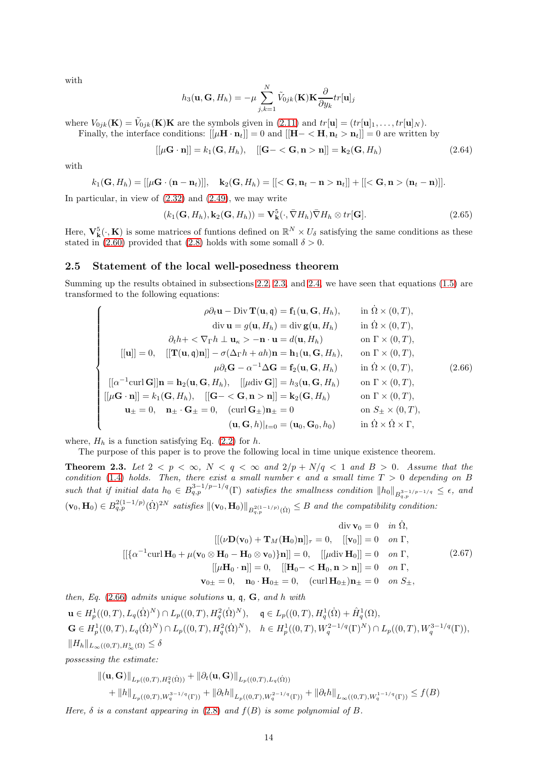with

$$
h_3(\mathbf{u}, \mathbf{G}, H_h) = -\mu \sum_{j,k=1}^N \tilde{V}_{0jk}(\mathbf{K}) \mathbf{K} \frac{\partial}{\partial y_k} tr[\mathbf{u}]_j
$$

where  $V_{0jk}(\mathbf{K}) = \tilde{V}_{0jk}(\mathbf{K})\mathbf{K}$  are the symbols given in [\(2.11\)](#page-4-0) and  $tr[\mathbf{u}] = (tr[\mathbf{u}]_1, \ldots, tr[\mathbf{u}]_N)$ .

Finally, the interface conditions:  $[[\mu \mathbf{H} \cdot \mathbf{n}_t]] = 0$  and  $[[\mathbf{H} - \langle \mathbf{H}, \mathbf{n}_t > \mathbf{n}_t]] = 0$  are written by

<span id="page-13-3"></span>
$$
[[\mu \mathbf{G} \cdot \mathbf{n}]] = k_1(\mathbf{G}, H_h), \quad [[\mathbf{G} - \langle \mathbf{G}, \mathbf{n} > \mathbf{n}]] = \mathbf{k}_2(\mathbf{G}, H_h) \tag{2.64}
$$

with

$$
k_1(\mathbf{G}, H_h) = [[\mu \mathbf{G} \cdot (\mathbf{n} - \mathbf{n}_t)]], \quad \mathbf{k}_2(\mathbf{G}, H_h) = [[<\mathbf{G}, \mathbf{n}_t - \mathbf{n} > \mathbf{n}_t]] + [[<\mathbf{G}, \mathbf{n} > (\mathbf{n}_t - \mathbf{n})]].
$$

In particular, in view of [\(2.32\)](#page-9-4) and [\(2.49\)](#page-11-1), we may write

<span id="page-13-4"></span>
$$
(k_1(\mathbf{G}, H_h), \mathbf{k}_2(\mathbf{G}, H_h)) = \mathbf{V}_{\mathbf{k}}^5(\cdot, \bar{\nabla} H_h) \bar{\nabla} H_h \otimes tr[\mathbf{G}].
$$
\n(2.65)

Here,  $V_k^5(\cdot, K)$  is some matrices of funtions defined on  $\mathbb{R}^N \times U_\delta$  satisfying the same conditions as these stated in [\(2.60\)](#page-12-3) provided that [\(2.8\)](#page-3-3) holds with some somall  $\delta > 0$ .

#### <span id="page-13-0"></span>2.5 Statement of the local well-posedness theorem

Summing up the results obtained in subsections [2.2,](#page-4-2) [2.3,](#page-7-0) and [2.4,](#page-10-2) we have seen that equations [\(1.5\)](#page-2-0) are transformed to the following equations:

<span id="page-13-1"></span>
$$
\rho \partial_t \mathbf{u} - \text{Div } \mathbf{T}(\mathbf{u}, \mathbf{q}) = \mathbf{f}_1(\mathbf{u}, \mathbf{G}, H_h), \quad \text{in } \Omega \times (0, T),
$$
  
\ndiv  $\mathbf{u} = g(\mathbf{u}, H_h) = \text{div } \mathbf{g}(\mathbf{u}, H_h) \quad \text{in } \Omega \times (0, T),$   
\ndiv  $\mathbf{u} = g(\mathbf{u}, H_h) = \text{div } \mathbf{g}(\mathbf{u}, H_h) \quad \text{in } \Omega \times (0, T),$   
\n
$$
\partial_t h + \langle \nabla_{\Gamma} h \perp \mathbf{u}_{\kappa} \rangle - \mathbf{n} \cdot \mathbf{u} = d(\mathbf{u}, H_h) \quad \text{on } \Gamma \times (0, T),
$$
  
\n
$$
[\mathbf{u}]] = 0, \quad [[\mathbf{T}(\mathbf{u}, \mathbf{q})\mathbf{n}]] - \sigma(\Delta_{\Gamma} h + a h) \mathbf{n} = \mathbf{h}_1(\mathbf{u}, \mathbf{G}, H_h), \quad \text{on } \Gamma \times (0, T),
$$
  
\n
$$
\mu \partial_t \mathbf{G} - \alpha^{-1} \Delta \mathbf{G} = \mathbf{f}_2(\mathbf{u}, \mathbf{G}, H_h) \quad \text{in } \Omega \times (0, T),
$$
  
\n
$$
[[\mu \mathbf{G} \cdot \mathbf{n}]] = \mathbf{h}_2(\mathbf{u}, \mathbf{G}, H_h), \quad [[\mu \text{div } \mathbf{G}]] = h_3(\mathbf{u}, \mathbf{G}, H_h) \quad \text{on } \Gamma \times (0, T),
$$
  
\n
$$
\mathbf{u}_{\pm} = 0, \quad \mathbf{n}_{\pm} \cdot \mathbf{G}_{\pm} = 0, \quad (\text{curl } \mathbf{G}_{\pm})\mathbf{n}_{\pm} = 0 \quad \text{on } S_{\pm} \times (0, T),
$$
  
\n
$$
(\mathbf{u}, \mathbf{G}, h)|_{t=0} = (\mathbf{u}_0, \mathbf{G}_0, h_0) \quad \text{in } \Omega \times \Omega \times \Gamma,
$$

where,  $H_h$  is a function satisfying Eq. [\(2.2\)](#page-3-1) for h.

The purpose of this paper is to prove the following local in time unique existence theorem.

<span id="page-13-2"></span>**Theorem 2.3.** Let  $2 < p < \infty$ ,  $N < q < \infty$  and  $2/p + N/q < 1$  and  $B > 0$ . Assume that the *condition* [\(1.4\)](#page-1-1) *holds.* Then, there exist a small number  $\epsilon$  and a small time  $T > 0$  depending on B  $\emph{such that if initial data} \emph{h}_0 \in B_{q,p}^{3-1/p-1/q}(\Gamma) \emph{ satisfies the smallness condition} \emph{||} \emph{h}_0 \emph{||}_{B_{q,p}^{3-1/p-1/q}} \leq \epsilon, \emph{ and}$  $(v_0, \mathbf{H}_0) \in B_{q,p}^{2(1-1/p)}(\dot{\Omega})^{2N}$  satisfies  $\|v_0, \mathbf{H}_0\|_{B_{q,p}^{2(1-1/p)}(\dot{\Omega})} \leq B$  and the compatibility condition:

$$
\operatorname{div} \mathbf{v}_0 = 0 \quad \text{in } \dot{\Omega},
$$
  
\n
$$
[[(\nu \mathbf{D}(\mathbf{v}_0) + \mathbf{T}_M(\mathbf{H}_0)\mathbf{n}]]_{\tau} = 0, \quad [[\mathbf{v}_0]] = 0 \quad \text{on } \Gamma,
$$
  
\n
$$
[[\{\alpha^{-1}\text{curl}\,\mathbf{H}_0 + \mu(\mathbf{v}_0 \otimes \mathbf{H}_0 - \mathbf{H}_0 \otimes \mathbf{v}_0)\}\mathbf{n}]] = 0, \quad [[\mu \text{div}\,\mathbf{H}_0]] = 0 \quad \text{on } \Gamma,
$$
  
\n
$$
[[\mu \mathbf{H}_0 \cdot \mathbf{n}]] = 0, \quad [[\mathbf{H}_0 - \langle \mathbf{H}_0, \mathbf{n} \rangle \mathbf{n}]] = 0 \quad \text{on } \Gamma,
$$
  
\n
$$
\mathbf{v}_{0\pm} = 0, \quad \mathbf{n}_0 \cdot \mathbf{H}_{0\pm} = 0, \quad (\text{curl}\,\mathbf{H}_{0\pm})\mathbf{n}_{\pm} = 0 \quad \text{on } S_{\pm},
$$
  
\n(2.67)

*then, Eq.* [\(2.66\)](#page-13-1) *admits unique solutions* u*,* q*,* G*, and* h *with*  $\mathbf{u}\in H_p^1((0,T),L_q(\dot{\Omega})^N)\cap L_p((0,T),H_q^2(\dot{\Omega})^N),\quad \mathfrak{q}\in L_p((0,T),H_q^1(\dot{\Omega})+\hat{H}_q^1(\Omega),$  $\mathbf{G} \in H_p^1((0,T), L_q(\dot{\Omega})^N) \cap L_p((0,T), H_q^2(\dot{\Omega})^N), \quad h \in H_p^1((0,T), W_q^{2-1/q}(\Gamma)^N) \cap L_p((0,T), W_q^{3-1/q}(\Gamma)),$  $||H_h||_{L_{\infty}((0,T),H^1_{\infty}(\Omega)} \leq \delta$ 

*possessing the estimate:*

$$
\|(\mathbf{u}, \mathbf{G})\|_{L_p((0,T), H_q^2(\dot{\Omega}))} + \|\partial_t(\mathbf{u}, \mathbf{G})\|_{L_p((0,T), L_q(\dot{\Omega}))} + \|h\|_{L_p((0,T), W_q^{3-1/q}(\Gamma))} + \|\partial_t h\|_{L_p((0,T), W_q^{2-1/q}(\Gamma))} + \|\partial_t h\|_{L_\infty((0,T), W_q^{1-1/q}(\Gamma))} \le f(B)
$$

*Here,*  $\delta$  *is a constant appearing in* [\(2.8\)](#page-3-3) *and*  $f(B)$  *is some polynomial of* B.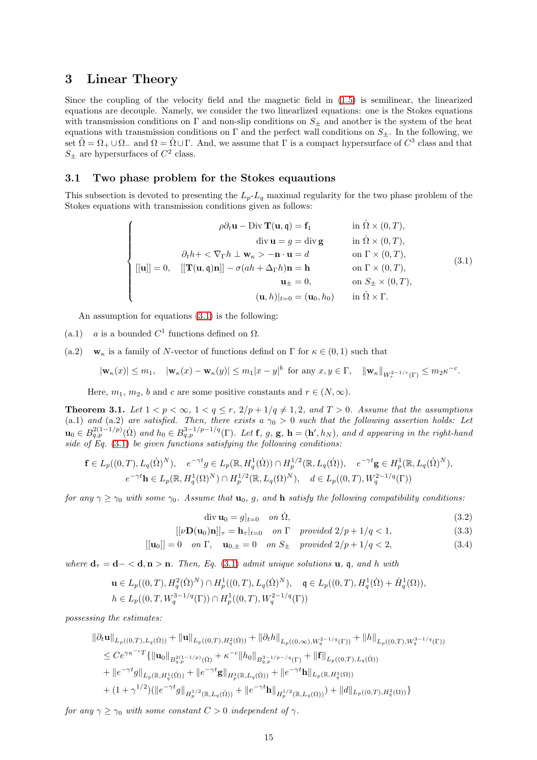## 3 Linear Theory

Since the coupling of the velocity field and the magnetic field in [\(1.5\)](#page-2-0) is semilinear, the linearized equations are decouple. Namely, we consider the two linearlized equations: one is the Stokes equations with transmission conditions on  $\Gamma$  and non-slip conditions on  $S_{\pm}$  and another is the system of the heat equations with transmission conditions on  $\Gamma$  and the perfect wall conditions on  $S_{\pm}$ . In the following, we set  $\Omega = \Omega_+ \cup \Omega_-$  and  $\Omega = \Omega \cup \Gamma$ . And, we assume that  $\Gamma$  is a compact hypersurface of  $C^3$  class and that  $S_{\pm}$  are hypersurfaces of  $C^2$  class.

#### 3.1 Two phase problem for the Stokes equautions

This subsection is devoted to presenting the  $L_p-L_q$  maximal regularity for the two phase problem of the Stokes equations with transmission conditions given as follows:

<span id="page-14-0"></span>
$$
\begin{cases}\n\rho \partial_t \mathbf{u} - \text{Div } \mathbf{T}(\mathbf{u}, \mathbf{q}) = \mathbf{f}_1 & \text{in } \Omega \times (0, T), \\
\text{div } \mathbf{u} = g = \text{div } \mathbf{g} & \text{in } \Omega \times (0, T), \\
\partial_t h + \langle \nabla_{\Gamma} h \perp \mathbf{w}_{\kappa} \rangle - \mathbf{n} \cdot \mathbf{u} = d & \text{on } \Gamma \times (0, T), \\
[[\mathbf{u}]] = 0, \quad [[\mathbf{T}(\mathbf{u}, \mathbf{q})\mathbf{n}]] - \sigma (ah + \Delta_{\Gamma} h) \mathbf{n} = \mathbf{h} & \text{on } \Gamma \times (0, T), \\
\mathbf{u}_{\pm} = 0, & \text{on } S_{\pm} \times (0, T), \\
(\mathbf{u}, h)|_{t=0} = (\mathbf{u}_0, h_0) & \text{in } \Omega \times \Gamma.\n\end{cases}
$$
\n(3.1)

An assumption for equations [\(3.1\)](#page-14-0) is the following:

- (a.1) *a* is a bounded  $C^1$  functions defined on  $\Omega$ .
- (a.2)  $\mathbf{w}_{\kappa}$  is a family of N-vector of functions defind on  $\Gamma$  for  $\kappa \in (0,1)$  such that

$$
|\mathbf{w}_{\kappa}(x)| \leq m_1, \quad |\mathbf{w}_{\kappa}(x) - \mathbf{w}_{\kappa}(y)| \leq m_1 |x - y|^b \text{ for any } x, y \in \Gamma, \quad ||\mathbf{w}_{\kappa}||_{W^{2-1/r}_{r}(\Gamma)} \leq m_2 \kappa^{-c}.
$$

Here,  $m_1, m_2, b$  and c are some positive constants and  $r \in (N, \infty)$ .

<span id="page-14-1"></span>**Theorem 3.1.** Let  $1 < p < \infty$ ,  $1 < q \leq r$ ,  $2/p + 1/q \neq 1, 2$ , and  $T > 0$ . Assume that the assumptions (a.1) *and* (a.2) *are satisfied. Then, there exists a*  $\gamma_0 > 0$  *such that the following assertion holds: Let*  $\mathbf{u}_0 \in B_{q,p}^{2(1-1/p)}(\Omega)$  and  $h_0 \in B_{q,p}^{3-1/p-1/q}(\Gamma)$ . Let **f**, g, **g**,  $\mathbf{h} = (\mathbf{h}', h_N)$ , and d appearing in the right-hand *side of Eq.* [\(3.1\)](#page-14-0) *be given functions satisfying the following conditions:*

$$
\mathbf{f} \in L_p((0,T), L_q(\dot{\Omega})^N), \quad e^{-\gamma t}g \in L_p(\mathbb{R}, H_q^1(\dot{\Omega})) \cap H_p^{1/2}(\mathbb{R}, L_q(\dot{\Omega})), \quad e^{-\gamma t}\mathbf{g} \in H_p^1(\mathbb{R}, L_q(\dot{\Omega})^N),
$$

$$
e^{-\gamma t}\mathbf{h} \in L_p(\mathbb{R}, H_q^1(\Omega)^N) \cap H_p^{1/2}(\mathbb{R}, L_q(\Omega)^N), \quad d \in L_p((0,T), W_q^{2-1/q}(\Gamma))
$$

*for any*  $\gamma \geq \gamma_0$  *with some*  $\gamma_0$ *. Assume that*  $\mathbf{u}_0$ *, g, and* **h** *satisfy the following compatibility conditions:* 

$$
\operatorname{div} \mathbf{u}_0 = g|_{t=0} \quad on \ \dot{\Omega}, \tag{3.2}
$$

$$
[[\nu \mathbf{D}(\mathbf{u}_0)\mathbf{n}]]_\tau = \mathbf{h}_\tau|_{t=0} \quad on \ \Gamma \quad provided \ 2/p + 1/q < 1,\tag{3.3}
$$

$$
[[\mathbf{u}_0]] = 0 \quad on \ \Gamma, \quad \mathbf{u}_{0,\pm} = 0 \quad on \ S_{\pm} \quad provided \ 2/p + 1/q < 2,\tag{3.4}
$$

*where*  $\mathbf{d}_{\tau} = \mathbf{d} - \langle \mathbf{d}, \mathbf{n} \rangle \mathbf{n}$ *. Then, Eq.* [\(3.1\)](#page-14-0) *admit unique solutions* **u**, **q**, *and h with* 

$$
\mathbf{u} \in L_p((0,T), H_q^2(\dot{\Omega})^N) \cap H_p^1((0,T), L_q(\dot{\Omega})^N), \quad \mathfrak{q} \in L_p((0,T), H_q^1(\dot{\Omega}) + \hat{H}_q^1(\Omega)),
$$
  

$$
h \in L_p((0,T, W_q^{3-1/q}(\Gamma)) \cap H_p^1((0,T), W_q^{2-1/q}(\Gamma))
$$

*possessing the estimates:*

$$
\|\partial_t \mathbf{u}\|_{L_p((0,T),L_q(\dot{\Omega}))} + \|\mathbf{u}\|_{L_p((0,T),H_q^2(\dot{\Omega}))} + \|\partial_t h\|_{L_p((0,\infty),W_q^{2-1/q}(\Gamma))} + \|h\|_{L_p((0,T),W_q^{3-1/q}(\Gamma))}
$$
  
\n
$$
\leq C e^{\gamma \kappa^{-c}T} \{ \|\mathbf{u}_0\|_{B_{q,p}^{2(1-1/p)}(\dot{\Omega})} + \kappa^{-c} \|h_0\|_{B_{q,p}^{3-1/p-/q}(\Gamma)} + \|\mathbf{f}\|_{L_p((0,T),L_q(\dot{\Omega}))}
$$
  
\n
$$
+ \|e^{-\gamma t}g\|_{L_p(\mathbb{R},H_q^1(\dot{\Omega}))} + \|e^{-\gamma t}g\|_{H_p^1(\mathbb{R},L_q(\dot{\Omega}))} + \|e^{-\gamma t}\mathbf{h}\|_{L_p(\mathbb{R},H_q^1(\Omega))}
$$
  
\n
$$
+ (1+\gamma^{1/2})(\|e^{-\gamma t}g\|_{H_p^{1/2}(\mathbb{R},L_q(\dot{\Omega}))} + \|e^{-\gamma t}\mathbf{h}\|_{H_p^{1/2}(\mathbb{R},L_q(\Omega))}) + \|d\|_{L_p((0,T),H_q^2(\Omega))} \}
$$

*for any*  $\gamma \geq \gamma_0$  *with some constant*  $C > 0$  *independent* of  $\gamma$ *.*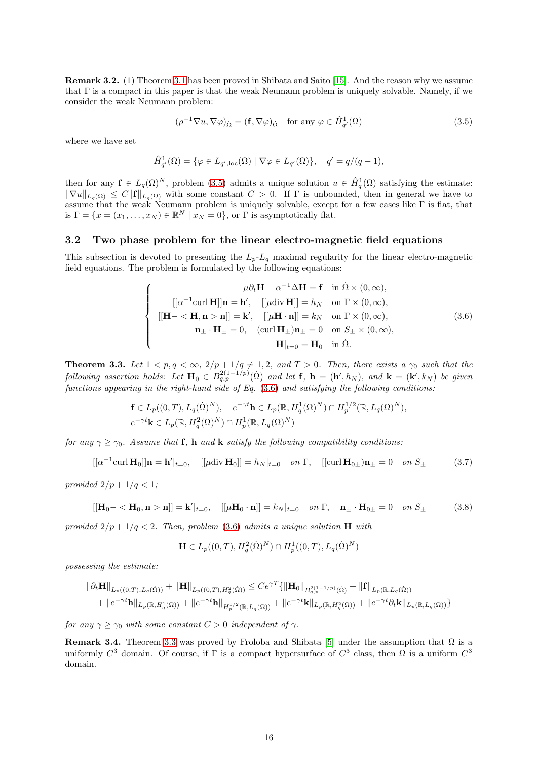Remark 3.2. (1) Theorem [3.1](#page-14-1) has been proved in Shibata and Saito [\[15\]](#page-35-9). And the reason why we assume that  $\Gamma$  is a compact in this paper is that the weak Neumann problem is uniquely solvable. Namely, if we consider the weak Neumann problem:

<span id="page-15-0"></span>
$$
(\rho^{-1}\nabla u, \nabla \varphi)_{\dot{\Omega}} = (\mathbf{f}, \nabla \varphi)_{\dot{\Omega}} \quad \text{for any } \varphi \in \hat{H}^1_{q'}(\Omega)
$$
 (3.5)

where we have set

$$
\hat{H}_{q'}^1(\Omega) = \{ \varphi \in L_{q',\text{loc}}(\Omega) \mid \nabla \varphi \in L_{q'}(\Omega) \}, \quad q' = q/(q-1),
$$

then for any  $f \in L_q(\Omega)^N$ , problem [\(3.5\)](#page-15-0) admits a unique solution  $u \in \hat{H}_q^1(\Omega)$  satisfying the estimate:  $\|\nabla u\|_{L_q(\Omega)} \leq C \|f\|_{L_q(\Omega)}$  with some constant  $C > 0$ . If  $\Gamma$  is unbounded, then in general we have to assume that the weak Neumann problem is uniquely solvable, except for a few cases like  $\Gamma$  is flat, that is  $\Gamma = \{x = (x_1, \dots, x_N) \in \mathbb{R}^N \mid x_N = 0\}$ , or  $\Gamma$  is asymptotically flat.

#### 3.2 Two phase problem for the linear electro-magnetic field equations

This subsection is devoted to presenting the  $L_p-L_q$  maximal regularity for the linear electro-magnetic field equations. The problem is formulated by the following equations:

<span id="page-15-1"></span>
$$
\begin{cases}\n\mu \partial_t \mathbf{H} - \alpha^{-1} \Delta \mathbf{H} = \mathbf{f} & \text{in } \Omega \times (0, \infty), \\
[ [\alpha^{-1} \text{curl } \mathbf{H}]] \mathbf{n} = \mathbf{h}', \quad [[\mu \text{div } \mathbf{H}]] = h_N & \text{on } \Gamma \times (0, \infty), \\
[ [\mathbf{H} - \langle \mathbf{H}, \mathbf{n} > \mathbf{n}]] = \mathbf{k}', \quad [[\mu \mathbf{H} \cdot \mathbf{n}]] = k_N & \text{on } \Gamma \times (0, \infty), \\
\mathbf{n}_{\pm} \cdot \mathbf{H}_{\pm} = 0, \quad (\text{curl } \mathbf{H}_{\pm}) \mathbf{n}_{\pm} = 0 & \text{on } S_{\pm} \times (0, \infty), \\
\mathbf{H}|_{t=0} = \mathbf{H}_0 & \text{in } \Omega.\n\end{cases}
$$
\n(3.6)

<span id="page-15-2"></span>**Theorem 3.3.** Let  $1 < p, q < \infty$ ,  $2/p + 1/q \neq 1, 2$ , and  $T > 0$ . Then, there exists a  $\gamma_0$  such that the *following assertion holds:* Let  $\mathbf{H}_0 \in B_{q,p}^{2(1-1/p)}(\Omega)$  and let **f**,  $\mathbf{h} = (\mathbf{h}', h_N)$ *, and*  $\mathbf{k} = (\mathbf{k}', k_N)$  be given *functions appearing in the right-hand side of Eq.* [\(3.6\)](#page-15-1) *and satisfying the following conditions:*

$$
\mathbf{f} \in L_p((0,T), L_q(\dot{\Omega})^N), \quad e^{-\gamma t} \mathbf{h} \in L_p(\mathbb{R}, H_q^1(\Omega)^N) \cap H_p^{1/2}(\mathbb{R}, L_q(\Omega)^N),
$$
  

$$
e^{-\gamma t} \mathbf{k} \in L_p(\mathbb{R}, H_q^2(\Omega)^N) \cap H_p^1(\mathbb{R}, L_q(\Omega)^N)
$$

*for any*  $\gamma \geq \gamma_0$ *. Assume that* **f**, **h** *and* **k** *satisfy the following compatibility conditions:* 

$$
[[\alpha^{-1}\text{curl }\mathbf{H}_0]]\mathbf{n} = \mathbf{h}'|_{t=0}, \quad [[\mu \text{div }\mathbf{H}_0]] = h_N|_{t=0} \quad on \ \Gamma, \quad [[\text{curl }\mathbf{H}_{0\pm})\mathbf{n}_{\pm} = 0 \quad on \ S_{\pm} \tag{3.7}
$$

*provided*  $2/p + 1/q < 1$ ;

$$
\left[\left[\mathbf{H}_0 - \langle \mathbf{H}_0, \mathbf{n} \rangle \mathbf{n}\right]\right] = \mathbf{k}'|_{t=0}, \quad \left[\left[\mu \mathbf{H}_0 \cdot \mathbf{n}\right]\right] = k_N|_{t=0} \quad on \ \Gamma, \quad \mathbf{n}_{\pm} \cdot \mathbf{H}_{0\pm} = 0 \quad on \ S_{\pm} \tag{3.8}
$$

*provided*  $2/p + 1/q < 2$ *. Then, problem* [\(3.6\)](#page-15-1) *admits a unique solution* **H** *with* 

$$
\mathbf{H} \in L_p((0,T), H_q^2(\dot{\Omega})^N) \cap H_p^1((0,T), L_q(\dot{\Omega})^N)
$$

*possessing the estimate:*

$$
\|\partial_t \mathbf{H}\|_{L_p((0,T),L_q(\dot{\Omega}))} + \|\mathbf{H}\|_{L_p((0,T),H_q^2(\dot{\Omega}))} \leq Ce^{\gamma T} \{\|\mathbf{H}_0\|_{B_{q,p}^{2(1-1/p)}(\dot{\Omega})} + \|\mathbf{f}\|_{L_p(\mathbb{R},L_q(\dot{\Omega}))} + \|e^{-\gamma t}\mathbf{h}\|_{L_p(\mathbb{R},H_q^1(\Omega))} + \|e^{-\gamma t}\mathbf{h}\|_{H_p^{1/2}(\mathbb{R},L_q(\Omega))} + \|e^{-\gamma t}\mathbf{h}\|_{L_p(\mathbb{R},H_q^2(\Omega))} + \|e^{-\gamma t}\partial_t \mathbf{k}\|_{L_p(\mathbb{R},L_q(\Omega))}\}
$$

*for any*  $\gamma \geq \gamma_0$  *with some constant*  $C > 0$  *independent of*  $\gamma$ *.* 

Remark 3.4. Theorem [3.3](#page-15-2) was proved by Froloba and Shibata [\[5\]](#page-35-0) under the assumption that  $\Omega$  is a uniformly  $C^3$  domain. Of course, if  $\Gamma$  is a compact hypersurface of  $C^3$  class, then  $\Omega$  is a uniform  $C^3$ domain.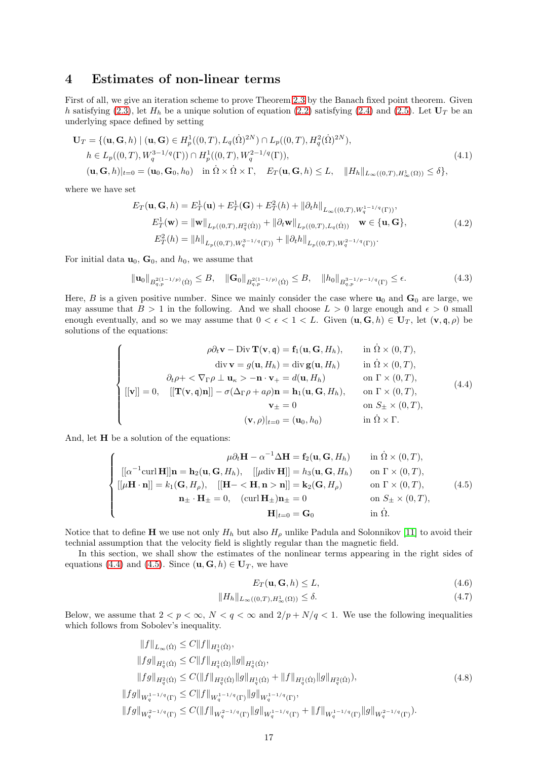## 4 Estimates of non-linear terms

First of all, we give an iteration scheme to prove Theorem [2.3](#page-13-2) by the Banach fixed point theorem. Given h satisfying [\(2.3\)](#page-3-5), let  $H_h$  be a unique solution of equation [\(2.2\)](#page-3-1) satisfying [\(2.4\)](#page-3-6) and [\(2.5\)](#page-3-7). Let  $U_T$  be an underlying space defined by setting

$$
\mathbf{U}_T = \{ (\mathbf{u}, \mathbf{G}, h) \mid (\mathbf{u}, \mathbf{G}) \in H_p^1((0, T), L_q(\dot{\Omega})^{2N}) \cap L_p((0, T), H_q^2(\dot{\Omega})^{2N}), h \in L_p((0, T), W_q^{3-1/q}(\Gamma)) \cap H_p^1((0, T), W_q^{2-1/q}(\Gamma)), (\mathbf{u}, \mathbf{G}, h)|_{t=0} = (\mathbf{u}_0, \mathbf{G}_0, h_0) \quad \text{in } \dot{\Omega} \times \dot{\Omega} \times \Gamma, \quad E_T(\mathbf{u}, \mathbf{G}, h) \le L, \quad ||H_h||_{L_\infty((0, T), H_\infty^1(\Omega))} \le \delta \},
$$
(4.1)

where we have set

$$
E_T(\mathbf{u}, \mathbf{G}, h) = E_T^1(\mathbf{u}) + E_T^1(\mathbf{G}) + E_T^2(h) + ||\partial_t h||_{L_{\infty}((0,T), W_q^{1-1/q}(\Gamma))},
$$
  
\n
$$
E_T^1(\mathbf{w}) = ||\mathbf{w}||_{L_p((0,T), H_q^2(\Omega))} + ||\partial_t \mathbf{w}||_{L_p((0,T), L_q(\Omega))} \mathbf{w} \in \{\mathbf{u}, \mathbf{G}\},
$$
  
\n
$$
E_T^2(h) = ||h||_{L_p((0,T), W_q^{3-1/q}(\Gamma))} + ||\partial_t h||_{L_p((0,T), W_q^{2-1/q}(\Gamma))}.
$$
\n(4.2)

For initial data  $\mathbf{u}_0, \mathbf{G}_0$ , and  $h_0$ , we assume that

<span id="page-16-5"></span>
$$
\|\mathbf{u}_0\|_{B_{q,p}^{2(1-1/p)}(\dot{\Omega})} \leq B, \quad \|\mathbf{G}_0\|_{B_{q,p}^{2(1-1/p)}(\dot{\Omega})} \leq B, \quad \|h_0\|_{B_{q,p}^{3-1/p-1/q}(\Gamma)} \leq \epsilon. \tag{4.3}
$$

Here, B is a given positive number. Since we mainly consider the case where  $\mathbf{u}_0$  and  $\mathbf{G}_0$  are large, we may assume that  $B > 1$  in the following. And we shall choose  $L > 0$  large enough and  $\epsilon > 0$  small enough eventually, and so we may assume that  $0 < \epsilon < 1 < L$ . Given  $(\mathbf{u}, \mathbf{G}, h) \in \mathbf{U}_T$ , let  $(\mathbf{v}, \mathbf{q}, \rho)$  be solutions of the equations:

<span id="page-16-0"></span>
$$
\begin{cases}\n\rho \partial_t \mathbf{v} - \text{Div } \mathbf{T}(\mathbf{v}, \mathbf{q}) = \mathbf{f}_1(\mathbf{u}, \mathbf{G}, H_h), & \text{in } \Omega \times (0, T), \\
\text{div } \mathbf{v} = g(\mathbf{u}, H_h) = \text{div } \mathbf{g}(\mathbf{u}, H_h) & \text{in } \Omega \times (0, T), \\
\partial_t \rho + \langle \nabla_{\Gamma} \rho \perp \mathbf{u}_\kappa \rangle - \mathbf{n} \cdot \mathbf{v}_+ = d(\mathbf{u}, H_h) & \text{on } \Gamma \times (0, T), \\
[[\mathbf{v}]] = 0, & [[\mathbf{T}(\mathbf{v}, \mathbf{q})\mathbf{n}]] - \sigma(\Delta_{\Gamma} \rho + a\rho) \mathbf{n} = \mathbf{h}_1(\mathbf{u}, \mathbf{G}, H_h), & \text{on } \Gamma \times (0, T), \\
\mathbf{v}_\pm = 0 & \text{on } S_\pm \times (0, T), \\
(\mathbf{v}, \rho)|_{t=0} = (\mathbf{u}_0, h_0) & \text{in } \Omega \times \Gamma.\n\end{cases}
$$
\n(4.4)

And, let H be a solution of the equations:

<span id="page-16-1"></span>
$$
\begin{cases}\n\mu \partial_t \mathbf{H} - \alpha^{-1} \Delta \mathbf{H} = \mathbf{f}_2(\mathbf{u}, \mathbf{G}, H_h) & \text{in } \Omega \times (0, T), \\
\left[ [\alpha^{-1} \text{curl } \mathbf{H}]] \mathbf{n} = \mathbf{h}_2(\mathbf{u}, \mathbf{G}, H_h), \quad \left[ [\mu \text{div } \mathbf{H}] \right] = h_3(\mathbf{u}, \mathbf{G}, H_h) & \text{on } \Gamma \times (0, T), \\
\left[ [\mu \mathbf{H} \cdot \mathbf{n}] \right] = k_1(\mathbf{G}, H_\rho), \quad \left[ [\mathbf{H} - \langle \mathbf{H}, \mathbf{n} > \mathbf{n}] \right] = \mathbf{k}_2(\mathbf{G}, H_\rho) & \text{on } \Gamma \times (0, T), \\
\mathbf{n}_\pm \cdot \mathbf{H}_\pm = 0, \quad (\text{curl } \mathbf{H}_\pm) \mathbf{n}_\pm = 0 & \text{on } S_\pm \times (0, T), \\
\mathbf{H}|_{t=0} = \mathbf{G}_0 & \text{in } \Omega.\n\end{cases} (4.5)
$$

Notice that to define **H** we use not only  $H_h$  but also  $H_\rho$  unlike Padula and Solonnikov [\[11\]](#page-35-4) to avoid their technial assumption that the velocity field is slightly regular than the magnetic field.

In this section, we shall show the estimates of the nonlinear terms appearing in the right sides of equations [\(4.4\)](#page-16-0) and [\(4.5\)](#page-16-1). Since  $(\mathbf{u}, \mathbf{G}, h) \in \mathbf{U}_T$ , we have

<span id="page-16-4"></span><span id="page-16-2"></span>
$$
E_T(\mathbf{u}, \mathbf{G}, h) \le L,\tag{4.6}
$$

$$
||H_h||_{L_{\infty}((0,T),H^1_{\infty}(\Omega))} \leq \delta. \tag{4.7}
$$

Below, we assume that  $2 < p < \infty$ ,  $N < q < \infty$  and  $2/p + N/q < 1$ . We use the following inequalities which follows from Sobolev's inequality.

<span id="page-16-3"></span>
$$
||f||_{L_{\infty}(\dot{\Omega})} \leq C||f||_{H_q^1(\dot{\Omega})},
$$
  
\n
$$
||fg||_{H_q^1(\dot{\Omega})} \leq C||f||_{H_q^1(\dot{\Omega})}||g||_{H_q^1(\dot{\Omega})},
$$
  
\n
$$
||fg||_{H_q^2(\dot{\Omega})} \leq C(||f||_{H_q^2(\dot{\Omega})}||g||_{H_q^1(\dot{\Omega})} + ||f||_{H_q^1(\dot{\Omega})}||g||_{H_q^2(\dot{\Omega})}),
$$
  
\n
$$
||fg||_{W_q^{1-1/q}(\Gamma)} \leq C||f||_{W_q^{1-1/q}(\Gamma)}||g||_{W_q^{1-1/q}(\Gamma)},
$$
  
\n
$$
||fg||_{W_q^{2-1/q}(\Gamma)} \leq C(||f||_{W_q^{2-1/q}(\Gamma)}||g||_{W_q^{1-1/q}(\Gamma)} + ||f||_{W_q^{1-1/q}(\Gamma)}||g||_{W_q^{2-1/q}(\Gamma)}).
$$
  
\n(4.8)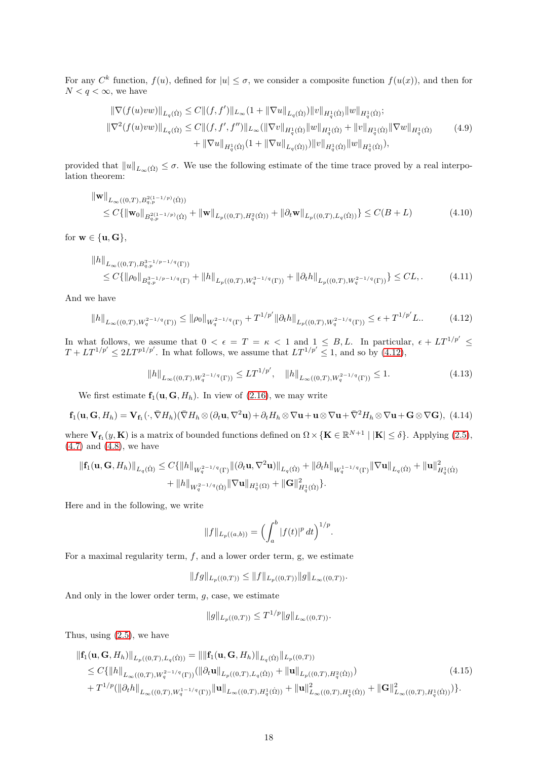For any  $C^k$  function,  $f(u)$ , defined for  $|u| \leq \sigma$ , we consider a composite function  $f(u(x))$ , and then for  $N < q < \infty$ , we have

<span id="page-17-4"></span>
$$
\|\nabla(f(u)vw)\|_{L_q(\dot{\Omega})} \leq C \|(f, f')\|_{L_\infty} (1 + \|\nabla u\|_{L_q(\dot{\Omega})}) \|v\|_{H_q^1(\dot{\Omega})} \|w\|_{H_q^1(\dot{\Omega})};
$$
  

$$
\|\nabla^2(f(u)vw)\|_{L_q(\dot{\Omega})} \leq C \|(f, f', f'')\|_{L_\infty} (\|\nabla v\|_{H_q^1(\dot{\Omega})} \|w\|_{H_q^1(\dot{\Omega})} + \|v\|_{H_q^1(\dot{\Omega})} \|\nabla w\|_{H_q^1(\dot{\Omega})}
$$
  

$$
+ \|\nabla u\|_{H_q^1(\dot{\Omega})} (1 + \|\nabla u\|_{L_q(\dot{\Omega}))}) \|v\|_{H_q^1(\dot{\Omega})} \|w\|_{H_q^1(\dot{\Omega})},
$$
 (4.9)

provided that  $||u||_{L_{\infty}(\dot{\Omega})} \leq \sigma$ . We use the following estimate of the time trace proved by a real interpolation theorem:

$$
\|\mathbf{w}\|_{L_{\infty}((0,T),B_{q,p}^{2(1-1/p)}(\dot{\Omega}))}\n\leq C\{\|\mathbf{w}_0\|_{B_{q,p}^{2(1-1/p)}(\dot{\Omega})} + \|\mathbf{w}\|_{L_p((0,T),H_q^2(\dot{\Omega}))} + \|\partial_t \mathbf{w}\|_{L_p((0,T),L_q(\dot{\Omega}))}\} \leq C(B+L)\n\tag{4.10}
$$

for  $\mathbf{w} \in \{\mathbf{u}, \mathbf{G}\},\}$ 

$$
||h||_{L_{\infty}((0,T),B_{q,p}^{3-1/p-1/q}(\Gamma))}
$$
  
\n
$$
\leq C\{||\rho_0||_{B_{q,p}^{3-1/p-1/q}(\Gamma)} + ||h||_{L_p((0,T),W_q^{3-1/q}(\Gamma))} + ||\partial_t h||_{L_p((0,T),W_q^{2-1/q}(\Gamma))}\} \leq CL,
$$
\n(4.11)

And we have

<span id="page-17-0"></span>
$$
||h||_{L_{\infty}((0,T),W_q^{2-1/q}(\Gamma))} \le ||\rho_0||_{W_q^{2-1/q}(\Gamma)} + T^{1/p'} ||\partial_t h||_{L_p((0,T),W_q^{2-1/q}(\Gamma))} \le \epsilon + T^{1/p'}L. \tag{4.12}
$$

In what follows, we assume that  $0 < \epsilon = T = \kappa < 1$  and  $1 \leq B, L$ . In particular,  $\epsilon + LT^{1/p'} \leq T + LT^{1/p'} \leq 2LT^{p1/p'}$ . In what follows, we assume that  $LT^{1/p'} \leq 1$ , and so by [\(4.12\)](#page-17-0),

<span id="page-17-3"></span><span id="page-17-2"></span><span id="page-17-1"></span>
$$
||h||_{L_{\infty}((0,T),W_q^{2-1/q}(\Gamma))} \le LT^{1/p'}, \quad ||h||_{L_{\infty}((0,T),W_q^{2-1/q}(\Gamma))} \le 1.
$$
\n(4.13)

We first estimate  $f_1(u, G, H_h)$ . In view of [\(2.16\)](#page-5-3), we may write

<span id="page-17-5"></span>
$$
\mathbf{f}_1(\mathbf{u}, \mathbf{G}, H_h) = \mathbf{V}_{\mathbf{f}_1}(\cdot, \bar{\nabla}H_h) (\bar{\nabla}H_h \otimes (\partial_t \mathbf{u}, \nabla^2 \mathbf{u}) + \partial_t H_h \otimes \nabla \mathbf{u} + \mathbf{u} \otimes \nabla \mathbf{u} + \bar{\nabla}^2 H_h \otimes \nabla \mathbf{u} + \mathbf{G} \otimes \nabla \mathbf{G}),
$$
(4.14)

where  $\mathbf{V}_{\mathbf{f}_1}(y, \mathbf{K})$  is a matrix of bounded functions defined on  $\Omega \times {\{\mathbf{K} \in \mathbb{R}^{N+1} \mid |\mathbf{K}| \leq \delta\}}$ . Applying [\(2.5\)](#page-3-7), [\(4.7\)](#page-16-2) and [\(4.8\)](#page-16-3), we have

$$
\begin{aligned} \|\mathbf{f}_1(\mathbf{u}, \mathbf{G}, H_h)\|_{L_q(\dot{\Omega})} &\leq C \{ \|h\|_{W_q^{2-1/q}(\Gamma)} \|(\partial_t \mathbf{u}, \nabla^2 \mathbf{u})\|_{L_q(\dot{\Omega})} + \|\partial_t h\|_{W_q^{1-1/q}(\Gamma)} \|\nabla \mathbf{u}\|_{L_q(\dot{\Omega})} + \|\mathbf{u}\|_{H_q^1(\dot{\Omega})}^2 \\ &+ \|h\|_{W_q^{2-1/q}(\dot{\Omega})} \|\nabla \mathbf{u}\|_{H_q^1(\Omega)} + \|\mathbf{G}\|_{H_q^1(\dot{\Omega})}^2 \} .\end{aligned}
$$

Here and in the following, we write

$$
||f||_{L_p((a,b))} = \Bigl(\int_a^b |f(t)|^p dt\Bigr)^{1/p}.
$$

For a maximal regularity term,  $f$ , and a lower order term, g, we estimate

 $||fg||_{L_p((0,T))} \leq ||f||_{L_p((0,T))}||g||_{L_\infty((0,T))}.$ 

And only in the lower order term,  $q$ , case, we estimate

$$
||g||_{L_p((0,T))} \leq T^{1/p} ||g||_{L_\infty((0,T))}.
$$

Thus, using [\(2.5\)](#page-3-7), we have

$$
\begin{split} \|\mathbf{f}_{1}(\mathbf{u}, \mathbf{G}, H_{h})\|_{L_{p}((0,T), L_{q}(\dot{\Omega}))} &= \|\|\mathbf{f}_{1}(\mathbf{u}, \mathbf{G}, H_{h})\|_{L_{q}(\dot{\Omega})}\|_{L_{p}((0,T))} \\ &\leq C\{\|h\|_{L_{\infty}((0,T), W_{q}^{2-1/q}(\Gamma))}(\|\partial_{t}\mathbf{u}\|_{L_{p}((0,T), L_{q}(\dot{\Omega}))} + \|\mathbf{u}\|_{L_{p}((0,T), H_{q}^{2}(\dot{\Omega}))}) \\ &+ T^{1/p}(\|\partial_{t}h\|_{L_{\infty}((0,T), W_{q}^{1-1/q}(\Gamma))}\|\mathbf{u}\|_{L_{\infty}((0,T), H_{q}^{1}(\dot{\Omega}))} + \|\mathbf{u}\|_{L_{\infty}((0,T), H_{q}^{1}(\dot{\Omega}))}^{2} + \|\mathbf{G}\|_{L_{\infty}((0,T), H_{q}^{1}(\dot{\Omega}))}^{2})\}.\end{split} \tag{4.15}
$$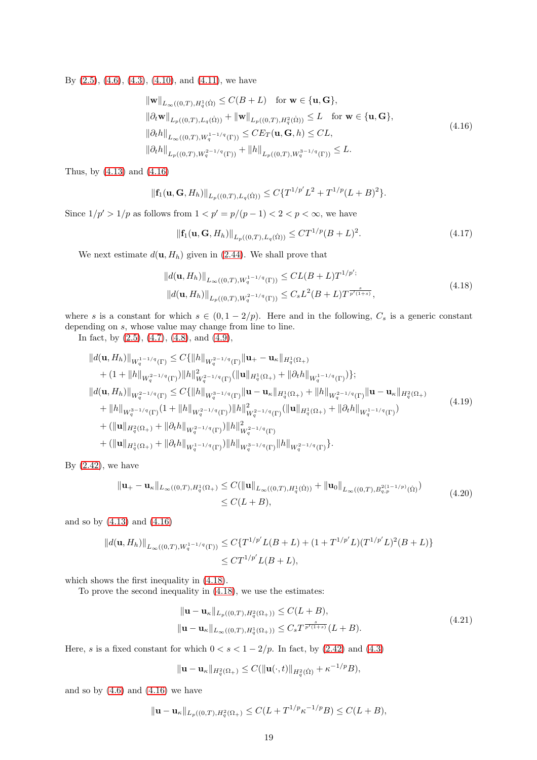By  $(2.5)$ ,  $(4.6)$ ,  $(4.3)$ ,  $(4.10)$ , and  $(4.11)$ , we have

<span id="page-18-0"></span>
$$
\|\mathbf{w}\|_{L_{\infty}((0,T),H_{q}^{1}(\dot{\Omega})} \leq C(B+L) \quad \text{for } \mathbf{w} \in \{\mathbf{u}, \mathbf{G}\},
$$
  
\n
$$
\|\partial_{t}\mathbf{w}\|_{L_{p}((0,T),L_{q}(\dot{\Omega}))} + \|\mathbf{w}\|_{L_{p}((0,T),H_{q}^{2}(\dot{\Omega}))} \leq L \quad \text{for } \mathbf{w} \in \{\mathbf{u}, \mathbf{G}\},
$$
  
\n
$$
\|\partial_{t}h\|_{L_{\infty}((0,T),W_{q}^{1-1/q}(\Gamma))} \leq C E_{T}(\mathbf{u}, \mathbf{G}, h) \leq CL,
$$
  
\n
$$
\|\partial_{t}h\|_{L_{p}((0,T),W_{q}^{2-1/q}(\Gamma))} + \|h\|_{L_{p}((0,T),W_{q}^{3-1/q}(\Gamma))} \leq L.
$$
\n(4.16)

Thus, by [\(4.13\)](#page-17-3) and [\(4.16\)](#page-18-0)

$$
\|\mathbf{f}_1(\mathbf{u},\mathbf{G},H_h)\|_{L_p((0,T),L_q(\dot{\Omega}))} \leq C\{T^{1/p'}L^2+T^{1/p}(L+B)^2\}.
$$

Since  $1/p' > 1/p$  as follows from  $1 < p' = p/(p-1) < 2 < p < \infty$ , we have

<span id="page-18-4"></span>
$$
\|\mathbf{f}_1(\mathbf{u}, \mathbf{G}, H_h)\|_{L_p((0,T), L_q(\dot{\Omega}))} \le C T^{1/p} (B + L)^2.
$$
 (4.17)

We next estimate  $d(\mathbf{u}, H_h)$  given in [\(2.44\)](#page-11-2). We shall prove that

<span id="page-18-1"></span>
$$
||d(\mathbf{u}, H_h)||_{L_{\infty}((0,T), W_q^{1-1/q}(\Gamma))} \leq CL(B+L)T^{1/p';}
$$
  

$$
||d(\mathbf{u}, H_h)||_{L_p((0,T), W_q^{2-1/q}(\Gamma))} \leq C_sL^2(B+L)T^{\frac{s}{p'(1+s)}},
$$
\n(4.18)

where s is a constant for which  $s \in (0, 1 - 2/p)$ . Here and in the following,  $C_s$  is a generic constant depending on s, whose value may change from line to line.

In fact, by  $(2.5)$ ,  $(4.7)$ ,  $(4.8)$ , and  $(4.9)$ ,

<span id="page-18-3"></span>
$$
\|d(\mathbf{u}, H_h)\|_{W_q^{1-1/q}(\Gamma)} \leq C\{\|h\|_{W_q^{2-1/q}(\Gamma)}\|\mathbf{u}_+ - \mathbf{u}_\kappa\|_{H_q^1(\Omega_+)}\n+ (1 + \|h\|_{W_q^{2-1/q}(\Gamma)})\|h\|_{W_q^{2-1/q}(\Gamma)}^2(\|\mathbf{u}\|_{H_q^1(\Omega_+)} + \| \partial_t h\|_{W_q^{1-1/q}(\Gamma)})\};\n\|d(\mathbf{u}, H_h)\|_{W_q^{2-1/q}(\Gamma)} \leq C\{\|h\|_{W_q^{3-1/q}(\Gamma)}\|\mathbf{u} - \mathbf{u}_\kappa\|_{H_q^1(\Omega_+)} + \|h\|_{W_q^{2-1/q}(\Gamma)}\|\mathbf{u} - \mathbf{u}_\kappa\|_{H_q^2(\Omega_+)}\n+ \|h\|_{W_q^{3-1/q}(\Gamma)}(1 + \|h\|_{W_q^{2-1/q}(\Gamma)})\|h\|_{W_q^{2-1/q}(\Gamma)}^2(\|\mathbf{u}\|_{H_q^1(\Omega_+)} + \|\partial_t h\|_{W_q^{1-1/q}(\Gamma)})\n+ (\|\mathbf{u}\|_{H_q^2(\Omega_+)} + \|\partial_t h\|_{W_q^{2-1/q}(\Gamma)})\|h\|_{W_q^{2-1/q}(\Gamma)}^2(\|\mathbf{u}\|_{H_q^{2-1/q}(\Gamma)}.
$$
\n(4.19)

By  $(2.42)$ , we have

$$
\|\mathbf{u}_{+} - \mathbf{u}_{\kappa}\|_{L_{\infty}((0,T),H_{q}^{1}(\Omega_{+})} \leq C(\|\mathbf{u}\|_{L_{\infty}((0,T),H_{q}^{1}(\Omega))} + \|\mathbf{u}_{0}\|_{L_{\infty}((0,T),B_{q,p}^{2(1-1/p)}(\Omega))}
$$
\n
$$
\leq C(L+B),
$$
\n(4.20)

and so by [\(4.13\)](#page-17-3) and [\(4.16\)](#page-18-0)

$$
||d(\mathbf{u}, H_h)||_{L_{\infty}((0,T), W_q^{1-1/q}(\Gamma))} \le C\{T^{1/p'}L(B+L) + (1+T^{1/p'}L)(T^{1/p'}L)^2(B+L)\}\n\le CT^{1/p'}L(B+L),
$$

which shows the first inequality in [\(4.18\)](#page-18-1).

To prove the second inequality in [\(4.18\)](#page-18-1), we use the estimates:

<span id="page-18-2"></span>
$$
\|\mathbf{u} - \mathbf{u}_{\kappa}\|_{L_p((0,T),H_q^2(\Omega_+))} \le C(L+B),
$$
  

$$
\|\mathbf{u} - \mathbf{u}_{\kappa}\|_{L_\infty((0,T),H_q^1(\Omega_+))} \le C_s T^{\frac{s}{p'(1+s)}}(L+B).
$$
 (4.21)

Here, s is a fixed constant for which  $0 < s < 1 - 2/p$ . In fact, by [\(2.42\)](#page-11-3) and [\(4.3\)](#page-16-5)

$$
\|\mathbf{u}-\mathbf{u}_{\kappa}\|_{H_q^2(\Omega_+)} \leq C(\|\mathbf{u}(\cdot,t)\|_{H_q^2(\Omega)} + \kappa^{-1/p}B),
$$

and so by  $(4.6)$  and  $(4.16)$  we have

$$
\|\mathbf{u}-\mathbf{u}_{\kappa}\|_{L_p((0,T),H_q^2(\Omega_+)} \leq C(L+T^{1/p}\kappa^{-1/p}B) \leq C(L+B),
$$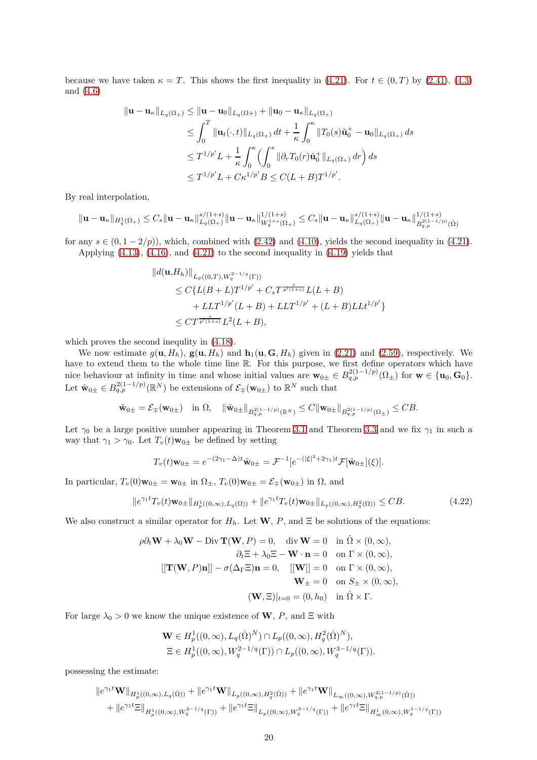because we have taken  $\kappa = T$ . This shows the first inequality in [\(4.21\)](#page-18-2). For  $t \in (0, T)$  by [\(2.41\)](#page-11-4), [\(4.3\)](#page-16-5) and [\(4.6\)](#page-16-4)

$$
\begin{aligned}\n\|\mathbf{u} - \mathbf{u}_{\kappa}\|_{L_q(\Omega_+)} &\leq \|\mathbf{u} - \mathbf{u}_0\|_{L_q(\Omega_+)} + \|\mathbf{u}_0 - \mathbf{u}_{\kappa}\|_{L_q(\Omega_+)} \\
&\leq \int_0^T \|\mathbf{u}_t(\cdot, t)\|_{L_q(\Omega_+)} dt + \frac{1}{\kappa} \int_0^\kappa \|T_0(s)\tilde{\mathbf{u}}_0^+ - \mathbf{u}_0\|_{L_q(\Omega_+)} ds \\
&\leq T^{1/p'} L + \frac{1}{\kappa} \int_0^\kappa \left(\int_0^s \|\partial_r T_0(r)\tilde{\mathbf{u}}_0^+\|_{L_q(\Omega_+)} dr\right) ds \\
&\leq T^{1/p'} L + C\kappa^{1/p'} B \leq C(L + B)T^{1/p'}.\n\end{aligned}
$$

By real interpolation,

$$
\|\mathbf{u}-\mathbf{u}_{\kappa}\|_{H_q^1(\Omega_+)} \leq C_s \|\mathbf{u}-\mathbf{u}_{\kappa}\|_{L_q(\Omega_+)}^{s/(1+s)} \|\mathbf{u}-\mathbf{u}_{\kappa}\|_{W_q^{1+s}(\Omega_+)}^{1/(1+s)} \leq C_s \|\mathbf{u}-\mathbf{u}_{\kappa}\|_{L_q(\Omega_+)}^{s/(1+s)} \|\mathbf{u}-\mathbf{u}_{\kappa}\|_{B_{q,p}^{2(1-1/p)}(\Omega)}^{1/(1+s)}
$$

for any  $s \in (0, 1-2/p)$ , which, combined with  $(2.42)$  and  $(4.10)$ , yields the second inequality in  $(4.21)$ . Applying  $(4.13)$ ,  $(4.16)$ , and  $(4.21)$  to the second inequality in  $(4.19)$  yields that

$$
||d(\mathbf{u}, H_h)||_{L_p((0,T), W_q^{2-1/q}(\Gamma))}
$$
  
\n
$$
\leq C\{L(B+L)T^{1/p'} + C_sT^{\frac{s}{p'(1+s)}}L(L+B)
$$
  
\n
$$
+ LLT^{1/p'}(L+B) + LLT^{1/p'} + (L+B)LL^{1/p'}\}
$$
  
\n
$$
\leq C T^{\frac{s}{p'(1+s)}}L^2(L+B),
$$

which proves the second inequlity in  $(4.18)$ .

We now estimate  $g(\mathbf{u}, H_h)$ ,  $g(\mathbf{u}, H_h)$  and  $\mathbf{h}_1(\mathbf{u}, \mathbf{G}, H_h)$  given in [\(2.21\)](#page-6-1) and [\(2.59\)](#page-12-4), respectively. We have to extend them to the whole time line  $\mathbb R$ . For this purpose, we first define operators which have nice behaviour at infinity in time and whose initial values are  $\mathbf{w}_{0\pm} \in B_{q,p}^{2(1-1/p)}(\Omega_{\pm})$  for  $\mathbf{w} \in {\{\mathbf{u}_0,\mathbf{G}_0\}}$ . Let  $\tilde{\mathbf{w}}_{0\pm} \in B_{q,p}^{2(1-1/p)}(\mathbb{R}^N)$  be extensions of  $\mathcal{E}_{\mp}(\mathbf{w}_{0\pm})$  to  $\mathbb{R}^N$  such that

$$
\tilde{\mathbf{w}}_{0\pm} = \mathcal{E}_{\mp}(\mathbf{w}_{0\pm}) \quad \text{in } \Omega, \quad \|\tilde{\mathbf{w}}_{0\pm}\|_{B^{2(1-1/p)}_{q,p}(\mathbb{R}^N)} \leq C \|\mathbf{w}_{0\pm}\|_{B^{2(1-1/p)}_{q,p}(\Omega_{\pm})} \leq CB.
$$

Let  $\gamma_0$  be a large positive number appearing in Theorem [3.1](#page-14-1) and Theorem [3.3](#page-15-2) and we fix  $\gamma_1$  in such a way that  $\gamma_1 > \gamma_0$ . Let  $T_v(t) \mathbf{w}_{0\pm}$  be defined by setting

$$
T_v(t)\mathbf{w}_{0\pm} = e^{-(2\gamma_1 - \Delta)t}\tilde{\mathbf{w}}_{0\pm} = \mathcal{F}^{-1}[e^{-(|\xi|^2 + 2\gamma_1)t}\mathcal{F}[\tilde{\mathbf{w}}_{0\pm}](\xi)].
$$

In particular,  $T_v(0)\mathbf{w}_{0\pm} = \mathbf{w}_{0\pm}$  in  $\Omega_{\pm}$ ,  $T_v(0)\mathbf{w}_{0\pm} = \mathcal{E}_{\mp}(\mathbf{w}_{0\pm})$  in  $\Omega$ , and

<span id="page-19-0"></span>
$$
\|e^{\gamma_1 t} T_v(t) \mathbf{w}_{0\pm}\|_{H_p^1((0,\infty), L_q(\Omega))} + \|e^{\gamma_1 t} T_v(t) \mathbf{w}_{0\pm}\|_{L_p((0,\infty), H_q^2(\Omega))} \leq CB.
$$
 (4.22)

We also construct a similar operator for  $H_h$ . Let **W**, P, and  $\Xi$  be solutions of the equations:

$$
\rho \partial_t \mathbf{W} + \lambda_0 \mathbf{W} - \text{Div } \mathbf{T}(\mathbf{W}, P) = 0, \quad \text{div } \mathbf{W} = 0 \quad \text{in } \Omega \times (0, \infty),
$$
  
\n
$$
\partial_t \Xi + \lambda_0 \Xi - \mathbf{W} \cdot \mathbf{n} = 0 \quad \text{on } \Gamma \times (0, \infty),
$$
  
\n
$$
[[\mathbf{T}(\mathbf{W}, P)\mathbf{n}]] - \sigma(\Delta_\Gamma \Xi)\mathbf{n} = 0, \quad [[\mathbf{W}]] = 0 \quad \text{on } \Gamma \times (0, \infty),
$$
  
\n
$$
\mathbf{W}_{\pm} = 0 \quad \text{on } S_{\pm} \times (0, \infty),
$$
  
\n
$$
(\mathbf{W}, \Xi)|_{t=0} = (0, h_0) \quad \text{in } \Omega \times \Gamma.
$$

For large  $\lambda_0 > 0$  we know the unique existence of **W**, P, and  $\Xi$  with

$$
\mathbf{W} \in H_p^1((0,\infty), L_q(\dot{\Omega})^N) \cap L_p((0,\infty), H_q^2(\dot{\Omega})^N),
$$
  

$$
\Xi \in H_p^1((0,\infty), W_q^{2-1/q}(\Gamma)) \cap L_p((0,\infty), W_q^{3-1/q}(\Gamma)).
$$

possessing the estimate:

$$
\begin{aligned} \|e^{\gamma_1 t} \mathbf{W}\|_{H_p^1((0,\infty),L_q(\dot{\Omega}))} + \|e^{\gamma_1 t} \mathbf{W}\|_{L_p((0,\infty),H_q^2(\dot{\Omega}))} + \|e^{\gamma_1 t} \mathbf{W}\|_{L_\infty((0,\infty),W_{q,p}^{2(1-1/p)}(\dot{\Omega}))} \\ + \|e^{\gamma_1 t} \Xi\|_{H_p^1((0,\infty),W_q^{2-1/q}(\Gamma))} + \|e^{\gamma_1 t} \Xi\|_{L_p((0,\infty),W_q^{3-1/q}(\Gamma))} + \|e^{\gamma_1 t} \Xi\|_{H_\infty^1(0,\infty),W_q^{1-1/q}(\Gamma))} \end{aligned}
$$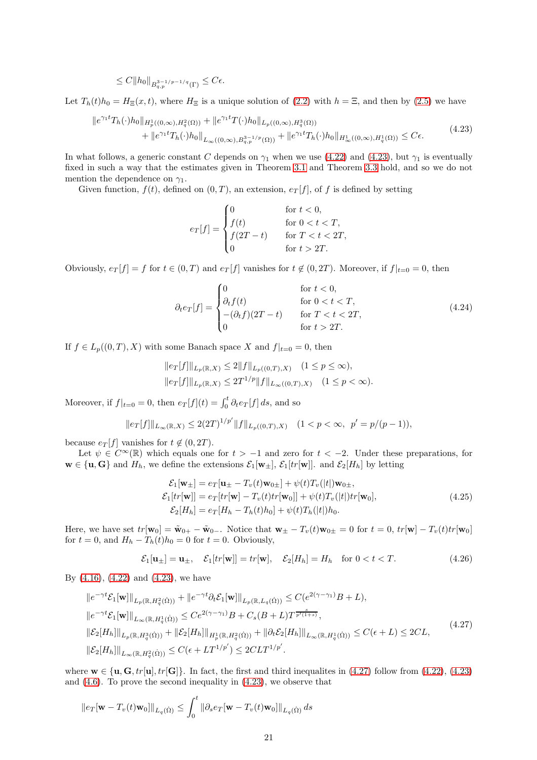$$
\leq C \|h_0\|_{B^{3-1/p-1/q}_{q,p}(\Gamma)} \leq C\epsilon.
$$

Let  $T_h(t)h_0 = H_{\Xi}(x, t)$ , where  $H_{\Xi}$  is a unique solution of [\(2.2\)](#page-3-1) with  $h = \Xi$ , and then by [\(2.5\)](#page-3-7) we have

<span id="page-20-0"></span>
$$
\|e^{\gamma_1 t}T_h(\cdot)h_0\|_{H_p^1((0,\infty),H_q^2(\Omega))} + \|e^{\gamma_1 t}T(\cdot)h_0\|_{L_p((0,\infty),H_q^3(\Omega))} + \|e^{\gamma_1 t}T_h(\cdot)h_0\|_{L_\infty((0,\infty),B_{q,p}^{3-1/p}(\Omega))} + \|e^{\gamma_1 t}T_h(\cdot)h_0\|_{H_\infty^1((0,\infty),H_q^1(\Omega))} \leq C\epsilon.
$$
\n(4.23)

In what follows, a generic constant C depends on  $\gamma_1$  when we use [\(4.22\)](#page-19-0) and [\(4.23\)](#page-20-0), but  $\gamma_1$  is eventually fixed in such a way that the estimates given in Theorem [3.1](#page-14-1) and Theorem [3.3](#page-15-2) hold, and so we do not mention the dependence on  $\gamma_1$ .

Given function,  $f(t)$ , defined on  $(0, T)$ , an extension,  $e_T[f]$ , of f is defined by setting

$$
e_T[f] = \begin{cases} 0 & \text{for } t < 0, \\ f(t) & \text{for } 0 < t < T, \\ f(2T - t) & \text{for } T < t < 2T, \\ 0 & \text{for } t > 2T. \end{cases}
$$

Obviously,  $e_T[f] = f$  for  $t \in (0, T)$  and  $e_T[f]$  vanishes for  $t \notin (0, 2T)$ . Moreover, if  $f|_{t=0} = 0$ , then

<span id="page-20-3"></span>
$$
\partial_t e_T[f] = \begin{cases}\n0 & \text{for } t < 0, \\
\partial_t f(t) & \text{for } 0 < t < T, \\
-(\partial_t f)(2T - t) & \text{for } T < t < 2T, \\
0 & \text{for } t > 2T.\n\end{cases}\n\tag{4.24}
$$

If  $f \in L_p((0,T), X)$  with some Banach space X and  $f|_{t=0} = 0$ , then

$$
||e_T[f]||_{L_p(\mathbb{R},X)} \le 2||f||_{L_p((0,T),X)} \quad (1 \le p \le \infty),
$$
  

$$
||e_T[f]||_{L_p(\mathbb{R},X)} \le 2T^{1/p}||f||_{L_\infty((0,T),X)} \quad (1 \le p < \infty).
$$

Moreover, if  $f|_{t=0} = 0$ , then  $e_T[f](t) = \int_0^t \partial_t e_T[f] ds$ , and so

$$
||e_T[f]||_{L_{\infty}(\mathbb{R},X)} \le 2(2T)^{1/p'}||f||_{L_p((0,T),X)} \quad (1 < p < \infty, \ \ p' = p/(p-1)),
$$

because  $e_T[f]$  vanishes for  $t \notin (0, 2T)$ .

Let  $\psi \in C^{\infty}(\mathbb{R})$  which equals one for  $t > -1$  and zero for  $t < -2$ . Under these preparations, for  $\mathbf{w} \in \{\mathbf{u}, \mathbf{G}\}\$ and  $H_h$ , we define the extensions  $\mathcal{E}_1[\mathbf{w}_\pm], \mathcal{E}_1[tr[\mathbf{w}]]$ . and  $\mathcal{E}_2[H_h]$  by letting

<span id="page-20-2"></span>
$$
\mathcal{E}_1[\mathbf{w}_{\pm}] = e_T[\mathbf{u}_{\pm} - T_v(t)\mathbf{w}_{0\pm}] + \psi(t)T_v(|t|)\mathbf{w}_{0\pm},
$$
  
\n
$$
\mathcal{E}_1[tr[\mathbf{w}]] = e_T[tr[\mathbf{w}] - T_v(t)tr[\mathbf{w}_0]] + \psi(t)T_v(|t|)tr[\mathbf{w}_0],
$$
  
\n
$$
\mathcal{E}_2[H_h] = e_T[H_h - T_h(t)h_0] + \psi(t)T_h(|t|)h_0.
$$
\n(4.25)

Here, we have set  $tr[\mathbf{w}_0] = \tilde{\mathbf{w}}_{0+} - \tilde{\mathbf{w}}_{0-}$ . Notice that  $\mathbf{w}_{\pm} - T_v(t)\mathbf{w}_{0\pm} = 0$  for  $t = 0$ ,  $tr[\mathbf{w}] - T_v(t)tr[\mathbf{w}_0]$ for  $t = 0$ , and  $H_h - T_h(t)h_0 = 0$  for  $t = 0$ . Obviously,

$$
\mathcal{E}_1[\mathbf{u}_\pm] = \mathbf{u}_\pm, \quad \mathcal{E}_1[tr[\mathbf{w}]] = tr[\mathbf{w}], \quad \mathcal{E}_2[H_h] = H_h \quad \text{for } 0 < t < T. \tag{4.26}
$$

By [\(4.16\)](#page-18-0), [\(4.22\)](#page-19-0) and [\(4.23\)](#page-20-0), we have

<span id="page-20-1"></span>
$$
\|e^{-\gamma t}\mathcal{E}_{1}[\mathbf{w}]\|_{L_{p}(\mathbb{R},H_{q}^{2}(\dot{\Omega}))} + \|e^{-\gamma t}\partial_{t}\mathcal{E}_{1}[\mathbf{w}]\|_{L_{p}(\mathbb{R},L_{q}(\dot{\Omega}))} \leq C(e^{2(\gamma-\gamma_{1})}B+L),
$$
  
\n
$$
\|e^{-\gamma t}\mathcal{E}_{1}[\mathbf{w}]\|_{L_{\infty}(\mathbb{R},H_{q}^{1}(\dot{\Omega}))} \leq Ce^{2(\gamma-\gamma_{1})}B + C_{s}(B+L)T^{\frac{s}{p'(1+s)}},
$$
  
\n
$$
\|\mathcal{E}_{2}[H_{h}]\|_{L_{p}(\mathbb{R},H_{q}^{3}(\dot{\Omega}))} + \|\mathcal{E}_{2}[H_{h}]\|_{H_{p}^{1}(\mathbb{R},H_{q}^{2}(\dot{\Omega}))} + \|\partial_{t}\mathcal{E}_{2}[H_{h}]\|_{L_{\infty}(\mathbb{R},H_{q}^{1}(\dot{\Omega}))} \leq C(\epsilon+L) \leq 2CL,
$$
  
\n
$$
\|\mathcal{E}_{2}[H_{h}]\|_{L_{\infty}(\mathbb{R},H_{q}^{2}(\dot{\Omega}))} \leq C(\epsilon+LT^{1/p'}) \leq 2CLT^{1/p'}.
$$
  
\n(4.27)

where  $\mathbf{w} \in {\mathbf{u}, \mathbf{G}, tr[\mathbf{u}], tr[\mathbf{G}]}.$  In fact, the first and third inequalites in [\(4.27\)](#page-20-1) follow from [\(4.22\)](#page-19-0), [\(4.23\)](#page-20-0) and [\(4.6\)](#page-16-4). To prove the second inequality in [\(4.23\)](#page-20-0), we observe that

$$
\|e_T[\mathbf{w} - T_v(t)\mathbf{w}_0]\|_{L_q(\dot{\Omega})} \le \int_0^t \|\partial_s e_T[\mathbf{w} - T_v(t)\mathbf{w}_0]\|_{L_q(\dot{\Omega})} ds
$$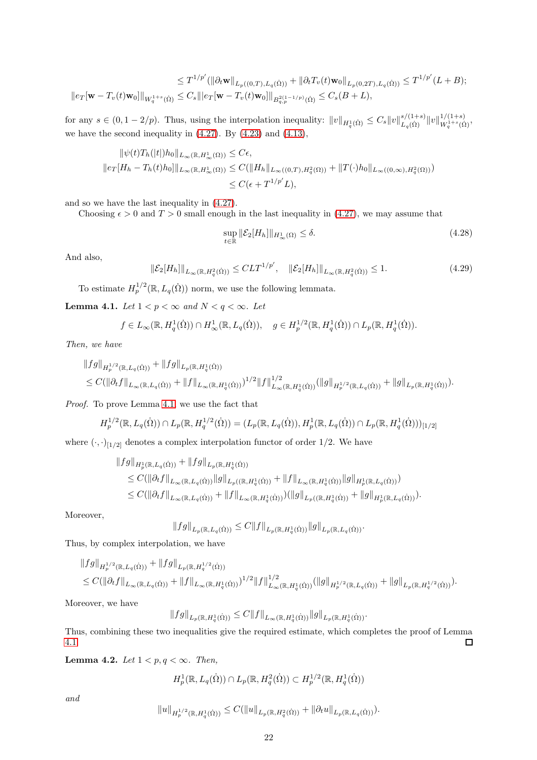$$
\leq T^{1/p'}(\|\partial_t \mathbf{w}\|_{L_p((0,T),L_q(\dot{\Omega}))} + \|\partial_t T_v(t)\mathbf{w}_0\|_{L_p(0,2T),L_q(\dot{\Omega}))} \leq T^{1/p'}(L+B);
$$
  

$$
\|e_T[\mathbf{w} - T_v(t)\mathbf{w}_0]\|_{W_q^{1+s}(\dot{\Omega})} \leq C_s \||e_T[\mathbf{w} - T_v(t)\mathbf{w}_0]\|_{B_{q,p}^{2(1-1/p)}(\dot{\Omega})} \leq C_s(B+L),
$$

for any  $s \in (0, 1-2/p)$ . Thus, using the interpolation inequality:  $||v||_{H_q^1(\dot{\Omega})} \leq C_s ||v||_{L_q(\dot{\Omega})}^{s/(1+s)} ||v||_{W_q^{1+s}(\dot{\Omega})}^{1/(1+s)}$  $W_q^{1+s}(\dot{\Omega}),$ we have the second inequality in  $(4.27)$ . By  $(4.23)$  and  $(4.13)$ ,

$$
\|\psi(t)T_h(|t|)h_0\|_{L_\infty(\mathbb{R}, H^1_\infty(\Omega))} \leq C\epsilon,
$$
  

$$
\|e_T[H_h - T_h(t)h_0]\|_{L_\infty(\mathbb{R}, H^1_\infty(\Omega))} \leq C(\|H_h\|_{L_\infty((0,T), H^2_q(\Omega))} + \|T(\cdot)h_0\|_{L_\infty((0,\infty), H^2_q(\Omega))})
$$
  

$$
\leq C(\epsilon + T^{1/p'}L),
$$

and so we have the last inequality in [\(4.27\)](#page-20-1).

Choosing  $\epsilon > 0$  and  $T > 0$  small enough in the last inequality in [\(4.27\)](#page-20-1), we may assume that

<span id="page-21-1"></span>
$$
\sup_{t \in \mathbb{R}} \|\mathcal{E}_2[H_h]\|_{H^1_{\infty}(\Omega)} \le \delta. \tag{4.28}
$$

And also,

<span id="page-21-3"></span> $\|\mathcal{E}_2[H_h]\|_{L_\infty(\mathbb{R}, H_q^2(\dot{\Omega}))} \leq CLT^{1/p'}, \quad \|\mathcal{E}_2[H_h]\|_{L_\infty(\mathbb{R}, H_q^2(\dot{\Omega}))} \leq 1.$ (4.29)

To estimate  $H_p^{1/2}(\mathbb{R}, L_q(\dot{\Omega}))$  norm, we use the following lemmata.

<span id="page-21-0"></span>**Lemma 4.1.** *Let*  $1 < p < \infty$  *and*  $N < q < \infty$ *. Let* 

$$
f\in L_{\infty}(\mathbb{R}, H_q^1(\dot{\Omega}))\cap H_{\infty}^1(\mathbb{R}, L_q(\dot{\Omega})), \quad g\in H_p^{1/2}(\mathbb{R}, H_q^1(\dot{\Omega}))\cap L_p(\mathbb{R}, H_q^1(\dot{\Omega})).
$$

*Then, we have*

$$
||fg||_{H^{1/2}_p(\mathbb{R},L_q(\dot{\Omega}))} + ||fg||_{L_p(\mathbb{R},H^1_q(\dot{\Omega}))}
$$
  
\n
$$
\leq C(||\partial_t f||_{L_\infty(\mathbb{R},L_q(\dot{\Omega}))} + ||f||_{L_\infty(\mathbb{R},H^1_q(\dot{\Omega}))})^{1/2} ||f||^{1/2}_{L_\infty(\mathbb{R},H^1_q(\dot{\Omega}))} (||g||_{H^{1/2}_p(\mathbb{R},L_q(\dot{\Omega}))} + ||g||_{L_p(\mathbb{R},H^1_q(\dot{\Omega}))}).
$$

*Proof.* To prove Lemma [4.1,](#page-21-0) we use the fact that

$$
H_p^{1/2}(\mathbb{R}, L_q(\dot{\Omega})) \cap L_p(\mathbb{R}, H_q^{1/2}(\dot{\Omega})) = (L_p(\mathbb{R}, L_q(\dot{\Omega})), H_p^1(\mathbb{R}, L_q(\dot{\Omega})) \cap L_p(\mathbb{R}, H_q^1(\dot{\Omega})))_{[1/2]}
$$

where  $(\cdot, \cdot)_{[1/2]}$  denotes a complex interpolation functor of order 1/2. We have

$$
\|fg\|_{H_p^1(\mathbb{R}, L_q(\dot{\Omega}))} + \|fg\|_{L_p(\mathbb{R}, H_q^1(\dot{\Omega}))}
$$
  
\n
$$
\leq C(||\partial_t f||_{L_\infty(\mathbb{R}, L_q(\dot{\Omega}))} ||g||_{L_p((\mathbb{R}, H_q^1(\dot{\Omega}))} + \|f||_{L_\infty(\mathbb{R}, H_q^1(\dot{\Omega}))} ||g||_{H_p^1(\mathbb{R}, L_q(\dot{\Omega}))})
$$
  
\n
$$
\leq C(||\partial_t f||_{L_\infty(\mathbb{R}, L_q(\dot{\Omega}))} + ||f||_{L_\infty(\mathbb{R}, H_q^1(\dot{\Omega}))}) (||g||_{L_p((\mathbb{R}, H_q^1(\dot{\Omega}))} + ||g||_{H_p^1(\mathbb{R}, L_q(\dot{\Omega}))}).
$$

Moreover,

$$
||fg||_{L_p(\mathbb{R}, L_q(\dot{\Omega}))} \leq C||f||_{L_p(\mathbb{R}, H_q^1(\dot{\Omega}))} ||g||_{L_p(\mathbb{R}, L_q(\dot{\Omega}))}.
$$

Thus, by complex interpolation, we have

$$
||fg||_{H_p^{1/2}(\mathbb{R},L_q(\dot{\Omega}))} + ||fg||_{L_p(\mathbb{R},H_q^{1/2}(\dot{\Omega}))}
$$
  
\n
$$
\leq C(||\partial_t f||_{L_\infty(\mathbb{R},L_q(\dot{\Omega}))} + ||f||_{L_\infty(\mathbb{R},H_q^1(\dot{\Omega}))})^{1/2} ||f||_{L_\infty(\mathbb{R},H_q^1(\dot{\Omega}))}^{1/2} (||g||_{H_p^{1/2}(\mathbb{R},L_q(\dot{\Omega}))} + ||g||_{L_p(\mathbb{R},H_q^{1/2}(\dot{\Omega}))}).
$$

Moreover, we have

$$
||fg||_{L_p(\mathbb{R},H_q^1(\dot{\Omega}))} \leq C||f||_{L_{\infty}(\mathbb{R},H_q^1(\dot{\Omega}))} ||g||_{L_p(\mathbb{R},H_q^1(\dot{\Omega}))}.
$$

Thus, combining these two inequalities give the required estimate, which completes the proof of Lemma [4.1.](#page-21-0)  $\Box$ 

<span id="page-21-2"></span>**Lemma 4.2.** *Let*  $1 < p, q < \infty$ *. Then,* 

 $H_p^1(\mathbb{R}, L_q(\dot{\Omega})) \cap L_p(\mathbb{R}, H_q^2(\dot{\Omega})) \subset H_p^{1/2}(\mathbb{R}, H_q^1(\dot{\Omega}))$ 

*and*

$$
||u||_{H_p^{1/2}(\mathbb{R}, H_q^1(\dot{\Omega}))} \leq C(||u||_{L_p(\mathbb{R}, H_q^2(\dot{\Omega}))} + ||\partial_t u||_{L_p(\mathbb{R}, L_q(\dot{\Omega}))}).
$$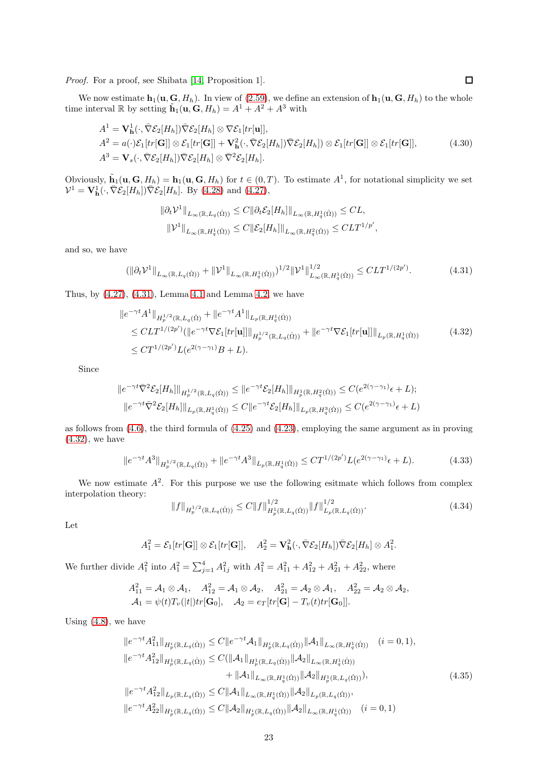*Proof.* For a proof, see Shibata [\[14,](#page-35-10) Proposition 1].

We now estimate  $\mathbf{h}_1(\mathbf{u}, \mathbf{G}, H_h)$ . In view of [\(2.59\)](#page-12-4), we define an extension of  $\mathbf{h}_1(\mathbf{u}, \mathbf{G}, H_h)$  to the whole time interval R by setting  $\mathbf{\tilde{h}}_1(\mathbf{u}, \mathbf{G}, H_h) = A^1 + A^2 + A^3$  with

<span id="page-22-4"></span>
$$
A^{1} = \mathbf{V}_{\mathbf{h}}^{1}(\cdot, \bar{\nabla} \mathcal{E}_{2}[H_{h}]) \bar{\nabla} \mathcal{E}_{2}[H_{h}] \otimes \nabla \mathcal{E}_{1}[tr[\mathbf{u}]],
$$
  
\n
$$
A^{2} = a(\cdot) \mathcal{E}_{1}[tr[\mathbf{G}]] \otimes \mathcal{E}_{1}[tr[\mathbf{G}]] + \mathbf{V}_{\mathbf{h}}^{2}(\cdot, \bar{\nabla} \mathcal{E}_{2}[H_{h}]) \bar{\nabla} \mathcal{E}_{2}[H_{h}]) \otimes \mathcal{E}_{1}[tr[\mathbf{G}]] \otimes \mathcal{E}_{1}[tr[\mathbf{G}]],
$$
\n
$$
A^{3} = \mathbf{V}_{s}(\cdot, \bar{\nabla} \mathcal{E}_{2}[H_{h}]) \bar{\nabla} \mathcal{E}_{2}[H_{h}] \otimes \bar{\nabla}^{2} \mathcal{E}_{2}[H_{h}].
$$
\n(4.30)

Obviously,  $\tilde{\mathbf{h}}_1(\mathbf{u}, \mathbf{G}, H_h) = \mathbf{h}_1(\mathbf{u}, \mathbf{G}, H_h)$  for  $t \in (0, T)$ . To estimate  $A^1$ , for notational simplicity we set  $\mathcal{V}^1 = \mathbf{V}_{\mathbf{h}}^1(\cdot, \bar{\nabla} \mathcal{E}_2[H_h]) \bar{\nabla} \mathcal{E}_2[H_h].$  By [\(4.28\)](#page-21-1) and [\(4.27\)](#page-20-1),

$$
\|\partial_t \mathcal{V}^1\|_{L_\infty(\mathbb{R}, L_q(\dot{\Omega}))} \leq C \|\partial_t \mathcal{E}_2[H_h]\|_{L_\infty(\mathbb{R}, H_q^1(\dot{\Omega}))} \leq CL,
$$
  

$$
\|\mathcal{V}^1\|_{L_\infty(\mathbb{R}, H_q^1(\dot{\Omega}))} \leq C \|\mathcal{E}_2[H_h]\|_{L_\infty(\mathbb{R}, H_q^2(\dot{\Omega}))} \leq CLT^{1/p'},
$$

and so, we have

<span id="page-22-0"></span>
$$
(\|\partial_t \mathcal{V}^1\|_{L_\infty(\mathbb{R}, L_q(\Omega))} + \|\mathcal{V}^1\|_{L_\infty(\mathbb{R}, H_q^1(\Omega))})^{1/2} \|\mathcal{V}^1\|_{L_\infty(\mathbb{R}, H_q^1(\Omega))}^{1/2} \leq CLT^{1/(2p')}.
$$
 (4.31)

Thus, by  $(4.27)$ ,  $(4.31)$ , Lemma [4.1](#page-21-0) and Lemma [4.2,](#page-21-2) we have

<span id="page-22-1"></span>
$$
\|e^{-\gamma t}A^1\|_{H_p^{1/2}(\mathbb{R}, L_q(\dot{\Omega})} + \|e^{-\gamma t}A^1\|_{L_p(\mathbb{R}, H_q^1(\dot{\Omega}))}
$$
  
\n
$$
\leq CLT^{1/(2p')}(\|e^{-\gamma t}\nabla \mathcal{E}_1[tr[\mathbf{u}]]\|_{H_p^{1/2}(\mathbb{R}, L_q(\dot{\Omega}))} + \|e^{-\gamma t}\nabla \mathcal{E}_1[tr[\mathbf{u}]]\|_{L_p(\mathbb{R}, H_q^1(\dot{\Omega}))}
$$
(4.32)  
\n
$$
\leq CT^{1/(2p')}L(e^{2(\gamma-\gamma_1)}B + L).
$$

Since

$$
||e^{-\gamma t}\overline{\nabla}^2 \mathcal{E}_2[H_h]||_{H^{1/2}_p(\mathbb{R}, L_q(\dot{\Omega}))} \le ||e^{-\gamma t}\mathcal{E}_2[H_h]||_{H^1_p(\mathbb{R}, H^2_q(\dot{\Omega}))} \le C(e^{2(\gamma - \gamma_1)}\epsilon + L);
$$
  

$$
||e^{-\gamma t}\overline{\nabla}^2 \mathcal{E}_2[H_h]||_{L_p(\mathbb{R}, H^1_q(\dot{\Omega}))} \le C||e^{-\gamma t}\mathcal{E}_2[H_h]||_{L_p(\mathbb{R}, H^3_q(\dot{\Omega}))} \le C(e^{2(\gamma - \gamma_1)}\epsilon + L)
$$

as follows from [\(4.6\)](#page-16-4), the third formula of [\(4.25\)](#page-20-2) and [\(4.23\)](#page-20-0), employing the same argument as in proving [\(4.32\)](#page-22-1), we have

<span id="page-22-3"></span>
$$
||e^{-\gamma t}A^3||_{H_p^{1/2}(\mathbb{R}, L_q(\dot{\Omega}))} + ||e^{-\gamma t}A^3||_{L_p(\mathbb{R}, H_q^1(\dot{\Omega}))} \leq CT^{1/(2p')}L(e^{2(\gamma - \gamma_1)}\epsilon + L). \tag{4.33}
$$

We now estimate  $A^2$ . For this purpose we use the following esitmate which follows from complex interpolation theory:

<span id="page-22-2"></span>
$$
||f||_{H_p^{1/2}(\mathbb{R}, L_q(\dot{\Omega}))} \le C||f||_{H_p^1(\mathbb{R}, L_q(\dot{\Omega}))}^{1/2} ||f||_{L_p(\mathbb{R}, L_q(\dot{\Omega}))}^{1/2}.
$$
\n(4.34)

.

Let

$$
A_1^2 = \mathcal{E}_1[tr[\mathbf{G}]] \otimes \mathcal{E}_1[tr[\mathbf{G}]], \quad A_2^2 = \mathbf{V}_{\mathbf{h}}^2(\cdot, \bar{\nabla} \mathcal{E}_2[H_h]) \bar{\nabla} \mathcal{E}_2[H_h] \otimes A_1^2
$$

We further divide  $A_1^2$  into  $A_1^2 = \sum_{j=1}^4 A_{1j}^2$  with  $A_1^2 = A_{11}^2 + A_{12}^2 + A_{21}^2 + A_{22}^2$ , where

$$
A_{11}^2 = \mathcal{A}_1 \otimes \mathcal{A}_1, \quad A_{12}^2 = \mathcal{A}_1 \otimes \mathcal{A}_2, \quad A_{21}^2 = \mathcal{A}_2 \otimes \mathcal{A}_1, \quad A_{22}^2 = \mathcal{A}_2 \otimes \mathcal{A}_2,
$$
  

$$
\mathcal{A}_1 = \psi(t)T_v(|t|)tr[\mathbf{G}_0], \quad \mathcal{A}_2 = e_T[tr[\mathbf{G}] - T_v(t)tr[\mathbf{G}_0]].
$$

Using  $(4.8)$ , we have

$$
\|e^{-\gamma t}A_{11}^{2}\|_{H_{p}^{i}(\mathbb{R},L_{q}(\dot{\Omega}))} \leq C\|e^{-\gamma t}A_{1}\|_{H_{p}^{i}(\mathbb{R},L_{q}(\dot{\Omega}))}\|A_{1}\|_{L_{\infty}(\mathbb{R},H_{q}^{1}(\dot{\Omega}))} \quad (i=0,1),
$$
  

$$
\|e^{-\gamma t}A_{12}^{2}\|_{H_{p}^{1}(\mathbb{R},L_{q}(\dot{\Omega}))} \leq C(\|A_{1}\|_{H_{p}^{1}(\mathbb{R},L_{q}(\dot{\Omega}))}\|A_{2}\|_{L_{\infty}(\mathbb{R},H_{q}^{1}(\dot{\Omega}))}
$$

$$
+\|A_{1}\|_{L_{\infty}(\mathbb{R},H_{q}^{1}(\dot{\Omega}))}\|A_{2}\|_{H_{p}^{1}(\mathbb{R},L_{q}(\dot{\Omega}))}),
$$
  

$$
\|e^{-\gamma t}A_{12}^{2}\|_{L_{p}(\mathbb{R},L_{q}(\dot{\Omega}))} \leq C\|A_{1}\|_{L_{\infty}(\mathbb{R},H_{q}^{1}(\dot{\Omega}))}\|A_{2}\|_{L_{p}(\mathbb{R},L_{q}(\dot{\Omega}))},
$$
  

$$
\|e^{-\gamma t}A_{22}^{2}\|_{H_{p}^{i}(\mathbb{R},L_{q}(\dot{\Omega}))} \leq C\|A_{2}\|_{H_{p}^{i}(\mathbb{R},L_{q}(\dot{\Omega}))}\|A_{2}\|_{L_{\infty}(\mathbb{R},H_{q}^{1}(\dot{\Omega}))} \quad (i=0,1)
$$
  
(4.35)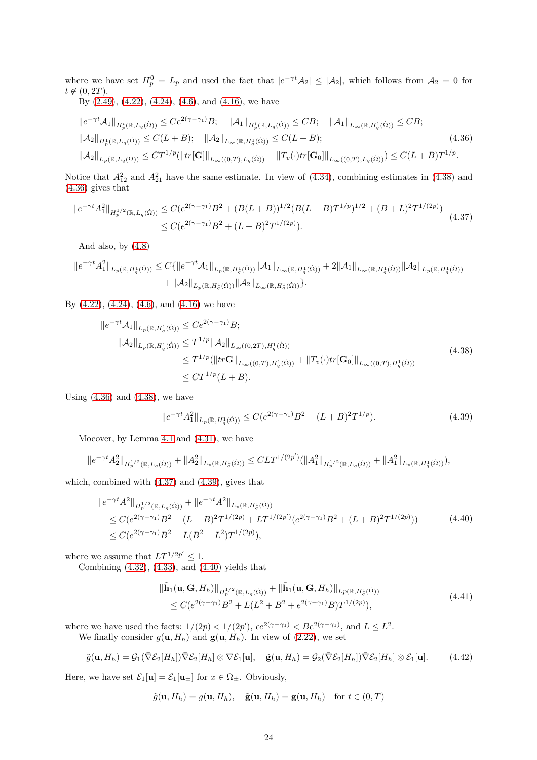where we have set  $H_p^0 = L_p$  and used the fact that  $|e^{-\gamma t}A_2| \leq |A_2|$ , which follows from  $A_2 = 0$  for  $t \notin (0, 2T)$ .

By [\(2.49\)](#page-11-1), [\(4.22\)](#page-19-0), [\(4.24\)](#page-20-3), [\(4.6\)](#page-16-4), and [\(4.16\)](#page-18-0), we have

<span id="page-23-1"></span>
$$
\|e^{-\gamma t} \mathcal{A}_{1}\|_{H_{p}^{i}(\mathbb{R},L_{q}(\dot{\Omega}))} \leq Ce^{2(\gamma-\gamma_{1})} B; \quad \|\mathcal{A}_{1}\|_{H_{p}^{i}(\mathbb{R},L_{q}(\dot{\Omega}))} \leq CB; \quad \|\mathcal{A}_{1}\|_{L_{\infty}(\mathbb{R},H_{q}^{1}(\dot{\Omega}))} \leq CB; \|\mathcal{A}_{2}\|_{H_{p}^{1}(\mathbb{R},L_{q}(\dot{\Omega}))} \leq C(L+B); \quad \|\mathcal{A}_{2}\|_{L_{\infty}(\mathbb{R},H_{q}^{1}(\dot{\Omega}))} \leq C(L+B); \|\mathcal{A}_{2}\|_{L_{p}(\mathbb{R},L_{q}(\dot{\Omega}))} \leq CT^{1/p} (\|tr[\mathbf{G}]\|_{L_{\infty}((0,T),L_{q}(\dot{\Omega}))} + \|T_{v}(\cdot)tr[\mathbf{G}_{0}]\|_{L_{\infty}((0,T),L_{q}(\dot{\Omega}))}) \leq C(L+B)T^{1/p}.
$$
\n(4.36)

Notice that  $A_{12}^2$  and  $A_{21}^2$  have the same estimate. In view of [\(4.34\)](#page-22-2), combining estimates in [\(4.38\)](#page-23-0) and [\(4.36\)](#page-23-1) gives that

<span id="page-23-2"></span>
$$
||e^{-\gamma t}A_1^2||_{H_p^{1/2}(\mathbb{R}, L_q(\dot{\Omega}))} \le C(e^{2(\gamma - \gamma_1)}B^2 + (B(L+B))^{1/2}(B(L+B)T^{1/p})^{1/2} + (B+L)^2T^{1/(2p)})
$$
  
 
$$
\le C(e^{2(\gamma - \gamma_1)}B^2 + (L+B)^2T^{1/(2p)}).
$$
 (4.37)

And also, by [\(4.8\)](#page-16-3)

$$
\|e^{-\gamma t}A_1^2\|_{L_p(\mathbb{R}, H_q^1(\dot{\Omega}))} \leq C\{\|e^{-\gamma t}A_1\|_{L_p(\mathbb{R}, H_q^1(\dot{\Omega}))}\|A_1\|_{L_\infty(\mathbb{R}, H_q^1(\dot{\Omega}))} + 2\|A_1\|_{L_\infty(\mathbb{R}, H_q^1(\dot{\Omega}))}\|A_2\|_{L_p(\mathbb{R}, H_q^1(\dot{\Omega}))} + \|\mathcal{A}_2\|_{L_p(\mathbb{R}, H_q^1(\dot{\Omega}))}\|\mathcal{A}_2\|_{L_\infty(\mathbb{R}, H_q^1(\dot{\Omega}))}\}.
$$

By [\(4.22\)](#page-19-0), [\(4.24\)](#page-20-3), [\(4.6\)](#page-16-4), and [\(4.16\)](#page-18-0) we have

<span id="page-23-0"></span>
$$
\|e^{-\gamma t} \mathcal{A}_1\|_{L_p(\mathbb{R}, H_q^1(\dot{\Omega}))} \leq C e^{2(\gamma - \gamma_1)} B; \|\mathcal{A}_2\|_{L_p(\mathbb{R}, H_q^1(\dot{\Omega}))} \leq T^{1/p} \|\mathcal{A}_2\|_{L_\infty((0, 2T), H_q^1(\dot{\Omega}))} \leq T^{1/p} (\|t r \mathbf{G}\|_{L_\infty((0, T), H_q^1(\dot{\Omega}))} + \|T_v(\cdot) tr[\mathbf{G}_0]\|_{L_\infty((0, T), H_q^1(\dot{\Omega}))} \leq C T^{1/p} (L + B).
$$
\n(4.38)

Using  $(4.36)$  and  $(4.38)$ , we have

<span id="page-23-3"></span>
$$
||e^{-\gamma t}A_1^2||_{L_p(\mathbb{R}, H_q^1(\Omega))} \le C(e^{2(\gamma - \gamma_1)}B^2 + (L+B)^2T^{1/p}).\tag{4.39}
$$

Moeover, by Lemma [4.1](#page-21-0) and [\(4.31\)](#page-22-0), we have

$$
\|e^{-\gamma t}A_2^2\|_{H^{1/2}_p(\mathbb{R},L_q(\dot{\Omega}))}+\|A_2^2\|_{L_p(\mathbb{R},H^1_q(\dot{\Omega}))}\leq CLT^{1/(2p')}(\|A_1^2\|_{H^{1/2}_p(\mathbb{R},L_q(\dot{\Omega}))}+\|A_1^2\|_{L_p(\mathbb{R},H^1_q(\dot{\Omega}))}),
$$

which, combined with [\(4.37\)](#page-23-2) and [\(4.39\)](#page-23-3), gives that

<span id="page-23-4"></span>
$$
\|e^{-\gamma t}A^2\|_{H^{1/2}_p(\mathbb{R}, L_q(\dot{\Omega}))} + \|e^{-\gamma t}A^2\|_{L_p(\mathbb{R}, H^1_q(\dot{\Omega}))}
$$
  
\n
$$
\leq C(e^{2(\gamma - \gamma_1)}B^2 + (L + B)^2 T^{1/(2p)} + LT^{1/(2p')}(e^{2(\gamma - \gamma_1)}B^2 + (L + B)^2 T^{1/(2p)}))
$$
  
\n
$$
\leq C(e^{2(\gamma - \gamma_1)}B^2 + L(B^2 + L^2)T^{1/(2p)}),
$$
\n(4.40)

where we assume that  $LT^{1/2p'} \leq 1$ .

Combining [\(4.32\)](#page-22-1), [\(4.33\)](#page-22-3), and [\(4.40\)](#page-23-4) yields that

<span id="page-23-5"></span>
$$
\|\tilde{\mathbf{h}}_1(\mathbf{u}, \mathbf{G}, H_h)\|_{H_p^{1/2}(\mathbb{R}, L_q(\dot{\Omega}))} + \|\tilde{\mathbf{h}}_1(\mathbf{u}, \mathbf{G}, H_h)\|_{L_p(\mathbb{R}, H_q^1(\dot{\Omega}))}
$$
\n
$$
\leq C(e^{2(\gamma - \gamma_1)}B^2 + L(L^2 + B^2 + e^{2(\gamma - \gamma_1)}B)T^{1/(2p)}),
$$
\n(4.41)

where we have used the facts:  $1/(2p) < 1/(2p')$ ,  $\epsilon e^{2(\gamma - \gamma_1)} < Be^{2(\gamma - \gamma_1)}$ , and  $L \leq L^2$ .

We finally consider  $g(\mathbf{u}, H_h)$  and  $g(\mathbf{u}, H_h)$ . In view of [\(2.22\)](#page-6-2), we set

<span id="page-23-6"></span>
$$
\tilde{g}(\mathbf{u}, H_h) = \mathcal{G}_1(\bar{\nabla}\mathcal{E}_2[H_h])\bar{\nabla}\mathcal{E}_2[H_h] \otimes \nabla\mathcal{E}_1[\mathbf{u}], \quad \tilde{\mathbf{g}}(\mathbf{u}, H_h) = \mathcal{G}_2(\bar{\nabla}\mathcal{E}_2[H_h])\bar{\nabla}\mathcal{E}_2[H_h] \otimes \mathcal{E}_1[\mathbf{u}]. \tag{4.42}
$$

Here, we have set  $\mathcal{E}_1[\mathbf{u}] = \mathcal{E}_1[\mathbf{u}_\pm]$  for  $x \in \Omega_\pm$ . Obviously,

$$
\tilde{g}(\mathbf{u}, H_h) = g(\mathbf{u}, H_h), \quad \tilde{\mathbf{g}}(\mathbf{u}, H_h) = \mathbf{g}(\mathbf{u}, H_h) \quad \text{for } t \in (0, T)
$$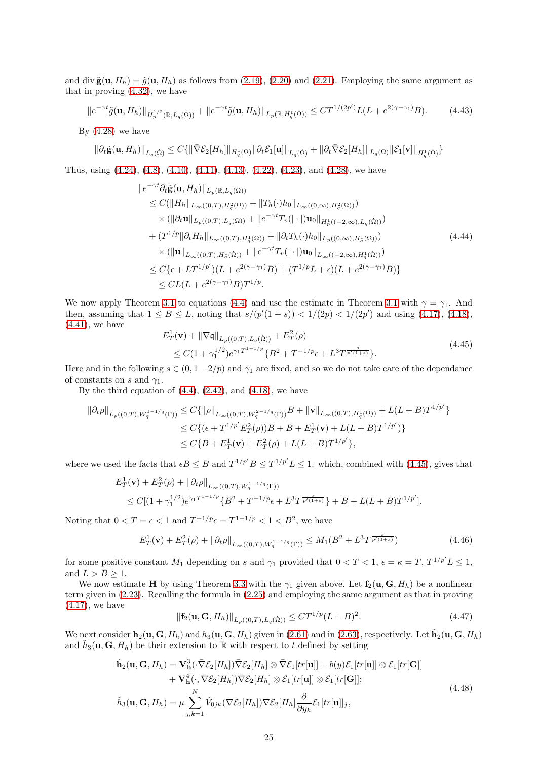and div  $\tilde{\mathbf{g}}(\mathbf{u}, H_h) = \tilde{g}(\mathbf{u}, H_h)$  as follows from [\(2.19\)](#page-6-0), [\(2.20\)](#page-6-3) and [\(2.21\)](#page-6-1). Employing the same argument as that in proving [\(4.32\)](#page-22-1), we have

$$
||e^{-\gamma t}\tilde{g}(\mathbf{u}, H_h)||_{H_p^{1/2}(\mathbb{R}, L_q(\Omega))} + ||e^{-\gamma t}\tilde{g}(\mathbf{u}, H_h)||_{L_p(\mathbb{R}, H_q^1(\Omega))} \leq CT^{1/(2p')}L(L + e^{2(\gamma - \gamma_1)}B). \tag{4.43}
$$

By  $(4.28)$  we have

$$
\|\partial_t \tilde{\mathbf{g}}(\mathbf{u}, H_h)\|_{L_q(\dot{\Omega})} \leq C \{ \|\bar{\nabla} \mathcal{E}_2[H_h]\|_{H_q^1(\Omega)} \|\partial_t \mathcal{E}_1[\mathbf{u}]\|_{L_q(\dot{\Omega})} + \|\partial_t \bar{\nabla} \mathcal{E}_2[H_h]\|_{L_q(\Omega)} \|\mathcal{E}_1[\mathbf{v}]\|_{H_q^1(\dot{\Omega})} \}
$$

Thus, using [\(4.24\)](#page-20-3), [\(4.8\)](#page-16-3), [\(4.10\)](#page-17-1), [\(4.11\)](#page-17-2), [\(4.13\)](#page-17-3), [\(4.22\)](#page-19-0), [\(4.23\)](#page-20-0), and [\(4.28\)](#page-21-1), we have

$$
\|e^{-\gamma t}\partial_t \tilde{\mathbf{g}}(\mathbf{u}, H_h)\|_{L_p(\mathbb{R}, L_q(\Omega))}\n\leq C(\|H_h\|_{L_\infty((0,T), H_q^2(\Omega))} + \|T_h(\cdot)h_0\|_{L_\infty((0,\infty), H_q^2(\Omega))})\n\times (\|\partial_t \mathbf{u}\|_{L_p((0,T), L_q(\Omega))} + \|e^{-\gamma t}T_v(|\cdot|)\mathbf{u}_0\|_{H_p^1((-2,\infty), L_q(\Omega))})\n+ (T^{1/p} \|\partial_t H_h\|_{L_\infty((0,T), H_q^1(\Omega))} + \|\partial_t T_h(\cdot)h_0\|_{L_p((0,\infty), H_q^1(\Omega))})\n\times (\|\mathbf{u}\|_{L_\infty((0,T), H_q^1(\Omega))} + \|e^{-\gamma t}T_v(|\cdot|)\mathbf{u}_0\|_{L_\infty((-2,\infty), H_q^1(\Omega))})\n\t\t\t\leq C\{\epsilon + LT^{1/p'}\}(L + e^{2(\gamma - \gamma_1)}B) + (T^{1/p}L + \epsilon)(L + e^{2(\gamma - \gamma_1)}B)\}\n\t\t\leq CL(L + e^{2(\gamma - \gamma_1)}B)T^{1/p}.
$$
\n(4.44)

We now apply Theorem [3.1](#page-14-1) to equations [\(4.4\)](#page-16-0) and use the estimate in Theorem 3.1 with  $\gamma = \gamma_1$ . And then, assuming that  $1 \le B \le L$ , noting that  $s/(p'(1+s)) < 1/(2p) < 1/(2p')$  and using [\(4.17\)](#page-18-4), [\(4.18\)](#page-18-1),  $(4.41)$ , we have

<span id="page-24-0"></span>
$$
E_T^1(\mathbf{v}) + \|\nabla \mathbf{q}\|_{L_p((0,T),L_q(\Omega))} + E_T^2(\rho)
$$
  
\n
$$
\leq C(1 + \gamma_1^{1/2})e^{\gamma_1 T^{1-1/p}} \{B^2 + T^{-1/p}\epsilon + L^3 T^{\frac{s}{p'(1+s)}}\}.
$$
\n(4.45)

Here and in the following  $s \in (0, 1 - 2/p)$  and  $\gamma_1$  are fixed, and so we do not take care of the dependance of constants on s and  $\gamma_1$ .

By the third equation of  $(4.4)$ ,  $(2.42)$ , and  $(4.18)$ , we have

$$
\begin{split} \left\| \partial_t \rho \right\|_{L_p((0,T),W_q^{1-1/q}(\Gamma))} &\leq C \{ \left\| \rho \right\|_{L_\infty((0,T),W_q^{2-1/q}(\Gamma))} B + \left\| \mathbf{v} \right\|_{L_\infty((0,T),H_q^1(\Omega))} + L(L+B) T^{1/p'} \} \\ &\leq C \{ (\epsilon + T^{1/p'} E_T^2(\rho)) B + B + E_T^1(\mathbf{v}) + L(L+B) T^{1/p'} \} \} \\ &\leq C \{ B + E_T^1(\mathbf{v}) + E_T^2(\rho) + L(L+B) T^{1/p'} \}, \end{split}
$$

where we used the facts that  $\epsilon B \leq B$  and  $T^{1/p'}B \leq T^{1/p'}L \leq 1$ . which, combined with [\(4.45\)](#page-24-0), gives that

$$
E_T^1(\mathbf{v}) + E_T^2(\rho) + ||\partial_t \rho||_{L_\infty((0,T),W_q^{1-1/q}(\Gamma))}
$$
  
 
$$
\leq C[(1 + \gamma_1^{1/2})e^{\gamma_1 T^{1-1/p}} \{B^2 + T^{-1/p}\epsilon + L^3 T^{\frac{s}{p'(1+s)}}\} + B + L(L+B)T^{1/p'}].
$$

Noting that  $0 < T = \epsilon < 1$  and  $T^{-1/p} \epsilon = T^{1-1/p} < 1 < B^2$ , we have

<span id="page-24-1"></span>
$$
E_T^1(\mathbf{v}) + E_T^2(\rho) + ||\partial_t \rho||_{L_\infty((0,T), W_q^{1-1/q}(\Gamma))} \le M_1(B^2 + L^3 T^{\frac{s}{p'(1+s)}})
$$
\n(4.46)

for some positive constant  $M_1$  depending on s and  $\gamma_1$  provided that  $0 < T < 1$ ,  $\epsilon = \kappa = T$ ,  $T^{1/p'} L \le 1$ , and  $L > B > 1$ .

We now estimate H by using Theorem [3.3](#page-15-2) with the  $\gamma_1$  given above. Let  $f_2(u, G, H_h)$  be a nonlinear term given in [\(2.23\)](#page-6-4). Recalling the formula in [\(2.25\)](#page-6-5) and employing the same argument as that in proving [\(4.17\)](#page-18-4), we have

<span id="page-24-2"></span>
$$
\|\mathbf{f}_2(\mathbf{u}, \mathbf{G}, H_h)\|_{L_p((0,T), L_q(\dot{\Omega}))} \le C T^{1/p} (L+B)^2.
$$
\n(4.47)

We next consider  $\mathbf{h}_2(\mathbf{u}, \mathbf{G}, H_h)$  and  $h_3(\mathbf{u}, \mathbf{G}, H_h)$  given in [\(2.61\)](#page-12-5) and in [\(2.63\)](#page-12-6), respectively. Let  $\tilde{\mathbf{h}}_2(\mathbf{u}, \mathbf{G}, H_h)$ and  $\tilde{h}_3(\mathbf{u}, \mathbf{G}, H_h)$  be their extension to R with respect to t defined by setting

<span id="page-24-3"></span>
$$
\tilde{\mathbf{h}}_2(\mathbf{u}, \mathbf{G}, H_h) = \mathbf{V}_\mathbf{h}^3(\cdot \nabla \mathcal{E}_2[H_h]) \nabla \mathcal{E}_2[H_h] \otimes \nabla \mathcal{E}_1[tr[\mathbf{u}]] + b(y)\mathcal{E}_1[tr[\mathbf{u}]] \otimes \mathcal{E}_1[tr[\mathbf{G}]] \n+ \mathbf{V}_\mathbf{h}^4(\cdot, \nabla \mathcal{E}_2[H_h]) \nabla \mathcal{E}_2[H_h] \otimes \mathcal{E}_1[tr[\mathbf{u}]] \otimes \mathcal{E}_1[tr[\mathbf{G}]]; \n\tilde{h}_3(\mathbf{u}, \mathbf{G}, H_h) = \mu \sum_{j,k=1}^N \tilde{V}_{0jk}(\nabla \mathcal{E}_2[H_h]) \nabla \mathcal{E}_2[H_h] \frac{\partial}{\partial y_k} \mathcal{E}_1[tr[\mathbf{u}]]_j,
$$
\n(4.48)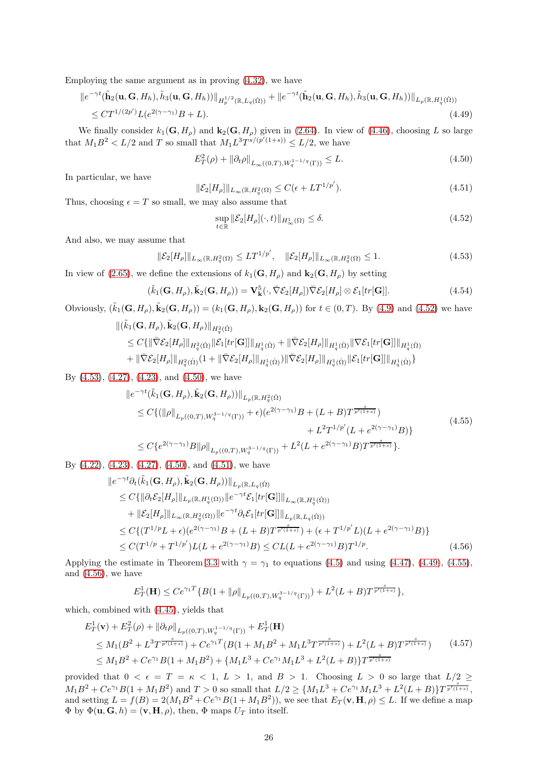Employing the same argument as in proving [\(4.32\)](#page-22-1), we have

$$
\|e^{-\gamma t}(\tilde{\mathbf{h}}_2(\mathbf{u}, \mathbf{G}, H_h), \tilde{h}_3(\mathbf{u}, \mathbf{G}, H_h))\|_{H_p^{1/2}(\mathbb{R}, L_q(\dot{\Omega}))} + \|e^{-\gamma t}(\tilde{\mathbf{h}}_2(\mathbf{u}, \mathbf{G}, H_h), \tilde{h}_3(\mathbf{u}, \mathbf{G}, H_h))\|_{L_p(\mathbb{R}, H_q^1(\dot{\Omega}))}
$$
  
 
$$
\leq CT^{1/(2p')}L(e^{2(\gamma - \gamma_1)}B + L).
$$
 (4.49)

We finally consider  $k_1(\mathbf{G}, H_o)$  and  $\mathbf{k}_2(\mathbf{G}, H_o)$  given in [\(2.64\)](#page-13-3). In view of [\(4.46\)](#page-24-1), choosing L so large that  $M_1 B^2 < L/2$  and T so small that  $M_1 L^3 T^{s/(p'(1+s))} \leq L/2$ , we have

<span id="page-25-4"></span><span id="page-25-2"></span>
$$
E_T^2(\rho) + ||\partial_t \rho||_{L_\infty((0,T), W_q^{1-1/q}(\Gamma))} \le L. \tag{4.50}
$$

In particular, we have

<span id="page-25-3"></span>
$$
\|\mathcal{E}_2[H_\rho]\|_{L_\infty(\mathbb{R}, H_q^2(\Omega)} \le C(\epsilon + LT^{1/p'}).
$$
\n(4.51)

Thus, choosing  $\epsilon = T$  so small, we may also assume that

<span id="page-25-0"></span>
$$
\sup_{t \in \mathbb{R}} \|\mathcal{E}_2[H_\rho](\cdot, t)\|_{H^1_\infty(\Omega)} \le \delta. \tag{4.52}
$$

And also, we may assume that

<span id="page-25-1"></span>
$$
\|\mathcal{E}_2[H_\rho]\|_{L_\infty(\mathbb{R}, H_q^2(\Omega)} \le LT^{1/p'}, \quad \|\mathcal{E}_2[H_\rho]\|_{L_\infty(\mathbb{R}, H_q^2(\Omega)} \le 1.
$$
\n(4.53)

In view of [\(2.65\)](#page-13-4), we define the extensions of  $k_1(\mathbf{G}, H_\rho)$  and  $\mathbf{k}_2(\mathbf{G}, H_\rho)$  by setting

<span id="page-25-7"></span>
$$
(\tilde{k}_1(\mathbf{G}, H_\rho), \tilde{\mathbf{k}}_2(\mathbf{G}, H_\rho)) = \mathbf{V}_{\mathbf{k}}^5(\cdot, \bar{\nabla} \mathcal{E}_2[H_\rho]) \bar{\nabla} \mathcal{E}_2[H_\rho] \otimes \mathcal{E}_1[tr[\mathbf{G}]].
$$
\n(4.54)

Obviously,  $(\tilde{k}_1(\mathbf{G}, H_\rho), \tilde{k}_2(\mathbf{G}, H_\rho)) = (k_1(\mathbf{G}, H_\rho), k_2(\mathbf{G}, H_\rho))$  for  $t \in (0, T)$ . By [\(4.9\)](#page-17-4) and [\(4.52\)](#page-25-0) we have  $\begin{aligned} \Vert (\tilde{k}_{1}(\mathbf{G},H_{\rho}),\tilde{\mathbf{k}}_{2}(\mathbf{G},H_{\rho})\Vert_{H_{q}^{2}(\dot{\Omega})} \end{aligned}$ 

$$
\leq C\{\|\bar{\nabla}\mathcal{E}_2[H_\rho]\|_{H^2_q(\dot{\Omega})}\|\mathcal{E}_1[tr[\mathbf{G}]]\|_{H^1_q(\dot{\Omega})} + \|\bar{\nabla}\mathcal{E}_2[H_\rho]\|_{H^1_q(\dot{\Omega})}\|\nabla\mathcal{E}_1[tr[\mathbf{G}]]\|_{H^1_q(\dot{\Omega})}\n+ \|\bar{\nabla}\mathcal{E}_2[H_\rho]\|_{H^2_q(\dot{\Omega})}(1 + \|\bar{\nabla}\mathcal{E}_2[H_\rho]\|_{H^1_q(\dot{\Omega})})\|\bar{\nabla}\mathcal{E}_2[H_\rho]\|_{H^1_q(\dot{\Omega})}\|\mathcal{E}_1[tr[\mathbf{G}]]\|_{H^1_q(\dot{\Omega})}\}
$$

By [\(4.53\)](#page-25-1), [\(4.27\)](#page-20-1), [\(4.23\)](#page-20-0), and [\(4.50\)](#page-25-2), we have

<span id="page-25-5"></span>
$$
\|e^{-\gamma t}(\tilde{k}_{1}(\mathbf{G}, H_{\rho}), \tilde{\mathbf{k}}_{2}(\mathbf{G}, H_{\rho}))\|_{L_{p}(\mathbb{R}, H_{q}^{2}(\Omega))}
$$
\n
$$
\leq C\{(\|\rho\|_{L_{p}((0,T), W_{q}^{3-1/q}(\Gamma))} + \epsilon)(e^{2(\gamma-\gamma_{1})}B + (L+B)T^{\frac{s}{p'(1+s)}}) + L^{2}T^{1/p'}(L + e^{2(\gamma-\gamma_{1})}B)\}
$$
\n
$$
\leq C\{e^{2(\gamma-\gamma_{1})}B\|\rho\|_{L_{p}((0,T), W_{q}^{3-1/q}(\Gamma))} + L^{2}(L + e^{2(\gamma-\gamma_{1})}B)T^{\frac{s}{p'(1+s)}}\}.
$$
\n(4.55)

By  $(4.22)$ ,  $(4.23)$ ,  $(4.27)$ ,  $(4.50)$ , and  $(4.51)$ , we have

$$
\|e^{-\gamma t}\partial_t(\tilde{k}_1(\mathbf{G}, H_\rho), \tilde{\mathbf{k}}_2(\mathbf{G}, H_\rho))\|_{L_p(\mathbb{R}, L_q(\dot{\Omega})}\n\n\leq C\{\|\partial_t \mathcal{E}_2[H_\rho]\|_{L_p(\mathbb{R}, H_q^1(\Omega))}\|e^{-\gamma t}\mathcal{E}_1[tr[\mathbf{G}]]\|_{L_\infty(\mathbb{R}, H_q^1(\dot{\Omega}))}\n\n+ \|\mathcal{E}_2[H_\rho]\|_{L_\infty(\mathbb{R}, H_q^2(\Omega))}\|e^{-\gamma t}\partial_t \mathcal{E}_1[tr[\mathbf{G}]]\|_{L_p(\mathbb{R}, L_q(\dot{\Omega}))}\n\n\leq C\{(T^{1/p}L + \epsilon)(e^{2(\gamma - \gamma_1)}B + (L + B)T^{\frac{s}{p'(\gamma + s)}}) + (\epsilon + T^{1/p'}L)(L + e^{2(\gamma - \gamma_1)}B)\}\n\n\leq C(T^{1/p} + T^{1/p'})L(L + e^{2(\gamma - \gamma_1)}B) \leq CL(L + e^{2(\gamma - \gamma_1)}B)T^{1/p}.\n\n(4.56)
$$

Applying the estimate in Theorem [3.3](#page-15-2) with  $\gamma = \gamma_1$  to equations [\(4.5\)](#page-16-1) and using [\(4.47\)](#page-24-2), [\(4.49\)](#page-25-4), [\(4.55\)](#page-25-5), and [\(4.56\)](#page-25-6), we have

<span id="page-25-6"></span>
$$
E_T^1(\mathbf{H}) \le Ce^{\gamma_1 T} \{ B(1+ \|\rho\|_{L_p((0,T),W_q^{3-1/q}(\Gamma))}) + L^2(L+B)T^{\frac{s}{p'(1+s)}} \},
$$

which, combined with [\(4.45\)](#page-24-0), yields that

$$
E_T^1(\mathbf{v}) + E_T^2(\rho) + ||\partial_t \rho||_{L_p((0,T), W_q^{1-1/q}(\Gamma))} + E_T^1(\mathbf{H})
$$
  
\n
$$
\leq M_1(B^2 + L^3 T^{\frac{s}{p'(1+s)}}) + Ce^{\gamma_1 T} (B(1 + M_1 B^2 + M_1 L^3 T^{\frac{s}{p'(1+s)}}) + L^2 (L + B) T^{\frac{s}{p'(1+s)}})
$$
(4.57)  
\n
$$
\leq M_1 B^2 + Ce^{\gamma_1} B(1 + M_1 B^2) + \{M_1 L^3 + Ce^{\gamma_1} M_1 L^3 + L^2 (L + B)\} T^{\frac{s}{p'(1+s)}}
$$

provided that  $0 < \epsilon = T = \kappa < 1, L > 1$ , and  $B > 1$ . Choosing  $L > 0$  so large that  $L/2 \ge$  $M_1B^2 + Ce^{\gamma_1}B(1+M_1B^2)$  and  $T > 0$  so small that  $L/2 \geq \{M_1L^3 + Ce^{\gamma_1}M_1L^3 + L^2(L+B)\}T^{\frac{s}{p'(1+s)}},$ and setting  $L = f(B) = 2(M_1B^2 + Ce^{\gamma_1}B(1 + M_1B^2))$ , we see that  $E_T(\mathbf{v}, \mathbf{H}, \rho) \leq L$ . If we define a map  $\Phi$  by  $\Phi(\mathbf{u}, \mathbf{G}, h) = (\mathbf{v}, \mathbf{H}, \rho)$ , then,  $\Phi$  maps  $U_T$  into itself.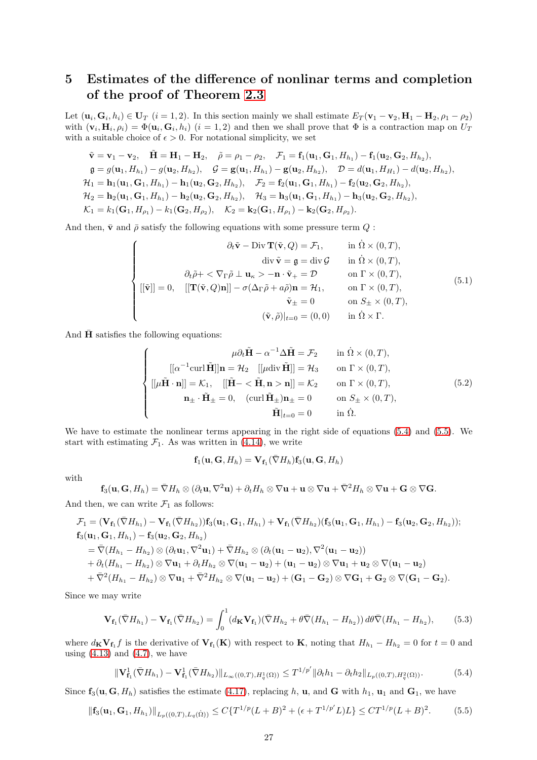## 5 Estimates of the difference of nonlinar terms and completion of the proof of Theorem [2.3](#page-13-2)

Let  $(\mathbf{u}_i, \mathbf{G}_i, h_i) \in \mathbf{U}_T$   $(i = 1, 2)$ . In this section mainly we shall estimate  $E_T(\mathbf{v}_1 - \mathbf{v}_2, \mathbf{H}_1 - \mathbf{H}_2, \rho_1 - \rho_2)$ with  $(\mathbf{v}_i, \mathbf{H}_i, \rho_i) = \Phi(\mathbf{u}_i, \mathbf{G}_i, h_i)$   $(i = 1, 2)$  and then we shall prove that  $\Phi$  is a contraction map on  $U_T$ with a suitable choice of  $\epsilon > 0$ . For notational simplicity, we set

$$
\tilde{\mathbf{v}} = \mathbf{v}_1 - \mathbf{v}_2, \quad \tilde{\mathbf{H}} = \mathbf{H}_1 - \mathbf{H}_2, \quad \tilde{\rho} = \rho_1 - \rho_2, \quad \mathcal{F}_1 = \mathbf{f}_1(\mathbf{u}_1, \mathbf{G}_1, H_{h_1}) - \mathbf{f}_1(\mathbf{u}_2, \mathbf{G}_2, H_{h_2}),\n\mathfrak{g} = g(\mathbf{u}_1, H_{h_1}) - g(\mathbf{u}_2, H_{h_2}), \quad \mathcal{G} = g(\mathbf{u}_1, H_{h_1}) - g(\mathbf{u}_2, H_{h_2}), \quad \mathcal{D} = d(\mathbf{u}_1, H_{H_1}) - d(\mathbf{u}_2, H_{h_2}),\n\mathcal{H}_1 = \mathbf{h}_1(\mathbf{u}_1, \mathbf{G}_1, H_{h_1}) - \mathbf{h}_1(\mathbf{u}_2, \mathbf{G}_2, H_{h_2}), \quad \mathcal{F}_2 = \mathbf{f}_2(\mathbf{u}_1, \mathbf{G}_1, H_{h_1}) - \mathbf{f}_2(\mathbf{u}_2, \mathbf{G}_2, H_{h_2}),\n\mathcal{H}_2 = \mathbf{h}_2(\mathbf{u}_1, \mathbf{G}_1, H_{h_1}) - \mathbf{h}_2(\mathbf{u}_2, \mathbf{G}_2, H_{h_2}), \quad \mathcal{H}_3 = \mathbf{h}_3(\mathbf{u}_1, \mathbf{G}_1, H_{h_1}) - \mathbf{h}_3(\mathbf{u}_2, \mathbf{G}_2, H_{h_2}),\n\mathcal{K}_1 = k_1(\mathbf{G}_1, H_{\rho_1}) - k_1(\mathbf{G}_2, H_{\rho_2}), \quad \mathcal{K}_2 = \mathbf{k}_2(\mathbf{G}_1, H_{\rho_1}) - \mathbf{k}_2(\mathbf{G}_2, H_{\rho_2}).
$$

And then,  $\bar{v}$  and  $\bar{\rho}$  satisfy the following equations with some pressure term  $Q$ :

$$
\begin{cases}\n\partial_t \tilde{\mathbf{v}} - \text{Div } \mathbf{T}(\tilde{\mathbf{v}}, Q) = \mathcal{F}_1, & \text{in } \Omega \times (0, T), \\
\text{div } \tilde{\mathbf{v}} = \mathfrak{g} = \text{div } \mathcal{G} & \text{in } \Omega \times (0, T), \\
\partial_t \tilde{\rho} + \langle \nabla_{\Gamma} \tilde{\rho} \perp \mathbf{u}_{\kappa} \rangle - \mathbf{n} \cdot \tilde{\mathbf{v}}_+ = \mathcal{D} & \text{on } \Gamma \times (0, T), \\
\left[ [\tilde{\mathbf{v}}] \right] = 0, & \left[ [\mathbf{T}(\tilde{\mathbf{v}}, Q) \mathbf{n}] \right] - \sigma(\Delta_{\Gamma} \tilde{\rho} + a \tilde{\rho}) \mathbf{n} = \mathcal{H}_1, & \text{on } \Gamma \times (0, T), \\
\tilde{\mathbf{v}}_{\pm} = 0 & \text{on } S_{\pm} \times (0, T), \\
(\tilde{\mathbf{v}}, \tilde{\rho})|_{t=0} = (0, 0) & \text{in } \Omega \times \Gamma.\n\end{cases}
$$
\n(5.1)

And  $H$  satisfies the following equations:

$$
\begin{cases}\n\mu \partial_t \tilde{\mathbf{H}} - \alpha^{-1} \Delta \tilde{\mathbf{H}} = \mathcal{F}_2 & \text{in } \Omega \times (0, T), \\
[ [\alpha^{-1} \text{curl } \tilde{\mathbf{H}}]] \mathbf{n} = \mathcal{H}_2 & [ [\mu \text{div } \tilde{\mathbf{H}}]] = \mathcal{H}_3 & \text{on } \Gamma \times (0, T), \\
[ [\mu \tilde{\mathbf{H}} \cdot \mathbf{n}]] = \mathcal{K}_1, \quad [ [\tilde{\mathbf{H}} - \langle \tilde{\mathbf{H}}, \mathbf{n} > \mathbf{n}]] = \mathcal{K}_2 & \text{on } \Gamma \times (0, T), \\
\mathbf{n}_{\pm} \cdot \tilde{\mathbf{H}}_{\pm} = 0, \quad (\text{curl } \tilde{\mathbf{H}}_{\pm}) \mathbf{n}_{\pm} = 0 & \text{on } S_{\pm} \times (0, T), \\
\tilde{\mathbf{H}}|_{t=0} = 0 & \text{in } \Omega.\n\end{cases}
$$
\n(5.2)

We have to estimate the nonlinear terms appearing in the right side of equations [\(5.4\)](#page-26-0) and [\(5.5\)](#page-26-1). We start with estimating  $\mathcal{F}_1$ . As was written in [\(4.14\)](#page-17-5), we write

$$
\mathbf{f}_1(\mathbf{u},\mathbf{G},H_h)=\mathbf{V}_{\mathbf{f}_1}(\bar{\nabla}H_h)\mathbf{f}_3(\mathbf{u},\mathbf{G},H_h)
$$

with

$$
\mathbf{f}_3(\mathbf{u},\mathbf{G},H_h)=\bar{\nabla}H_h\otimes(\partial_t\mathbf{u},\nabla^2\mathbf{u})+\partial_tH_h\otimes\nabla\mathbf{u}+\mathbf{u}\otimes\nabla\mathbf{u}+\bar{\nabla}^2H_h\otimes\nabla\mathbf{u}+\mathbf{G}\otimes\nabla\mathbf{G}.
$$

And then, we can write  $\mathcal{F}_1$  as follows:

$$
\mathcal{F}_1 = (\mathbf{V}_{\mathbf{f}_1}(\bar{\nabla}H_{h_1}) - \mathbf{V}_{\mathbf{f}_1}(\bar{\nabla}H_{h_2}))\mathbf{f}_3(\mathbf{u}_1, \mathbf{G}_1, H_{h_1}) + \mathbf{V}_{\mathbf{f}_1}(\bar{\nabla}H_{h_2})(\mathbf{f}_3(\mathbf{u}_1, \mathbf{G}_1, H_{h_1}) - \mathbf{f}_3(\mathbf{u}_2, \mathbf{G}_2, H_{h_2}));
$$
  
\n
$$
\mathbf{f}_3(\mathbf{u}_1, \mathbf{G}_1, H_{h_1}) - \mathbf{f}_3(\mathbf{u}_2, \mathbf{G}_2, H_{h_2})
$$
\n
$$
= \bar{\nabla}(H_{h_1} - H_{h_2}) \otimes (\partial_t \mathbf{u}_1, \nabla^2 \mathbf{u}_1) + \bar{\nabla}H_{h_2} \otimes (\partial_t (\mathbf{u}_1 - \mathbf{u}_2), \nabla^2 (\mathbf{u}_1 - \mathbf{u}_2))
$$
\n
$$
+ \partial_t (H_{h_1} - H_{h_2}) \otimes \nabla \mathbf{u}_1 + \partial_t H_{h_2} \otimes \nabla (\mathbf{u}_1 - \mathbf{u}_2) + (\mathbf{u}_1 - \mathbf{u}_2) \otimes \nabla \mathbf{u}_1 + \mathbf{u}_2 \otimes \nabla (\mathbf{u}_1 - \mathbf{u}_2)
$$
\n
$$
+ \bar{\nabla}^2 (H_{h_1} - H_{h_2}) \otimes \nabla \mathbf{u}_1 + \bar{\nabla}^2 H_{h_2} \otimes \nabla (\mathbf{u}_1 - \mathbf{u}_2) + (\mathbf{G}_1 - \mathbf{G}_2) \otimes \nabla \mathbf{G}_1 + \mathbf{G}_2 \otimes \nabla (\mathbf{G}_1 - \mathbf{G}_2).
$$

Since we may write

<span id="page-26-2"></span>
$$
\mathbf{V}_{\mathbf{f}_1}(\bar{\nabla}H_{h_1}) - \mathbf{V}_{\mathbf{f}_1}(\bar{\nabla}H_{h_2}) = \int_0^1 (d_{\mathbf{K}} \mathbf{V}_{\mathbf{f}_1})(\bar{\nabla}H_{h_2} + \theta \bar{\nabla}(H_{h_1} - H_{h_2})) \, d\theta \bar{\nabla}(H_{h_1} - H_{h_2}),\tag{5.3}
$$

where  $d_K V_{f_1} f$  is the derivative of  $V_{f_1}(K)$  with respect to K, noting that  $H_{h_1} - H_{h_2} = 0$  for  $t = 0$  and using  $(4.13)$  and  $(4.7)$ , we have

<span id="page-26-0"></span>
$$
\|\mathbf{V}_{\mathbf{f}_1}^1(\bar{\nabla}H_{h_1}) - \mathbf{V}_{\mathbf{f}_1}^1(\bar{\nabla}H_{h_2})\|_{L_\infty((0,T),H_q^1(\Omega))} \le T^{1/p'} \|\partial_t h_1 - \partial_t h_2\|_{L_p((0,T),H_q^2(\Omega))}.\tag{5.4}
$$

Since  $f_3(u, G, H_h)$  satisfies the estimate [\(4.17\)](#page-18-4), replacing h, u, and G with  $h_1$ , u<sub>1</sub> and G<sub>1</sub>, we have

<span id="page-26-1"></span>
$$
\|\mathbf{f}_3(\mathbf{u}_1, \mathbf{G}_1, H_{h_1})\|_{L_p((0,T), L_q(\Omega))} \le C\{T^{1/p}(L+B)^2 + (\epsilon + T^{1/p'}L)L\} \le CT^{1/p}(L+B)^2.
$$
 (5.5)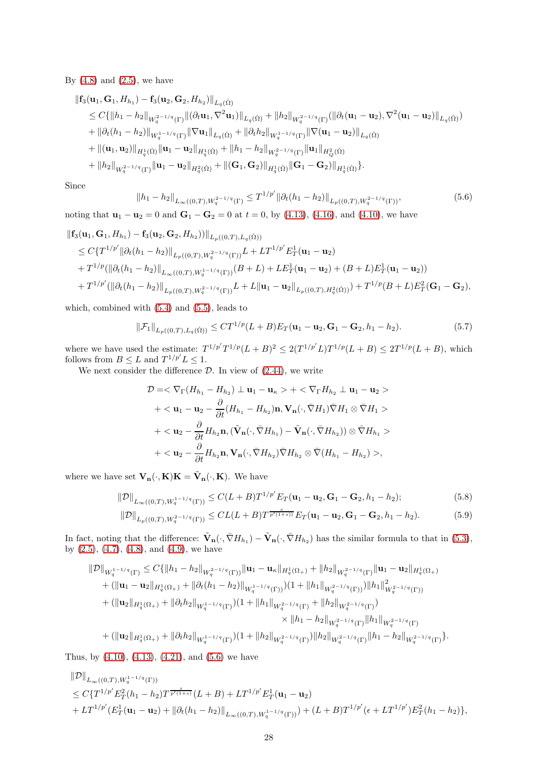By  $(4.8)$  and  $(2.5)$ , we have

$$
\begin{split}\n\|\mathbf{f}_{3}(\mathbf{u}_{1},\mathbf{G}_{1},H_{h_{1}})-\mathbf{f}_{3}(\mathbf{u}_{2},\mathbf{G}_{2},H_{h_{2}})\|_{L_{q}(\dot{\Omega})} \\
&\leq C\{\|h_{1}-h_{2}\|_{W_{q}^{2-1/q}(\Gamma)}\|(\partial_{t}\mathbf{u}_{1},\nabla^{2}\mathbf{u}_{1})\|_{L_{q}(\dot{\Omega})}+\|h_{2}\|_{W_{q}^{2-1/q}(\Gamma)}(\|\partial_{t}(\mathbf{u}_{1}-\mathbf{u}_{2}),\nabla^{2}(\mathbf{u}_{1}-\mathbf{u}_{2})\|_{L_{q}(\dot{\Omega})}) \\
&+\|\partial_{t}(h_{1}-h_{2})\|_{W_{q}^{1-1/q}(\Gamma)}\|\nabla\mathbf{u}_{1}\|_{L_{q}(\dot{\Omega})}+\|\partial_{t}h_{2}\|_{W_{q}^{1-1/q}(\Gamma)}\|\nabla(\mathbf{u}_{1}-\mathbf{u}_{2})\|_{L_{q}(\dot{\Omega})} \\
&+\|(\mathbf{u}_{1},\mathbf{u}_{2})\|_{H_{q}^{1}(\dot{\Omega})}\|\mathbf{u}_{1}-\mathbf{u}_{2}\|_{H_{q}^{1}(\dot{\Omega})}+\|h_{1}-h_{2}\|_{W_{q}^{2-1/q}(\Gamma)}\|\mathbf{u}_{1}\|_{H_{q}^{2}(\dot{\Omega})} \\
&+\|h_{2}\|_{W_{q}^{2-1/q}(\Gamma)}\|\mathbf{u}_{1}-\mathbf{u}_{2}\|_{H_{q}^{2}(\dot{\Omega})}+\|(\mathbf{G}_{1},\mathbf{G}_{2})\|_{H_{q}^{1}(\dot{\Omega})}\|\mathbf{G}_{1}-\mathbf{G}_{2})\|_{H_{q}^{1}(\dot{\Omega})}\}.\n\end{split}
$$

Since

<span id="page-27-0"></span>
$$
||h_1 - h_2||_{L_{\infty}((0,T),W_q^{2-1/q}(\Gamma)} \le T^{1/p'} ||\partial_t (h_1 - h_2)||_{L_p((0,T),W_q^{2-1/q}(\Gamma))},
$$
\n(5.6)

noting that  $u_1 - u_2 = 0$  and  $G_1 - G_2 = 0$  at  $t = 0$ , by [\(4.13\)](#page-17-3), [\(4.16\)](#page-18-0), and [\(4.10\)](#page-17-1), we have

$$
\begin{split}\n\|\mathbf{f}_3(\mathbf{u}_1, \mathbf{G}_1, H_{h_1}) - \mathbf{f}_3(\mathbf{u}_2, \mathbf{G}_2, H_{h_2})\|_{L_p((0,T), L_q(\dot{\Omega}))} \\
&\leq C\{T^{1/p'}\|\partial_t(h_1 - h_2)\|_{L_p((0,T), W_q^{2-1/q}(\Gamma))}L + LT^{1/p'}E_T^1(\mathbf{u}_1 - \mathbf{u}_2) \\
&\quad + T^{1/p}(\|\partial_t(h_1 - h_2)\|_{L_\infty((0,T), W_q^{1-1/q}(\Gamma))}(B + L) + LE_T^1(\mathbf{u}_1 - \mathbf{u}_2) + (B + L)E_T^1(\mathbf{u}_1 - \mathbf{u}_2)) \\
&\quad + T^{1/p'}(\|\partial_t(h_1 - h_2)\|_{L_p((0,T), W_q^{2-1/q}(\Gamma))}L + L\|\mathbf{u}_1 - \mathbf{u}_2\|_{L_p((0,T), H_q^2(\dot{\Omega}))}) + T^{1/p}(B + L)E_T^2(\mathbf{G}_1 - \mathbf{G}_2),\n\end{split}
$$

which, combined with [\(5.4\)](#page-26-0) and [\(5.5\)](#page-26-1), leads to

<span id="page-27-3"></span>
$$
\|\mathcal{F}_1\|_{L_p((0,T),L_q(\Omega))} \le CT^{1/p}(L+B)E_T(\mathbf{u}_1-\mathbf{u}_2,\mathbf{G}_1-\mathbf{G}_2,h_1-h_2). \tag{5.7}
$$

where we have used the estimate:  $T^{1/p'}T^{1/p}(L+B)^2 \leq 2(T^{1/p'}L)T^{1/p}(L+B) \leq 2T^{1/p}(L+B)$ , which follows from  $B \leq L$  and  $T^{1/p'} L \leq 1$ .

We next consider the difference  $D$ . In view of  $(2.44)$ , we write

<span id="page-27-2"></span><span id="page-27-1"></span>
$$
\mathcal{D} = \langle \nabla_{\Gamma} (H_{h_1} - H_{h_2}) \perp \mathbf{u}_1 - \mathbf{u}_{\kappa} \rangle + \langle \nabla_{\Gamma} H_{h_2} \perp \mathbf{u}_1 - \mathbf{u}_2 \rangle
$$
  
+ 
$$
\langle \mathbf{u}_1 - \mathbf{u}_2 - \frac{\partial}{\partial t} (H_{h_1} - H_{h_2}) \mathbf{n}, \mathbf{V}_n (\cdot, \bar{\nabla} H_1) \bar{\nabla} H_1 \otimes \bar{\nabla} H_1 \rangle
$$
  
+ 
$$
\langle \mathbf{u}_2 - \frac{\partial}{\partial t} H_{h_2} \mathbf{n}, (\tilde{\mathbf{V}}_n (\cdot, \bar{\nabla} H_{h_1}) - \tilde{\mathbf{V}}_n (\cdot, \bar{\nabla} H_{h_2})) \otimes \bar{\nabla} H_{h_1} \rangle
$$
  
+ 
$$
\langle \mathbf{u}_2 - \frac{\partial}{\partial t} H_{h_2} \mathbf{n}, \mathbf{V}_n (\cdot, \bar{\nabla} H_{h_2}) \bar{\nabla} H_{h_2} \otimes \bar{\nabla} (H_{h_1} - H_{h_2}) \rangle,
$$

where we have set  $\mathbf{V}_{\mathbf{n}}(\cdot, \mathbf{K})\mathbf{K} = \tilde{\mathbf{V}}_{\mathbf{n}}(\cdot, \mathbf{K})$ . We have

$$
\|\mathcal{D}\|_{L_{\infty}((0,T),W_q^{1-1/q}(\Gamma))} \le C(L+B)T^{1/p'}E_T(\mathbf{u}_1-\mathbf{u}_2,\mathbf{G}_1-\mathbf{G}_2,h_1-h_2);
$$
\n(5.8)

$$
\|\mathcal{D}\|_{L_p((0,T),W_q^{2-1/q}(\Gamma))} \leq CL(L+B)T^{\frac{s}{p'(1+s))}}E_T(\mathbf{u}_1-\mathbf{u}_2,\mathbf{G}_1-\mathbf{G}_2,h_1-h_2). \tag{5.9}
$$

In fact, noting that the difference:  $\tilde{\mathbf{V}}_{n}(\cdot, \bar{\nabla}H_{h_1}) - \tilde{\mathbf{V}}_{n}(\cdot, \bar{\nabla}H_{h_2})$  has the similar formula to that in [\(5.3\)](#page-26-2), by  $(2.5)$ ,  $(4.7)$ ,  $(4.8)$ , and  $(4.9)$ , we have

$$
\begin{split} \|\mathcal{D}\|_{W_{q}^{1-1/q}(\Gamma)} &\leq C\{\|h_1-h_2\|_{W_{q}^{2-1/q}(\Gamma))}\|\mathbf{u}_1-\mathbf{u}_\kappa\|_{H_{q}^{1}(\Omega_+)}+\|h_2\|_{W_{q}^{2-1/q}(\Gamma)}\|\mathbf{u}_1-\mathbf{u}_2\|_{H_{q}^{1}(\Omega_+)}\\ &\quad +(\|\mathbf{u}_1-\mathbf{u}_2\|_{H_{q}^{1}(\Omega_+)}+\|\partial_t(h_1-h_2)\|_{W_{q}^{1-1/q}(\Gamma))})(1+\|h_1\|_{W_{q}^{2-1/q}(\Gamma))})\|h_1\|_{W_{q}^{2-1/q}(\Gamma))}^2\\ &\quad +(\|\mathbf{u}_2\|_{H_{q}^{1}(\Omega_+)}+\|\partial_t h_2\|_{W_{q}^{1-1/q}(\Gamma)})(1+\|h_1\|_{W_{q}^{2-1/q}(\Gamma)}+\|h_2\|_{W_{q}^{2-1/q}(\Gamma)})\\ &\qquad \qquad \times \|h_1-h_2\|_{W_{q}^{2-1/q}(\Gamma)}\|h_1\|_{W_{q}^{2-1/q}(\Gamma)}\\ &\quad +(\|\mathbf{u}_2\|_{H_{q}^{1}(\Omega_+)}+\|\partial_t h_2\|_{W_{q}^{1-1/q}(\Gamma)})(1+\|h_2\|_{W_{q}^{2-1/q}(\Gamma)})\|h_2\|_{W_{q}^{2-1/q}(\Gamma)}\|h_1-h_2\|_{W_{q}^{2-1/q}(\Gamma)}\}.\end{split}
$$

Thus, by  $(4.10)$ ,  $(4.13)$ ,  $(4.21)$ , and  $(5.6)$  we have

$$
\label{eq:estim} \begin{split} &\|\mathcal{D}\|_{L_\infty((0,T),W_q^{1-1/q}(\Gamma))}\\ &\leq C\{T^{1/p'}E_T^2(h_1-h_2)T^{\frac{s}{p'(1+s)}}(L+B)+LT^{1/p'}E_T^1(\mathbf{u}_1-\mathbf{u}_2)\\ &+LT^{1/p'}(E_T^1(\mathbf{u}_1-\mathbf{u}_2)+\|\partial_t(h_1-h_2)\|_{L_\infty((0,T),W_q^{1-1/q}(\Gamma))})+(L+B)T^{1/p'}(\epsilon+LT^{1/p'})E_T^2(h_1-h_2)\}, \end{split}
$$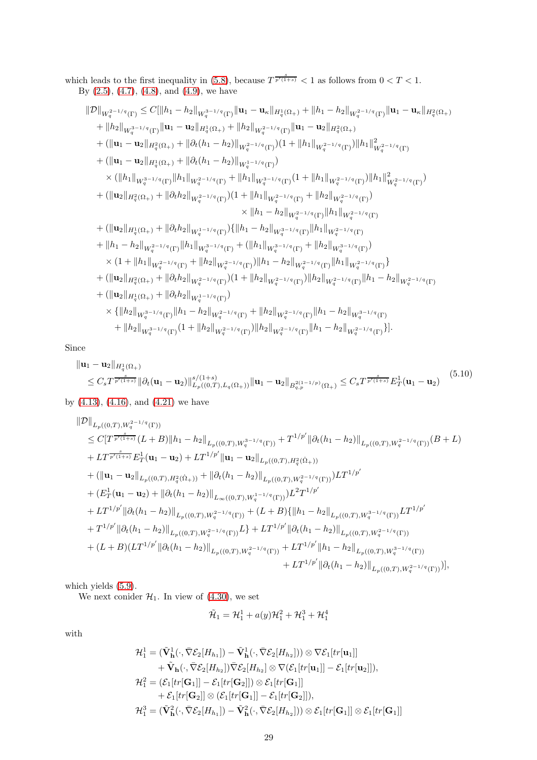which leads to the first inequality in (5.8), because 
$$
T^{\frac{s}{p'(1+s)}} < 1
$$
 as follows from  $0 < T < 1$ . By (2.5), (4.7), (4.8), and (4.9), we have

$$
\label{eq:220} \begin{split} &\| \mathcal{D} \|_{W_{q}^{2-1/q}(\Gamma)} \leq C [\| h_{1}-h_{2}\|_{W_{q}^{3-1/q}(\Gamma)} \|\mathbf{u}_{1}-\mathbf{u}_{\kappa}\|_{H_{q}^{1}(\Omega_{+})} + \|h_{1}-h_{2}\|_{W_{q}^{2-1/q}(\Gamma)} \|\mathbf{u}_{1}-\mathbf{u}_{\kappa}\|_{H_{q}^{2}(\Omega_{+})} \\ &+ \|h_{2}\|_{W_{q}^{3-1/q}(\Gamma)} \|\mathbf{u}_{1}-\mathbf{u}_{2}\|_{H_{q}^{1}(\Omega_{+})} + \|h_{2}\|_{W_{q}^{2-1/q}(\Gamma)} \|\mathbf{u}_{1}-\mathbf{u}_{2}\|_{H_{q}^{2}(\Omega_{+})} \\ &+ ( \|\mathbf{u}_{1}-\mathbf{u}_{2}\|_{H_{q}^{2}(\Omega_{+})} + \|\partial_{t}(h_{1}-h_{2})\|_{W_{q}^{2-1/q}(\Gamma)}) (1+\|h_{1}\|_{W_{q}^{2-1/q}(\Gamma)}) \|\hbar_{1}\|_{W_{q}^{2-1/q}(\Gamma)}^{2} \\ &+ ( \|\mathbf{u}_{1}-\mathbf{u}_{2}\|_{H_{q}^{1}(\Omega_{+})} + \|\partial_{t}(h_{1}-h_{2})\|_{W_{q}^{1-1/q}(\Gamma)}) \\ &\times ( \|h_{1}\|_{W_{q}^{3-1/q}(\Gamma)} \|\hbar_{1}\|_{W_{q}^{2-1/q}(\Gamma)}) (1+\|h_{1}\|_{W_{q}^{2-1/q}(\Gamma)} + \|h_{2}\|_{W_{q}^{2-1/q}(\Gamma)}) ) \\ &+ ( \|\mathbf{u}_{2}\|_{H_{q}^{2}(\Omega_{+})} + \|\partial_{t}h_{2}\|_{W_{q}^{2-1/q}(\Gamma)}) (1+\|h_{1}\|_{W_{q}^{2-1/q}(\Gamma)} + \|h_{2}\|_{W_{q}^{2-1/q}(\Gamma)}) \\ &+ ( \|\mathbf{u}_{2}\|_{H_{q}^{2}(\Omega_{+})} + \|\partial_{t}h_{2}\|_{W_{q}^{1-1/q}(\Gamma)}) \{ \| h_{1}-h_{2}\|_{W_{q}^{3-1/q}(\Gamma)} \|\hbar_{1}\|_{W_{q}^{2-1/q}(\Gamma)} \\ &+ ( \|\mathbf{u}_{2}\|_{H_{q
$$

Since

<span id="page-28-0"></span>
$$
\|\mathbf{u}_1 - \mathbf{u}_2\|_{H_q^1(\Omega_+)} \n\leq C_s T^{\frac{s}{p'(1+s)}} \|\partial_t (\mathbf{u}_1 - \mathbf{u}_2)\|_{L_p((0,T),L_q(\Omega_+))}^{s/(1+s)} \|\mathbf{u}_1 - \mathbf{u}_2\|_{B_{q,p}^{2(1-1/p)}(\Omega_+)} \leq C_s T^{\frac{s}{p'(1+s)}} E_T^1(\mathbf{u}_1 - \mathbf{u}_2)
$$
\n(5.10)

by [\(4.13\)](#page-17-3), [\(4.16\)](#page-18-0), and [\(4.21\)](#page-18-2) we have

$$
\begin{split} &\|\mathcal{D}\|_{L_{p}((0,T),W_{q}^{2-1/q}(\Gamma))} \\ &\leq C[T^{\frac{1}{p'(1+s)}}(L+B)\|h_{1}-h_{2}\|_{L_{p}((0,T),W_{q}^{3-1/q}(\Gamma))}+T^{1/p'}\|\partial_{t}(h_{1}-h_{2})\|_{L_{p}((0,T),W_{q}^{2-1/q}(\Gamma))}(B+L) \\ &+ LT^{\frac{s}{p'(1+s)}}E_{T}^{1}(\mathbf{u}_{1}-\mathbf{u}_{2})+LT^{1/p'}\|\mathbf{u}_{1}-\mathbf{u}_{2}\|_{L_{p}((0,T),H_{q}^{2}(\dot{\Omega}_{+}))} \\ &+ (\|\mathbf{u}_{1}-\mathbf{u}_{2}\|_{L_{p}((0,T),H_{q}^{2}(\dot{\Omega}_{+}))}+\|\partial_{t}(h_{1}-h_{2})\|_{L_{p}((0,T),W_{q}^{2-1/q}(\Gamma))})LT^{1/p'} \\ &+ (E_{T}^{1}(\mathbf{u}_{1}-\mathbf{u}_{2})+\|\partial_{t}(h_{1}-h_{2})\|_{L_{\infty}((0,T),W_{q}^{1-1/q}(\Gamma))})L^{2}T^{1/p'} \\ &+ LT^{1/p'}\|\partial_{t}(h_{1}-h_{2})\|_{L_{p}((0,T),W_{q}^{2-1/q}(\Gamma))}+(L+B)\{\|h_{1}-h_{2}\|_{L_{p}((0,T),W_{q}^{3-1/q}(\Gamma))}LT^{1/p'} \\ &+ T^{1/p'}\|\partial_{t}(h_{1}-h_{2})\|_{L_{p}((0,T),W_{q}^{2-1/q}(\Gamma))}L\}+LT^{1/p'}\|\partial_{t}(h_{1}-h_{2})\|_{L_{p}((0,T),W_{q}^{2-1/q}(\Gamma))} \\ &+ (L+B)(LT^{1/p'}\|\partial_{t}(h_{1}-h_{2})\|_{L_{p}((0,T),W_{q}^{2-1/q}(\Gamma))}+LT^{1/p'}\|\partial_{t}(h_{1}-h_{2})\|_{L_{p}((0,T),W_{q}^{3-1/q}(\Gamma))})], \\ &+ LT^{1/p'}\|\partial_{t}(h_{1}-h_{2})\|_{L_{p}((0,T),W_{q}^{2-1/q}(\Gamma))})], \end{split}
$$

which yields  $(5.9)$ .

We next conider  $\mathcal{H}_1$ . In view of [\(4.30\)](#page-22-4), we set

$$
\tilde{\mathcal{H}}_1=\mathcal{H}_1^1+a(y)\mathcal{H}_1^2+\mathcal{H}_1^3+\mathcal{H}_1^4
$$

with

$$
\mathcal{H}_1^1 = (\tilde{\mathbf{V}}_h^1(\cdot, \bar{\nabla} \mathcal{E}_2[H_{h_1}]) - \tilde{\mathbf{V}}_h^1(\cdot, \bar{\nabla} \mathcal{E}_2[H_{h_2}])) \otimes \nabla \mathcal{E}_1[tr[\mathbf{u}_1]] \n+ \tilde{\mathbf{V}}_h(\cdot, \bar{\nabla} \mathcal{E}_2[H_{h_2}]) \bar{\nabla} \mathcal{E}_2[H_{h_2}] \otimes \nabla (\mathcal{E}_1[tr[\mathbf{u}_1]] - \mathcal{E}_1[tr[\mathbf{u}_2]]), \n\mathcal{H}_1^2 = (\mathcal{E}_1[tr[\mathbf{G}_1]] - \mathcal{E}_1[tr[\mathbf{G}_2]]) \otimes \mathcal{E}_1[tr[\mathbf{G}_1]] \n+ \mathcal{E}_1[tr[\mathbf{G}_2]] \otimes (\mathcal{E}_1[tr[\mathbf{G}_1]] - \mathcal{E}_1[tr[\mathbf{G}_2]]), \n\mathcal{H}_1^3 = (\tilde{\mathbf{V}}_h^2(\cdot, \bar{\nabla} \mathcal{E}_2[H_{h_1}]) - \tilde{\mathbf{V}}_h^2(\cdot, \bar{\nabla} \mathcal{E}_2[H_{h_2}])) \otimes \mathcal{E}_1[tr[\mathbf{G}_1]] \otimes \mathcal{E}_1[tr[\mathbf{G}_1]]
$$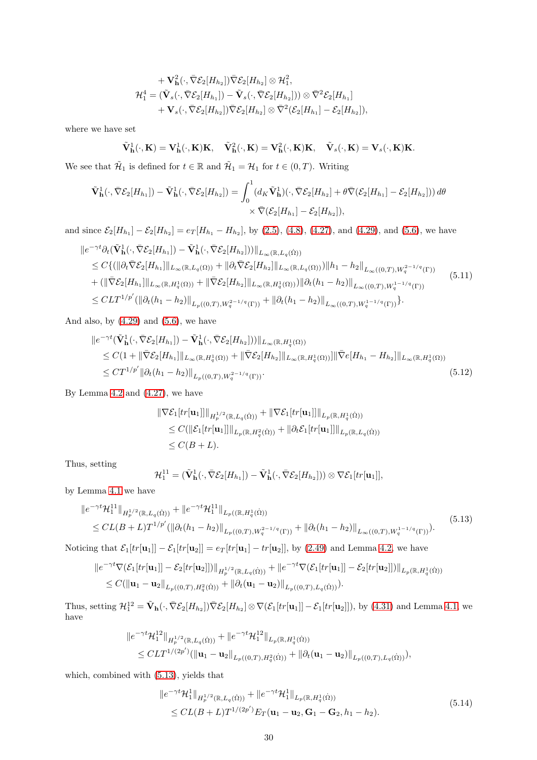$$
+\mathbf{V}_{\mathbf{h}}^{2}(\cdot,\bar{\nabla}\mathcal{E}_{2}[H_{h_2}])\bar{\nabla}\mathcal{E}_{2}[H_{h_2}]\otimes\mathcal{H}_{1}^{2},\mathcal{H}_{1}^{4}=(\tilde{\mathbf{V}}_{s}(\cdot,\bar{\nabla}\mathcal{E}_{2}[H_{h_1}])-\tilde{\mathbf{V}}_{s}(\cdot,\bar{\nabla}\mathcal{E}_{2}[H_{h_2}]))\otimes\bar{\nabla}^{2}\mathcal{E}_{2}[H_{h_1}]+\mathbf{V}_{s}(\cdot,\bar{\nabla}\mathcal{E}_{2}[H_{h_2}])\bar{\nabla}\mathcal{E}_{2}[H_{h_2}]\otimes\bar{\nabla}^{2}(\mathcal{E}_{2}[H_{h_1}]-\mathcal{E}_{2}[H_{h_2}]),
$$

where we have set

$$
\tilde{\mathbf{V}}_{\mathbf{h}}^1(\cdot,\mathbf{K})=\mathbf{V}_{\mathbf{h}}^1(\cdot,\mathbf{K})\mathbf{K},\quad \tilde{\mathbf{V}}_{\mathbf{h}}^2(\cdot,\mathbf{K})=\mathbf{V}_{\mathbf{h}}^2(\cdot,\mathbf{K})\mathbf{K},\quad \tilde{\mathbf{V}}_s(\cdot,\mathbf{K})=\mathbf{V}_s(\cdot,\mathbf{K})\mathbf{K}.
$$

We see that  $\tilde{\mathcal{H}}_1$  is defined for  $t \in \mathbb{R}$  and  $\tilde{\mathcal{H}}_1 = \mathcal{H}_1$  for  $t \in (0, T)$ . Writing

$$
\tilde{\mathbf{V}}_{\mathbf{h}}^1(\cdot, \bar{\nabla} \mathcal{E}_2[H_{h_1}]) - \tilde{\mathbf{V}}_{\mathbf{h}}^1(\cdot, \bar{\nabla} \mathcal{E}_2[H_{h_2}]) = \int_0^1 (d_K \tilde{\mathbf{V}}_{\mathbf{h}}^1)(\cdot, \bar{\nabla} \mathcal{E}_2[H_{h_2}] + \theta \bar{\nabla} (\mathcal{E}_2[H_{h_1}] - \mathcal{E}_2[H_{h_2}])) \, d\theta
$$
\n
$$
\times \bar{\nabla} (\mathcal{E}_2[H_{h_1}] - \mathcal{E}_2[H_{h_2}]),
$$

and since  $\mathcal{E}_2[H_{h_1}] - \mathcal{E}_2[H_{h_2}] = e_T[H_{h_1} - H_{h_2}]$ , by [\(2.5\)](#page-3-7), [\(4.8\)](#page-16-3), [\(4.27\)](#page-20-1), and [\(4.29\)](#page-21-3), and [\(5.6\)](#page-27-0), we have

<span id="page-29-1"></span>
$$
\|e^{-\gamma t}\partial_t(\tilde{\mathbf{V}}^1_{\mathbf{h}}(\cdot,\bar{\nabla}\mathcal{E}_2[H_{h_1}]) - \tilde{\mathbf{V}}^1_{\mathbf{h}}(\cdot,\bar{\nabla}\mathcal{E}_2[H_{h_2}]))\|_{L_{\infty}(\mathbb{R},L_q(\dot{\Omega}))} \n\leq C\{(\|\partial_t\bar{\nabla}\mathcal{E}_2[H_{h_1}]\|_{L_{\infty}(\mathbb{R},L_q(\Omega))} + \|\partial_t\bar{\nabla}\mathcal{E}_2[H_{h_2}]\|_{L_{\infty}(\mathbb{R},L_q(\Omega))})\|h_1 - h_2\|_{L_{\infty}((0,T),W_q^{2-1/q}(\Gamma))} \n+ (\|\bar{\nabla}\mathcal{E}_2[H_{h_1}]\|_{L_{\infty}(\mathbb{R},H_q^1(\Omega))} + \|\bar{\nabla}\mathcal{E}_2[H_{h_2}]\|_{L_{\infty}(\mathbb{R},H_q^1(\Omega))})\|\partial_t(h_1 - h_2)\|_{L_{\infty}((0,T),W_q^{1-1/q}(\Gamma))} \n\leq CLT^{1/p'}(\|\partial_t(h_1 - h_2)\|_{L_p((0,T),W_q^{2-1/q}(\Gamma))} + \|\partial_t(h_1 - h_2)\|_{L_{\infty}((0,T),W_q^{1-1/q}(\Gamma))}\}.
$$
\n(5.11)

And also, by  $(4.29)$  and  $(5.6)$ , we have

$$
\|e^{-\gamma t}(\tilde{\mathbf{V}}_{\mathbf{h}}^{1}(\cdot,\bar{\nabla}\mathcal{E}_{2}[H_{h_{1}}]) - \tilde{\mathbf{V}}_{\mathbf{h}}^{1}(\cdot,\bar{\nabla}\mathcal{E}_{2}[H_{h_{2}}]))\|_{L_{\infty}(\mathbb{R},H_{q}^{1}(\Omega))}
$$
  
\n
$$
\leq C(1 + \|\bar{\nabla}\mathcal{E}_{2}[H_{h_{1}}]\|_{L_{\infty}(\mathbb{R},H_{q}^{1}(\Omega))} + \|\bar{\nabla}\mathcal{E}_{2}[H_{h_{2}}]\|_{L_{\infty}(\mathbb{R},H_{q}^{1}(\Omega))}\| \bar{\nabla}e[H_{h_{1}} - H_{h_{2}}]\|_{L_{\infty}(\mathbb{R},H_{q}^{1}(\Omega))}
$$
  
\n
$$
\leq C T^{1/p'} \|\partial_{t}(h_{1} - h_{2})\|_{L_{p}((0,T),W_{q}^{2-1/q}(\Gamma))}.
$$
\n(5.12)

By Lemma [4.2](#page-21-2) and [\(4.27\)](#page-20-1), we have

<span id="page-29-2"></span>
$$
\|\nabla \mathcal{E}_1[tr[\mathbf{u}_1]]\|_{H^{1/2}_p(\mathbb{R}, L_q(\dot{\Omega}))} + \|\nabla \mathcal{E}_1[tr[\mathbf{u}_1]]\|_{L_p(\mathbb{R}, H^1_q(\dot{\Omega}))}
$$
  
\n
$$
\leq C(\|\mathcal{E}_1[tr[\mathbf{u}_1]]\|_{L_p(\mathbb{R}, H^2_q(\dot{\Omega}))} + \|\partial_t \mathcal{E}_1[tr[\mathbf{u}_1]]\|_{L_p(\mathbb{R}, L_q(\dot{\Omega}))}
$$
  
\n
$$
\leq C(B+L).
$$

Thus, setting

$$
\mathcal{H}_1^{11} = (\tilde{\mathbf{V}}^1_{\mathbf{h}}(\cdot,\bar{\nabla} \mathcal{E}_2[H_{h_1}]) - \tilde{\mathbf{V}}^1_{\mathbf{h}}(\cdot,\bar{\nabla} \mathcal{E}_2[H_{h_2}])) \otimes \nabla \mathcal{E}_1[tr[\mathbf{u}_1]],
$$

by Lemma [4.1](#page-21-0) we have

<span id="page-29-0"></span>
$$
\|e^{-\gamma t} \mathcal{H}_1^{11}\|_{H_p^{1/2}(\mathbb{R}, L_q(\dot{\Omega}))} + \|e^{-\gamma t} \mathcal{H}_1^{11}\|_{L_p((\mathbb{R}, H_q^1(\dot{\Omega}))}
$$
  
\n
$$
\leq CL(B+L)T^{1/p'}(\|\partial_t (h_1 - h_2)\|_{L_p((0,T), W_q^{2-1/q}(\Gamma))} + \|\partial_t (h_1 - h_2)\|_{L_\infty((0,T), W_q^{1-1/q}(\Gamma))}).
$$
\n(5.13)

Noticing that  $\mathcal{E}_1[tr[\mathbf{u}_1]] - \mathcal{E}_1[tr[\mathbf{u}_2]] = e_T[tr[\mathbf{u}_1] - tr[\mathbf{u}_2]],$  by [\(2.49\)](#page-11-1) and Lemma [4.2,](#page-21-2) we have

$$
\|e^{-\gamma t}\nabla(\mathcal{E}_1[tr[\mathbf{u}_1]] - \mathcal{E}_2[tr[\mathbf{u}_2]])\|_{H^{1/2}_p(\mathbb{R}, L_q(\dot{\Omega}))} + \|e^{-\gamma t}\nabla(\mathcal{E}_1[tr[\mathbf{u}_1]] - \mathcal{E}_2[tr[\mathbf{u}_2]])\|_{L_p(\mathbb{R}, H^1_q(\dot{\Omega}))}
$$
  

$$
\leq C(\|\mathbf{u}_1 - \mathbf{u}_2\|_{L_p((0,T), H^2_q(\dot{\Omega}))} + \|\partial_t(\mathbf{u}_1 - \mathbf{u}_2)\|_{L_p((0,T), L_q(\dot{\Omega}))}).
$$

Thus, setting  $\mathcal{H}_1^{12} = \tilde{\mathbf{V}}_h(\cdot, \bar{\nabla} \mathcal{E}_2[H_{h_2}]) \bar{\nabla} \mathcal{E}_2[H_{h_2}] \otimes \nabla (\mathcal{E}_1[tr[\mathbf{u}_1]] - \mathcal{E}_1[tr[\mathbf{u}_2]]),$  by [\(4.31\)](#page-22-0) and Lemma [4.1,](#page-21-0) we have

$$
\|e^{-\gamma t}\mathcal{H}_1^{12}\|_{H_p^{1/2}(\mathbb{R},L_q(\dot{\Omega}))} + \|e^{-\gamma t}\mathcal{H}_1^{12}\|_{L_p(\mathbb{R},H_q^1(\dot{\Omega}))}
$$
  

$$
\leq CLT^{1/(2p')}(\|\mathbf{u}_1-\mathbf{u}_2\|_{L_p((0,T),H_q^2(\dot{\Omega}))} + \|\partial_t(\mathbf{u}_1-\mathbf{u}_2)\|_{L_p((0,T),L_q(\dot{\Omega}))}),
$$

which, combined with [\(5.13\)](#page-29-0), yields that

<span id="page-29-3"></span>
$$
\|e^{-\gamma t} \mathcal{H}_1^1\|_{H_p^{1/2}(\mathbb{R}, L_q(\dot{\Omega}))} + \|e^{-\gamma t} \mathcal{H}_1^1\|_{L_p(\mathbb{R}, H_q^1(\dot{\Omega}))}
$$
  
\n
$$
\leq CL(B+L)T^{1/(2p')} E_T(\mathbf{u}_1 - \mathbf{u}_2, \mathbf{G}_1 - \mathbf{G}_2, h_1 - h_2).
$$
\n(5.14)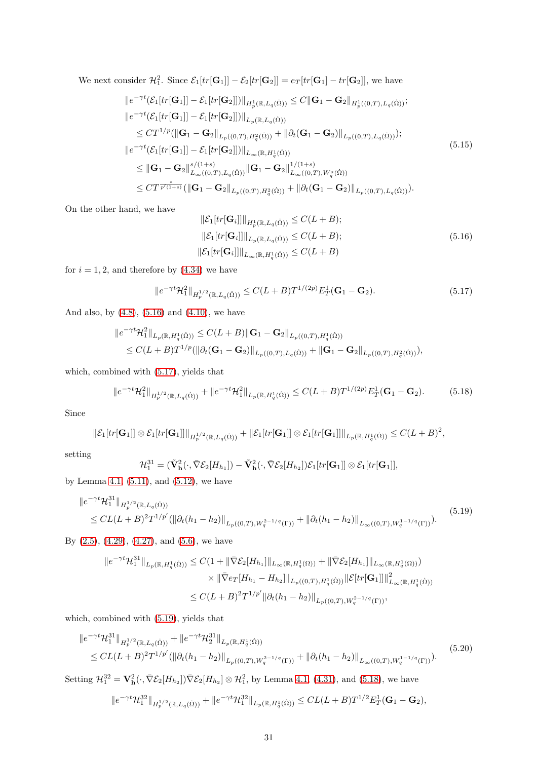We next consider  $\mathcal{H}_1^2$ . Since  $\mathcal{E}_1[tr[\mathbf{G}_1]] - \mathcal{E}_2[tr[\mathbf{G}_2]] = e_T[tr[\mathbf{G}_1] - tr[\mathbf{G}_2]]$ , we have

<span id="page-30-5"></span>
$$
\|e^{-\gamma t}(\mathcal{E}_{1}[tr[\mathbf{G}_{1}]] - \mathcal{E}_{1}[tr[\mathbf{G}_{2}]])\|_{H_{p}^{1}(\mathbb{R},L_{q}(\dot{\Omega}))} \leq C \|\mathbf{G}_{1} - \mathbf{G}_{2}\|_{H_{p}^{1}((0,T),L_{q}(\dot{\Omega}))};
$$
\n
$$
\|e^{-\gamma t}(\mathcal{E}_{1}[tr[\mathbf{G}_{1}]] - \mathcal{E}_{1}[tr[\mathbf{G}_{2}]])\|_{L_{p}(\mathbb{R},L_{q}(\dot{\Omega}))}
$$
\n
$$
\leq CT^{1/p}(\|\mathbf{G}_{1} - \mathbf{G}_{2}\|_{L_{p}((0,T),H_{q}^{2}(\dot{\Omega}))} + \|\partial_{t}(\mathbf{G}_{1} - \mathbf{G}_{2})\|_{L_{p}((0,T),L_{q}(\dot{\Omega}))});
$$
\n
$$
\|e^{-\gamma t}(\mathcal{E}_{1}[tr[\mathbf{G}_{1}]] - \mathcal{E}_{1}[tr[\mathbf{G}_{2}]])\|_{L_{\infty}(\mathbb{R},H_{q}^{1}(\dot{\Omega}))}
$$
\n
$$
\leq \|\mathbf{G}_{1} - \mathbf{G}_{2}\|_{L_{\infty}((0,T),L_{q}(\dot{\Omega}))}^{s/(1+s)}\|\mathbf{G}_{1} - \mathbf{G}_{2}\|_{L_{\infty}((0,T),W_{q}^{s}(\dot{\Omega}))}^{1/(1+s)}
$$
\n
$$
\leq CT^{\frac{s}{p'(1+s)}}(\|\mathbf{G}_{1} - \mathbf{G}_{2}\|_{L_{p}((0,T),H_{q}^{2}(\dot{\Omega}))} + \|\partial_{t}(\mathbf{G}_{1} - \mathbf{G}_{2})\|_{L_{p}((0,T),L_{q}(\dot{\Omega}))}).
$$
\n(5.15)

On the other hand, we have

<span id="page-30-0"></span>
$$
\begin{aligned} \|\mathcal{E}_1[tr[\mathbf{G}_i]]\|_{H_p^1(\mathbb{R}, L_q(\dot{\Omega}))} &\le C(L+B);\\ \|\mathcal{E}_1[tr[\mathbf{G}_i]]\|_{L_p(\mathbb{R}, L_q(\dot{\Omega}))} &\le C(L+B);\\ \|\mathcal{E}_1[tr[\mathbf{G}_i]]\|_{L_\infty(\mathbb{R}, H_q^1(\dot{\Omega}))} &\le C(L+B) \end{aligned} \tag{5.16}
$$

for  $i = 1, 2$ , and therefore by  $(4.34)$  we have

<span id="page-30-1"></span>
$$
||e^{-\gamma t} \mathcal{H}_1^2||_{H^{1/2}_p(\mathbb{R}, L_q(\dot{\Omega}))} \le C(L+B)T^{1/(2p)} E_T^1(\mathbf{G}_1 - \mathbf{G}_2). \tag{5.17}
$$

And also, by [\(4.8\)](#page-16-3), [\(5.16\)](#page-30-0) and [\(4.10\)](#page-17-1), we have

$$
\|e^{-\gamma t}\mathcal{H}_1^2\|_{L_p(\mathbb{R}, H_q^1(\dot{\Omega}))} \leq C(L+B)\|\mathbf{G}_1-\mathbf{G}_2\|_{L_p((0,T), H_q^1(\dot{\Omega}))}
$$
  

$$
\leq C(L+B)T^{1/p}(\|\partial_t(\mathbf{G}_1-\mathbf{G}_2)\|_{L_p((0,T), L_q(\dot{\Omega}))} + \|\mathbf{G}_1-\mathbf{G}_2\|_{L_p((0,T), H_q^2(\dot{\Omega}))}),
$$

which, combined with [\(5.17\)](#page-30-1), yields that

<span id="page-30-3"></span>
$$
||e^{-\gamma t} \mathcal{H}_1^2||_{H_p^{1/2}(\mathbb{R}, L_q(\dot{\Omega}))} + ||e^{-\gamma t} \mathcal{H}_1^2||_{L_p(\mathbb{R}, H_q^1(\dot{\Omega}))} \le C(L+B)T^{1/(2p)} E_T^1(\mathbf{G}_1 - \mathbf{G}_2). \tag{5.18}
$$

Since

$$
\|\mathcal{E}_1[tr[\mathbf{G}_1]] \otimes \mathcal{E}_1[tr[\mathbf{G}_1]]\|_{H^{1/2}_p(\mathbb{R},L_q(\dot{\Omega}))} + \|\mathcal{E}_1[tr[\mathbf{G}_1]] \otimes \mathcal{E}_1[tr[\mathbf{G}_1]]\|_{L_p(\mathbb{R},H^1_q(\dot{\Omega}))} \leq C(L+B)^2,
$$

setting

$$
\mathcal{H}_1^{31} = (\tilde{\mathbf{V}}_{\mathbf{h}}^2(\cdot, \bar{\nabla} \mathcal{E}_2[H_{h_1}]) - \tilde{\mathbf{V}}_{\mathbf{h}}^2(\cdot, \bar{\nabla} \mathcal{E}_2[H_{h_2}])\mathcal{E}_1[tr[\mathbf{G}_1]] \otimes \mathcal{E}_1[tr[\mathbf{G}_1]],
$$

by Lemma [4.1,](#page-21-0) [\(5.11\)](#page-29-1), and [\(5.12\)](#page-29-2), we have

<span id="page-30-2"></span>
$$
\|e^{-\gamma t} \mathcal{H}_1^{31}\|_{H_p^{1/2}(\mathbb{R}, L_q(\dot{\Omega}))} \leq CL(L+B)^2 T^{1/p'} (\|\partial_t (h_1 - h_2)\|_{L_p((0,T), W_q^{2-1/q}(\Gamma))} + \|\partial_t (h_1 - h_2)\|_{L_\infty((0,T), W_q^{1-1/q}(\Gamma))}).
$$
\n(5.19)

By [\(2.5\)](#page-3-7), [\(4.29\)](#page-21-3), [\(4.27\)](#page-20-1), and [\(5.6\)](#page-27-0), we have

$$
\|e^{-\gamma t} \mathcal{H}_1^{31}\|_{L_p(\mathbb{R}, H_q^1(\dot{\Omega}))} \leq C(1 + \|\bar{\nabla}\mathcal{E}_2[H_{h_1}]\|_{L_\infty(\mathbb{R}, H_q^1(\Omega))} + \|\bar{\nabla}\mathcal{E}_2[H_{h_1}]\|_{L_\infty(\mathbb{R}, H_q^1(\Omega))})
$$
  

$$
\times \|\bar{\nabla}e_T[H_{h_1} - H_{h_2}]\|_{L_p((0,T), H_q^1(\dot{\Omega}))} \|\mathcal{E}[tr[\mathbf{G}_1]]\|_{L_\infty(\mathbb{R}, H_q^1(\dot{\Omega}))}^2
$$
  

$$
\leq C(L+B)^2 T^{1/p'} \|\partial_t(h_1 - h_2)\|_{L_p((0,T), W_q^{2-1/q}(\Gamma))},
$$

which, combined with [\(5.19\)](#page-30-2), yields that

<span id="page-30-4"></span>
$$
\|e^{-\gamma t} \mathcal{H}_1^{31}\|_{H_p^{1/2}(\mathbb{R}, L_q(\dot{\Omega}))} + \|e^{-\gamma t} \mathcal{H}_2^{31}\|_{L_p(\mathbb{R}, H_q^1(\dot{\Omega}))}
$$
  
\n
$$
\leq CL(L+B)^2 T^{1/p'} (\|\partial_t (h_1 - h_2)\|_{L_p((0,T), W_q^{2-1/q}(\Gamma))} + \|\partial_t (h_1 - h_2)\|_{L_\infty((0,T), W_q^{1-1/q}(\Gamma))}).
$$
\n(5.20)

Setting  $\mathcal{H}_1^{32} = \mathbf{V}_\mathbf{h}^2(\cdot, \bar{\nabla} \mathcal{E}_2[H_{h_2}]) \bar{\nabla} \mathcal{E}_2[H_{h_2}] \otimes \mathcal{H}_1^2$ , by Lemma [4.1,](#page-21-0) [\(4.31\)](#page-22-0), and [\(5.18\)](#page-30-3), we have

$$
\|e^{-\gamma t}\mathcal{H}_1^{32}\|_{H^{1/2}_p(\mathbb{R},L_q(\dot{\Omega}))}+\|e^{-\gamma t}\mathcal{H}_1^{32}\|_{L_p(\mathbb{R},H^1_q(\dot{\Omega}))}\leq CL(L+B)T^{1/2}E_T^1(\mathbf{G}_1-\mathbf{G}_2),
$$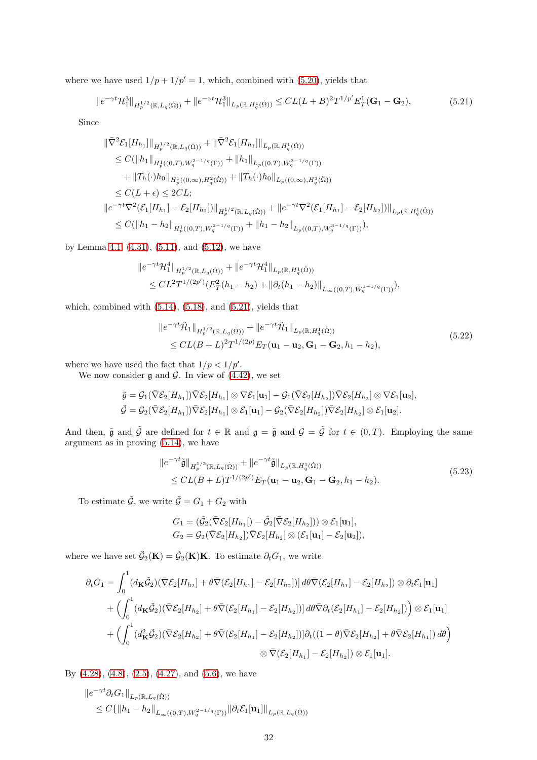where we have used  $1/p + 1/p' = 1$ , which, combined with [\(5.20\)](#page-30-4), yields that

<span id="page-31-0"></span>
$$
||e^{-\gamma t} \mathcal{H}_1^3||_{H_p^{1/2}(\mathbb{R}, L_q(\dot{\Omega}))} + ||e^{-\gamma t} \mathcal{H}_1^3||_{L_p(\mathbb{R}, H_q^1(\dot{\Omega}))} \leq CL(L+B)^2 T^{1/p'} E_T^1(\mathbf{G}_1 - \mathbf{G}_2),
$$
(5.21)

Since

$$
\begin{split}\n\|\nabla^2 \mathcal{E}_1[H_{h_1}]\|_{H^{1/2}_p(\mathbb{R}, L_q(\dot{\Omega}))} + \|\nabla^2 \mathcal{E}_1[H_{h_1}]\|_{L_p(\mathbb{R}, H^1_q(\dot{\Omega}))} \\
&\leq C(\|h_1\|_{H^1_p((0,T), W_q^{2-1/q}(\Gamma))} + \|h_1\|_{L_p((0,T), W_q^{3-1/q}(\Gamma))} \\
&\quad + \|T_h(\cdot)h_0\|_{H^1_p((0,\infty), H^2_q(\dot{\Omega}))} + \|T_h(\cdot)h_0\|_{L_p((0,\infty), H^3_q(\ddot{\Omega}))} \\
&\leq C(L + \epsilon) \leq 2CL; \\
\|e^{-\gamma t}\nabla^2 (\mathcal{E}_1[H_{h_1}] - \mathcal{E}_2[H_{h_2}])\|_{H^{1/2}_p(\mathbb{R}, L_q(\dot{\Omega}))} + \|e^{-\gamma t}\nabla^2 (\mathcal{E}_1[H_{h_1}] - \mathcal{E}_2[H_{h_2}])\|_{L_p(\mathbb{R}, H^1_q(\dot{\Omega}))} \\
&\leq C(\|h_1 - h_2\|_{H^1_p((0,T), W_q^{2-1/q}(\Gamma))} + \|h_1 - h_2\|_{L_p((0,T), W_q^{3-1/q}(\Gamma))}),\n\end{split}
$$

by Lemma [4.1,](#page-21-0) [\(4.31\)](#page-22-0), [\(5.11\)](#page-29-1), and [\(5.12\)](#page-29-2), we have

$$
||e^{-\gamma t} \mathcal{H}_1^4||_{H_p^{1/2}(\mathbb{R}, L_q(\dot{\Omega}))} + ||e^{-\gamma t} \mathcal{H}_1^4||_{L_p(\mathbb{R}, H_q^1(\dot{\Omega}))}
$$
  
\n
$$
\leq CL^2 T^{1/(2p')} (E_T^2(h_1 - h_2) + ||\partial_t(h_1 - h_2)||_{L_\infty((0,T), W_q^{1-1/q}(\Gamma))}),
$$

which, combined with [\(5.14\)](#page-29-3), [\(5.18\)](#page-30-3), and [\(5.21\)](#page-31-0), yields that

<span id="page-31-1"></span>
$$
\|e^{-\gamma t}\tilde{\mathcal{H}}_1\|_{H^{1/2}_p(\mathbb{R},L_q(\dot{\Omega}))} + \|e^{-\gamma t}\tilde{\mathcal{H}}_1\|_{L_p(\mathbb{R},H^1_q(\dot{\Omega}))}
$$
  
\n
$$
\leq CL(B+L)^2T^{1/(2p)}E_T(\mathbf{u}_1-\mathbf{u}_2,\mathbf{G}_1-\mathbf{G}_2,h_1-h_2),
$$
\n(5.22)

where we have used the fact that  $1/p < 1/p'$ .

We now consider  $\mathfrak g$  and  $\mathcal G$ . In view of [\(4.42\)](#page-23-6), we set

$$
\tilde{g} = \mathcal{G}_1(\bar{\nabla}\mathcal{E}_2[H_{h_1}])\bar{\nabla}\mathcal{E}_2[H_{h_1}] \otimes \nabla \mathcal{E}_1[\mathbf{u}_1] - \mathcal{G}_1(\bar{\nabla}\mathcal{E}_2[H_{h_2}])\bar{\nabla}\mathcal{E}_2[H_{h_2}] \otimes \nabla \mathcal{E}_1[\mathbf{u}_2],
$$
  

$$
\tilde{\mathcal{G}} = \mathcal{G}_2(\bar{\nabla}\mathcal{E}_2[H_{h_1}])\bar{\nabla}\mathcal{E}_2[H_{h_1}] \otimes \mathcal{E}_1[\mathbf{u}_1] - \mathcal{G}_2(\bar{\nabla}\mathcal{E}_2[H_{h_2}])\bar{\nabla}\mathcal{E}_2[H_{h_2}] \otimes \mathcal{E}_1[\mathbf{u}_2].
$$

And then,  $\tilde{\mathfrak{g}}$  and  $\tilde{\mathcal{G}}$  are defined for  $t \in \mathbb{R}$  and  $\mathfrak{g} = \tilde{\mathfrak{g}}$  and  $\mathcal{G} = \tilde{\mathcal{G}}$  for  $t \in (0, T)$ . Employing the same argument as in proving [\(5.14\)](#page-29-3), we have

<span id="page-31-2"></span>
$$
\|e^{-\gamma t}\tilde{\mathfrak{g}}\|_{H^{1/2}_p(\mathbb{R}, L_q(\dot{\Omega}))} + \|e^{-\gamma t}\tilde{\mathfrak{g}}\|_{L_p(\mathbb{R}, H^1_q(\dot{\Omega}))}
$$
  
\$\leq CL(B+L)T^{1/(2p')}E\_T(\mathbf{u}\_1-\mathbf{u}\_2, \mathbf{G}\_1-\mathbf{G}\_2, h\_1-h\_2).\$ (5.23)

To estimate  $\tilde{\mathcal{G}}$ , we write  $\tilde{\mathcal{G}} = G_1 + G_2$  with

$$
G_1 = (\tilde{G}_2(\bar{\nabla} \mathcal{E}_2[H_{h_1}]) - \tilde{G}_2[\bar{\nabla} \mathcal{E}_2[H_{h_2}])) \otimes \mathcal{E}_1[\mathbf{u}_1],
$$
  
\n
$$
G_2 = \mathcal{G}_2(\bar{\nabla} \mathcal{E}_2[H_{h_2}]) \bar{\nabla} \mathcal{E}_2[H_{h_2}] \otimes (\mathcal{E}_1[\mathbf{u}_1] - \mathcal{E}_2[\mathbf{u}_2]),
$$

where we have set  $\tilde{\mathcal{G}}_2(\mathbf{K}) = \tilde{\mathcal{G}}_2(\mathbf{K})\mathbf{K}$ . To estimate  $\partial_t G_1$ , we write

$$
\partial_t G_1 = \int_0^1 (d_{\mathbf{K}} \tilde{\mathcal{G}}_2)(\bar{\nabla} \mathcal{E}_2[H_{h_2}] + \theta \bar{\nabla} (\mathcal{E}_2[H_{h_1}] - \mathcal{E}_2[H_{h_2}]) d\theta \bar{\nabla} (\mathcal{E}_2[H_{h_1}] - \mathcal{E}_2[H_{h_2}]) \otimes \partial_t \mathcal{E}_1[\mathbf{u}_1]
$$
  
+ 
$$
\left( \int_0^1 (d_{\mathbf{K}} \tilde{\mathcal{G}}_2)(\bar{\nabla} \mathcal{E}_2[H_{h_2}] + \theta \bar{\nabla} (\mathcal{E}_2[H_{h_1}] - \mathcal{E}_2[H_{h_2}]) d\theta \bar{\nabla} \partial_t (\mathcal{E}_2[H_{h_1}] - \mathcal{E}_2[H_{h_2}]) \right) \otimes \mathcal{E}_1[\mathbf{u}_1]
$$
  
+ 
$$
\left( \int_0^1 (d_{\mathbf{K}}^2 \tilde{\mathcal{G}}_2)(\bar{\nabla} \mathcal{E}_2[H_{h_2}] + \theta \bar{\nabla} (\mathcal{E}_2[H_{h_1}] - \mathcal{E}_2[H_{h_2}])] \partial_t ((1 - \theta) \bar{\nabla} \mathcal{E}_2[H_{h_2}] + \theta \bar{\nabla} \mathcal{E}_2[H_{h_1}]) d\theta \right)
$$
  

$$
\otimes \bar{\nabla} (\mathcal{E}_2[H_{h_1}] - \mathcal{E}_2[H_{h_2}]) \otimes \mathcal{E}_1[\mathbf{u}_1].
$$

By  $(4.28)$ ,  $(4.8)$ ,  $(2.5)$ ,  $(4.27)$ , and  $(5.6)$ , we have

$$
||e^{-\gamma t} \partial_t G_1||_{L_p(\mathbb{R}, L_q(\dot{\Omega}))}
$$
  
\$\leq C{\|h\_1 - h\_2\|\_{L\_\infty((0,T), W\_q^{2-1/q}(\Gamma))} \|\partial\_t \mathcal{E}\_1[\mathbf{u}\_1]\|\_{L\_p(\mathbb{R}, L\_q(\dot{\Omega}))}\$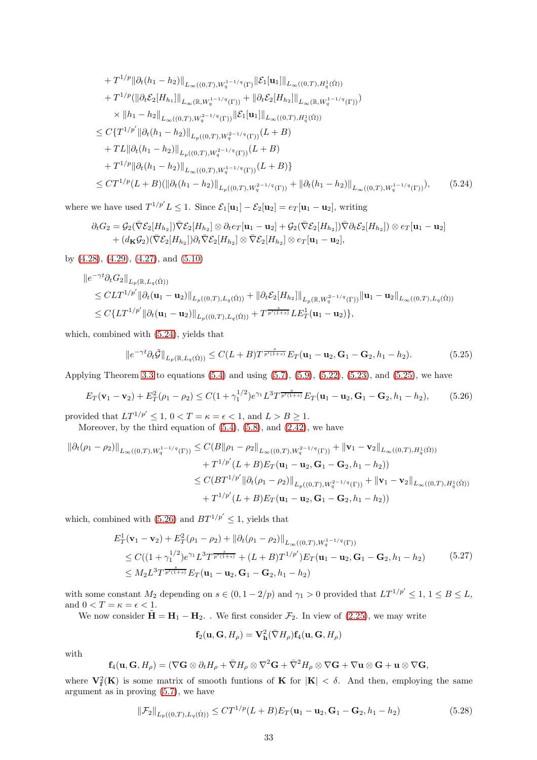+
$$
T^{1/p} \|\partial_t (h_1 - h_2)\|_{L_{\infty}((0,T),W_q^{1-1/q}(\Gamma)} \|\mathcal{E}_1[\mathbf{u}_1]\|_{L_{\infty}((0,T),H_q^1(\Omega))}
$$
  
+
$$
T^{1/p} (\|\partial_t \mathcal{E}_2[H_{h_1}]\|_{L_{\infty}(\mathbb{R},W_q^{1-1/q}(\Gamma))} + \|\partial_t \mathcal{E}_2[H_{h_2}]\|_{L_{\infty}(\mathbb{R},W_q^{1-1/q}(\Gamma))})
$$
  

$$
\times \|h_1 - h_2\|_{L_{\infty}((0,T),W_q^{2-1/q}(\Gamma))} \|\mathcal{E}_1[\mathbf{u}_1]\|_{L_{\infty}((0,T),H_q^1(\Omega))}
$$
  

$$
\leq C\{T^{1/p'} \|\partial_t (h_1 - h_2)\|_{L_p((0,T),W_q^{2-1/q}(\Gamma))} (L + B)
$$
  
+
$$
TL \|\partial_t (h_1 - h_2)\|_{L_{\infty}((0,T),W_q^{2-1/q}(\Gamma))} (L + B)
$$
  
+
$$
T^{1/p} \|\partial_t (h_1 - h_2)\|_{L_{\infty}((0,T),W_q^{1-1/q}(\Gamma))} (L + B)
$$
  

$$
\leq CT^{1/p} (L + B) (\|\partial_t (h_1 - h_2)\|_{L_p((0,T),W_q^{2-1/q}(\Gamma))} + \|\partial_t (h_1 - h_2)\|_{L_{\infty}((0,T),W_q^{1-1/q}(\Gamma))}), \qquad (5.24)
$$

where we have used  $T^{1/p'} L \leq 1$ . Since  $\mathcal{E}_1[\mathbf{u}_1] - \mathcal{E}_2[\mathbf{u}_2] = e_T[\mathbf{u}_1 - \mathbf{u}_2]$ , writing

<span id="page-32-0"></span>
$$
\partial_t G_2 = \mathcal{G}_2(\nabla \mathcal{E}_2[H_{h_2}]) \nabla \mathcal{E}_2[H_{h_2}] \otimes \partial_t e_T[\mathbf{u}_1 - \mathbf{u}_2] + \mathcal{G}_2(\nabla \mathcal{E}_2[H_{h_2}]) \nabla \partial_t \mathcal{E}_2[H_{h_2}] \otimes e_T[\mathbf{u}_1 - \mathbf{u}_2] + (d_{\mathbf{K}}\mathcal{G}_2)(\nabla \mathcal{E}_2[H_{h_2}]) \partial_t \nabla \mathcal{E}_2[H_{h_2}] \otimes \nabla \mathcal{E}_2[H_{h_2}] \otimes e_T[\mathbf{u}_1 - \mathbf{u}_2],
$$

by [\(4.28\)](#page-21-1), [\(4.29\)](#page-21-3), [\(4.27\)](#page-20-1), and [\(5.10\)](#page-28-0)

$$
\|e^{-\gamma t}\partial_t G_2\|_{L_p(\mathbb{R}, L_q(\dot{\Omega}))}
$$
  
\n
$$
\leq CLT^{1/p'}\|\partial_t (\mathbf{u}_1 - \mathbf{u}_2)\|_{L_p((0,T), L_q(\dot{\Omega}))} + \|\partial_t \mathcal{E}_2[H_{h_2}]\|_{L_p(\mathbb{R}, W_q^{2-1/q}(\Gamma))} \|\mathbf{u}_1 - \mathbf{u}_2\|_{L_\infty((0,T), L_q(\dot{\Omega}))}
$$
  
\n
$$
\leq C\{LT^{1/p'}\|\partial_t (\mathbf{u}_1 - \mathbf{u}_2)\|_{L_p((0,T), L_q(\dot{\Omega}))} + T^{\frac{s}{p'(1+s)}}LE_T^1(\mathbf{u}_1 - \mathbf{u}_2)\},
$$

which, combined with [\(5.24\)](#page-32-0), yields that

<span id="page-32-1"></span>
$$
\|e^{-\gamma t}\partial_t \tilde{\mathcal{G}}\|_{L_p(\mathbb{R}, L_q(\dot{\Omega}))} \le C(L+B)T^{\frac{s}{p'(1+s)}}E_T(\mathbf{u}_1-\mathbf{u}_2, \mathbf{G}_1-\mathbf{G}_2, h_1-h_2). \tag{5.25}
$$

Applying Theorem [3.3](#page-15-2) to equations  $(5.4)$  and using  $(5.7)$ ,  $(5.9)$ ,  $(5.22)$ ,  $(5.23)$ , and  $(5.25)$ , we have

<span id="page-32-2"></span>
$$
E_T(\mathbf{v}_1 - \mathbf{v}_2) + E_T^2(\rho_1 - \rho_2) \le C(1 + \gamma_1^{1/2})e^{\gamma_1}L^3T^{\frac{s}{p'(1+s)}}E_T(\mathbf{u}_1 - \mathbf{u}_2, \mathbf{G}_1 - \mathbf{G}_2, h_1 - h_2),\tag{5.26}
$$

provided that  $LT^{1/p'} \leq 1, 0 < T = \kappa = \epsilon < 1$ , and  $L > B \geq 1$ . Moreover, by the third equation of  $(5.4)$ ,  $(5.8)$ , and  $(2.42)$ , we have

$$
\begin{aligned} \left\| \partial_t (\rho_1 - \rho_2) \right\|_{L_\infty((0,T),W_q^{1-1/q}(\Gamma))} &\leq C (B \|\rho_1 - \rho_2\|_{L_\infty((0,T),W_q^{2-1/q}(\Gamma))} + \left\| \mathbf{v}_1 - \mathbf{v}_2 \right\|_{L_\infty((0,T),H_q^1(\Omega))} \\ &+ T^{1/p'}(L+B) E_T (\mathbf{u}_1 - \mathbf{u}_2, \mathbf{G}_1 - \mathbf{G}_2, h_1 - h_2)) \\ &\leq C (B T^{1/p'} \|\partial_t (\rho_1 - \rho_2)\|_{L_p((0,T),W_q^{2-1/q}(\Gamma))} + \|\mathbf{v}_1 - \mathbf{v}_2\|_{L_\infty((0,T),H_q^1(\Omega))} \\ &+ T^{1/p'}(L+B) E_T (\mathbf{u}_1 - \mathbf{u}_2, \mathbf{G}_1 - \mathbf{G}_2, h_1 - h_2)) \end{aligned}
$$

which, combined with [\(5.26\)](#page-32-2) and  $BT^{1/p'} \leq 1$ , yields that

<span id="page-32-4"></span>
$$
E_T^1(\mathbf{v}_1 - \mathbf{v}_2) + E_T^2(\rho_1 - \rho_2) + ||\partial_t(\rho_1 - \rho_2)||_{L_\infty((0,T),W_q^{1-1/q}(\Gamma))}
$$
  
\n
$$
\leq C((1 + \gamma_1^{1/2})e^{\gamma_1}L^3T^{\frac{s}{p'(1+s)}} + (L + B)T^{1/p'})E_T(\mathbf{u}_1 - \mathbf{u}_2, \mathbf{G}_1 - \mathbf{G}_2, h_1 - h_2)
$$
(5.27)  
\n
$$
\leq M_2L^3T^{\frac{s}{p'(1+s)}}E_T(\mathbf{u}_1 - \mathbf{u}_2, \mathbf{G}_1 - \mathbf{G}_2, h_1 - h_2)
$$

with some constant  $M_2$  depending on  $s \in (0, 1 - 2/p)$  and  $\gamma_1 > 0$  provided that  $LT^{1/p'} \leq 1, 1 \leq B \leq L$ , and  $0 < T = \kappa = \epsilon < 1$ .

We now consider  $\tilde{\mathbf{H}} = \mathbf{H}_1 - \mathbf{H}_2$ . We first consider  $\mathcal{F}_2$ . In view of [\(2.25\)](#page-6-5), we may write

$$
\mathbf{f}_2(\mathbf{u},\mathbf{G},H_\rho)=\mathbf{V_h^2}(\bar{\nabla}H_\rho)\mathbf{f}_4(\mathbf{u},\mathbf{G},H_\rho)
$$

with

$$
\mathbf{f}_4(\mathbf{u},\mathbf{G},H_\rho)=(\nabla\mathbf{G}\otimes\partial_t H_\rho+\bar{\nabla}H_\rho\otimes\nabla^2\mathbf{G}+\bar{\nabla}^2H_\rho\otimes\nabla\mathbf{G}+\nabla\mathbf{u}\otimes\mathbf{G}+\mathbf{u}\otimes\nabla\mathbf{G},
$$

where  $V_f^2(K)$  is some matrix of smooth funtions of K for  $|K| < \delta$ . And then, employing the same argument as in proving [\(5.7\)](#page-27-3), we have

<span id="page-32-3"></span>
$$
\|\mathcal{F}_2\|_{L_p((0,T),L_q(\dot{\Omega}))} \le CT^{1/p}(L+B)E_T(\mathbf{u}_1 - \mathbf{u}_2, \mathbf{G}_1 - \mathbf{G}_2, h_1 - h_2)
$$
(5.28)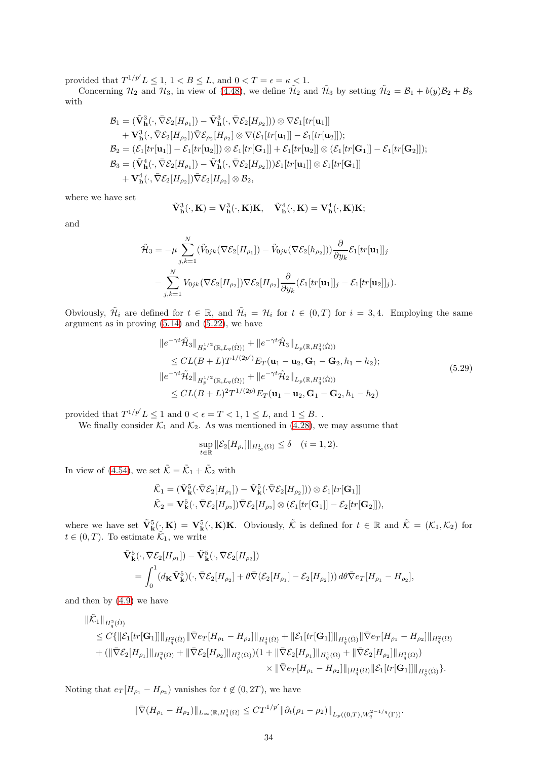provided that  $T^{1/p'} L \leq 1, 1 < B \leq L$ , and  $0 < T = \epsilon = \kappa < 1$ .

Concerning  $\mathcal{H}_2$  and  $\mathcal{H}_3$ , in view of [\(4.48\)](#page-24-3), we define  $\tilde{\mathcal{H}}_2$  and  $\tilde{\mathcal{H}}_3$  by setting  $\tilde{\mathcal{H}}_2 = \mathcal{B}_1 + b(y)\mathcal{B}_2 + \mathcal{B}_3$ with

$$
\mathcal{B}_1 = (\tilde{\mathbf{V}}^3_{\mathbf{h}}(\cdot, \bar{\nabla} \mathcal{E}_2[H_{\rho_1}]) - \tilde{\mathbf{V}}^3_{\mathbf{h}}(\cdot, \bar{\nabla} \mathcal{E}_2[H_{\rho_2}])) \otimes \nabla \mathcal{E}_1[tr[\mathbf{u}_1]] + \mathbf{V}^3_{\mathbf{h}}(\cdot, \bar{\nabla} \mathcal{E}_2[H_{\rho_2}]) \bar{\nabla} \mathcal{E}_{\rho_2}[H_{\rho_2}] \otimes \nabla (\mathcal{E}_1[tr[\mathbf{u}_1]] - \mathcal{E}_1[tr[\mathbf{u}_2]]); \n\mathcal{B}_2 = (\mathcal{E}_1[tr[\mathbf{u}_1]] - \mathcal{E}_1[tr[\mathbf{u}_2]]) \otimes \mathcal{E}_1[tr[\mathbf{G}_1]] + \mathcal{E}_1[tr[\mathbf{u}_2]] \otimes (\mathcal{E}_1[tr[\mathbf{G}_1]] - \mathcal{E}_1[tr[\mathbf{G}_2]]); \n\mathcal{B}_3 = (\tilde{\mathbf{V}}^4_{\mathbf{h}}(\cdot, \bar{\nabla} \mathcal{E}_2[H_{\rho_1}]) - \tilde{\mathbf{V}}^4_{\mathbf{h}}(\cdot, \bar{\nabla} \mathcal{E}_2[H_{\rho_2}])) \mathcal{E}_1[tr[\mathbf{u}_1]] \otimes \mathcal{E}_1[tr[\mathbf{G}_1]] + \mathbf{V}^4_{\mathbf{h}}(\cdot, \bar{\nabla} \mathcal{E}_2[H_{\rho_2}]) \bar{\nabla} \mathcal{E}_2[H_{\rho_2}] \otimes \mathcal{B}_2,
$$

where we have set

$$
\tilde{\mathbf{V}}^3_{\mathbf{h}}(\cdot,\mathbf{K})=\mathbf{V}^3_{\mathbf{h}}(\cdot,\mathbf{K})\mathbf{K},\quad \tilde{\mathbf{V}}^4_{\mathbf{h}}(\cdot,\mathbf{K})=\mathbf{V}^4_{\mathbf{h}}(\cdot,\mathbf{K})\mathbf{K};
$$

and

$$
\tilde{\mathcal{H}}_3 = -\mu \sum_{j,k=1}^N (\tilde{V}_{0jk}(\nabla \mathcal{E}_2[H_{\rho_1}]) - \tilde{V}_{0jk}(\nabla \mathcal{E}_2[h_{\rho_2}])) \frac{\partial}{\partial y_k} \mathcal{E}_1[tr[\mathbf{u}_1]]_j \n- \sum_{j,k=1}^N V_{0jk}(\nabla \mathcal{E}_2[H_{\rho_2}]) \nabla \mathcal{E}_2[H_{\rho_2}] \frac{\partial}{\partial y_k} (\mathcal{E}_1[tr[\mathbf{u}_1]]_j - \mathcal{E}_1[tr[\mathbf{u}_2]]_j).
$$

Obviously,  $\tilde{\mathcal{H}}_i$  are defined for  $t \in \mathbb{R}$ , and  $\tilde{\mathcal{H}}_i = \mathcal{H}_i$  for  $t \in (0,T)$  for  $i = 3,4$ . Employing the same argument as in proving [\(5.14\)](#page-29-3) and [\(5.22\)](#page-31-1), we have

<span id="page-33-0"></span>
$$
\|e^{-\gamma t}\tilde{\mathcal{H}}_{3}\|_{H_{p}^{1/2}(\mathbb{R},L_{q}(\dot{\Omega}))} + \|e^{-\gamma t}\tilde{\mathcal{H}}_{3}\|_{L_{p}(\mathbb{R},H_{q}^{1}(\dot{\Omega}))}
$$
\n
$$
\leq CL(B+L)T^{1/(2p')}E_{T}(\mathbf{u}_{1}-\mathbf{u}_{2},\mathbf{G}_{1}-\mathbf{G}_{2},h_{1}-h_{2});
$$
\n
$$
\|e^{-\gamma t}\tilde{\mathcal{H}}_{2}\|_{H_{p}^{1/2}(\mathbb{R},L_{q}(\dot{\Omega}))} + \|e^{-\gamma t}\tilde{\mathcal{H}}_{2}\|_{L_{p}(\mathbb{R},H_{q}^{1}(\dot{\Omega}))}
$$
\n
$$
\leq CL(B+L)^{2}T^{1/(2p)}E_{T}(\mathbf{u}_{1}-\mathbf{u}_{2},\mathbf{G}_{1}-\mathbf{G}_{2},h_{1}-h_{2})
$$
\n(5.29)

provided that  $T^{1/p'} L \leq 1$  and  $0 < \epsilon = T < 1, 1 \leq L$ , and  $1 \leq B$ .

We finally consider  $\mathcal{K}_1$  and  $\mathcal{K}_2$ . As was mentioned in [\(4.28\)](#page-21-1), we may assume that

$$
\sup_{t\in\mathbb{R}}\|\mathcal{E}_2[H_{\rho_i}]\|_{H^1_\infty(\Omega)}\leq \delta\quad(i=1,2).
$$

In view of [\(4.54\)](#page-25-7), we set  $\tilde{\mathcal{K}} = \tilde{\mathcal{K}}_1 + \tilde{\mathcal{K}}_2$  with

$$
\tilde{\mathcal{K}}_1 = (\tilde{\mathbf{V}}^5_{\mathbf{k}}(\cdot \bar{\nabla} \mathcal{E}_2[H_{\rho_1}]) - \tilde{\mathbf{V}}^5_{\mathbf{k}}(\cdot \bar{\nabla} \mathcal{E}_2[H_{\rho_2}])) \otimes \mathcal{E}_1[tr[\mathbf{G}_1]] \n\tilde{\mathcal{K}}_2 = \mathbf{V}^5_{\mathbf{k}}(\cdot, \bar{\nabla} \mathcal{E}_2[H_{\rho_2}]) \bar{\nabla} \mathcal{E}_2[H_{\rho_2}] \otimes (\mathcal{E}_1[tr[\mathbf{G}_1]] - \mathcal{E}_2[tr[\mathbf{G}_2]]),
$$

where we have set  $\tilde{\mathbf{V}}_{\mathbf{k}}^{5}(\cdot,\mathbf{K})=\mathbf{V}_{\mathbf{k}}^{5}(\cdot,\mathbf{K})\mathbf{K}$ . Obviously,  $\tilde{\mathcal{K}}$  is defined for  $t \in \mathbb{R}$  and  $\tilde{\mathcal{K}}=(\mathcal{K}_{1},\mathcal{K}_{2})$  for  $t \in (0, T)$ . To estimate  $\tilde{\mathcal{K}}_1$ , we write

$$
\tilde{\mathbf{V}}_{\mathbf{k}}^{5}(\cdot,\bar{\nabla}\mathcal{E}_{2}[H_{\rho_{1}}])-\tilde{\mathbf{V}}_{\mathbf{k}}^{5}(\cdot,\bar{\nabla}\mathcal{E}_{2}[H_{\rho_{2}}])
$$
\n
$$
=\int_{0}^{1}(d_{\mathbf{K}}\tilde{\mathbf{V}}_{\mathbf{k}}^{5})(\cdot,\bar{\nabla}\mathcal{E}_{2}[H_{\rho_{2}}]+\theta\bar{\nabla}(\mathcal{E}_{2}[H_{\rho_{1}}]-\mathcal{E}_{2}[H_{\rho_{2}}]))\,d\theta\bar{\nabla}e_{T}[H_{\rho_{1}}-H_{\rho_{2}}],
$$

and then by [\(4.9\)](#page-17-4) we have

$$
\label{eq:21} \begin{split} \|\tilde{\mathcal{K}}_1\|_{H^2_q(\dot{\Omega})} \\ &\leq C\{\|\mathcal{E}_1[tr[\mathbf{G}_1]]\|_{H^2_q(\dot{\Omega})}\|\bar{\nabla} e_T[H_{\rho_1} - H_{\rho_2}]\|_{H^1_q(\dot{\Omega})} + \|\mathcal{E}_1[tr[\mathbf{G}_1]]\|_{H^1_q(\dot{\Omega})}\|\bar{\nabla} e_T[H_{\rho_1} - H_{\rho_2}]\|_{H^2_q(\Omega)} \\ &+ (\|\bar{\nabla} \mathcal{E}_2[H_{\rho_1}]\|_{H^2_q(\Omega)} + \|\bar{\nabla} \mathcal{E}_2[H_{\rho_2}]\|_{H^2_q(\Omega)}) (1 + \|\bar{\nabla} \mathcal{E}_2[H_{\rho_1}]\|_{H^1_q(\Omega)} + \|\bar{\nabla} \mathcal{E}_2[H_{\rho_2}]\|_{H^1_q(\Omega)}) \\ &\qquad \qquad \times \|\bar{\nabla} e_T[H_{\rho_1} - H_{\rho_2}]\|_{H^1_q(\Omega)}\|\mathcal{E}_1[tr[\mathbf{G}_1]]\|_{H^1_q(\dot{\Omega})}\}. \end{split}
$$

Noting that  $e_T[H_{\rho_1} - H_{\rho_2})$  vanishes for  $t \notin (0, 2T)$ , we have

$$
\|\bar{\nabla} (H_{\rho_1} - H_{\rho_2})\|_{L_\infty(\mathbb{R}, H^1_q(\Omega)} \leq C T^{1/p'} \|\partial_t (\rho_1 - \rho_2)\|_{L_p((0,T), W_q^{2-1/q}(\Gamma))}.
$$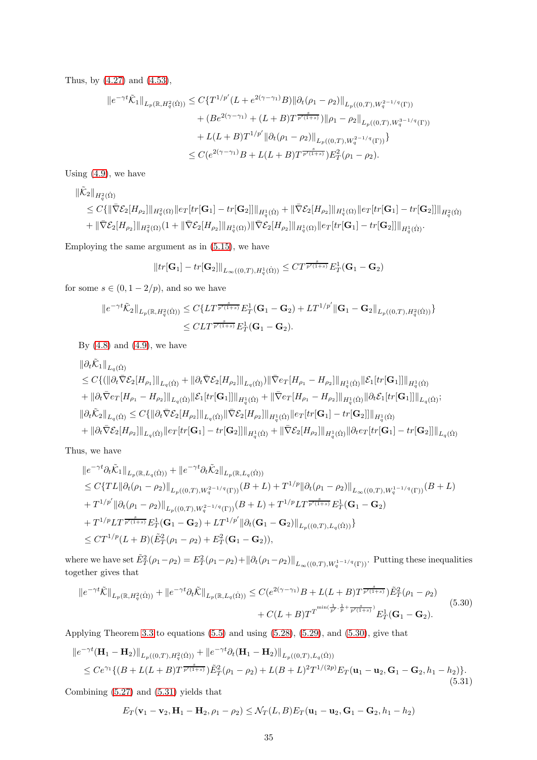Thus, by [\(4.27\)](#page-20-1) and [\(4.53\)](#page-25-1),

$$
||e^{-\gamma t}\tilde{\mathcal{K}}_1||_{L_p(\mathbb{R}, H_q^2(\dot{\Omega}))} \leq C\{T^{1/p'}(L+e^{2(\gamma-\gamma_1)}B)||\partial_t(\rho_1-\rho_2)||_{L_p((0,T),W_q^{2-1/q}(\Gamma))}
$$
  
+  $(Be^{2(\gamma-\gamma_1)} + (L+B)T^{\frac{s}{p'(1+s)}})||\rho_1-\rho_2||_{L_p((0,T),W_q^{3-1/q}(\Gamma))}$   
+  $L(L+B)T^{1/p'}||\partial_t(\rho_1-\rho_2)||_{L_p((0,T),W_q^{2-1/q}(\Gamma))}\}$   
 $\leq C(e^{2(\gamma-\gamma_1)}B + L(L+B)T^{\frac{s}{p'(1+s)}})E_T^2(\rho_1-\rho_2).$ 

Using  $(4.9)$ , we have

$$
\begin{split} \|\tilde{\mathcal{K}}_2\|_{H_q^2(\dot{\Omega})} \\ &\leq C\{\|\bar{\nabla}\mathcal{E}_2[H_{\rho_2}]\|_{H_q^2(\Omega)}\|e_T[tr[\mathbf{G}_1]-tr[\mathbf{G}_2]]\|_{H_q^1(\dot{\Omega})}+\|\bar{\nabla}\mathcal{E}_2[H_{\rho_2}]\|_{H_q^1(\Omega)}\|e_T[tr[\mathbf{G}_1]-tr[\mathbf{G}_2]]\|_{H_q^2(\dot{\Omega})} \\ &+ \|\bar{\nabla}\mathcal{E}_2[H_{\rho_2}]\|_{H_q^2(\Omega)}(1+\|\bar{\nabla}\mathcal{E}_2[H_{\rho_2}]\|_{H_q^1(\Omega)})\|\bar{\nabla}\mathcal{E}_2[H_{\rho_2}]\|_{H_q^1(\Omega)}\|e_T[tr[\mathbf{G}_1]-tr[\mathbf{G}_2]]\|_{H_q^1(\dot{\Omega})}. \end{split}
$$

Employing the same argument as in [\(5.15\)](#page-30-5), we have

$$
||tr[\mathbf{G}_1] - tr[\mathbf{G}_2]||_{L_{\infty}((0,T),H_q^1(\dot{\Omega}))} \leq CT^{\frac{s}{p'(1+s)}} E_T^1(\mathbf{G}_1 - \mathbf{G}_2)
$$

for some  $s \in (0, 1 - 2/p)$ , and so we have

$$
||e^{-\gamma t}\tilde{\mathcal{K}}_2||_{L_p(\mathbb{R}, H_q^2(\dot{\Omega}))} \leq C\{LT^{\frac{s}{p'(1+s)}}E_T^1(\mathbf{G}_1 - \mathbf{G}_2) + LT^{1/p'}\|\mathbf{G}_1 - \mathbf{G}_2\|_{L_p((0,T), H_q^2(\dot{\Omega}))}\}
$$
  

$$
\leq CLT^{\frac{s}{p'(1+s)}}E_T^1(\mathbf{G}_1 - \mathbf{G}_2).
$$

By  $(4.8)$  and  $(4.9)$ , we have

$$
\label{eq:22} \begin{split} &\|\partial_t \tilde{\mathcal{K}}_1\|_{L_q(\dot{\Omega})} \\ &\leq C \{ \big( \|\partial_t \bar{\nabla} \mathcal{E}_2[H_{\rho_1}]\|_{L_q(\dot{\Omega})} + \|\partial_t \bar{\nabla} \mathcal{E}_2[H_{\rho_2}]\|_{L_q(\dot{\Omega})} \big)\|\bar{\nabla} e_T[H_{\rho_1} - H_{\rho_2}]\|_{H^1_q(\dot{\Omega})}\|\mathcal{E}_1[tr[\mathbf{G}_1]]\|_{H^1_q(\dot{\Omega})} \\ &+ \|\partial_t \bar{\nabla} e_T[H_{\rho_1} - H_{\rho_2}]\|_{L_q(\dot{\Omega})}\|\mathcal{E}_1[tr[\mathbf{G}_1]]\|_{H^1_q(\dot{\Omega})} + \|\bar{\nabla} e_T[H_{\rho_1} - H_{\rho_2}]\|_{H^1_q(\dot{\Omega})}\|\partial_t \mathcal{E}_1[tr[\mathbf{G}_1]]\|_{L_q(\dot{\Omega})};\\ &\|\partial_t \tilde{\mathcal{K}}_2\|_{L_q(\dot{\Omega})} \leq C \{ \|\partial_t \bar{\nabla} \mathcal{E}_2[H_{\rho_2}]\|_{L_q(\dot{\Omega})}\|\bar{\nabla} \mathcal{E}_2[H_{\rho_2}]\|_{H^1_q(\dot{\Omega})}\|e_T[tr[\mathbf{G}_1] - tr[\mathbf{G}_2]]\|_{H^1_q(\dot{\Omega})}\\ &+ \|\partial_t \bar{\nabla} \mathcal{E}_2[H_{\rho_2}]\|_{L_q(\dot{\Omega})}\|e_T[tr[\mathbf{G}_1] - tr[\mathbf{G}_2]]\|_{H^1_q(\dot{\Omega})} + \|\bar{\nabla} \mathcal{E}_2[H_{\rho_2}]\|_{H^1_q(\dot{\Omega})}\|\partial_t e_T[tr[\mathbf{G}_1] - tr[\mathbf{G}_2]]\|_{L_q(\dot{\Omega})} \end{split}
$$

Thus, we have

$$
\|e^{-\gamma t}\partial_t \tilde{K}_1\|_{L_p(\mathbb{R},L_q(\dot{\Omega}))} + \|e^{-\gamma t}\partial_t \tilde{K}_2\|_{L_p(\mathbb{R},L_q(\dot{\Omega}))}
$$
  
\n
$$
\leq C\{TL\|\partial_t(\rho_1 - \rho_2)\|_{L_p((0,T),W_q^{2-1/q}(\Gamma))}(B+L) + T^{1/p}\|\partial_t(\rho_1 - \rho_2)\|_{L_\infty((0,T),W_q^{1-1/q}(\Gamma))}(B+L)
$$
  
\n
$$
+ T^{1/p'}\|\partial_t(\rho_1 - \rho_2)\|_{L_p((0,T),W_q^{2-1/q}(\Gamma))}(B+L) + T^{1/p}LT^{\frac{s}{p'(1+s)}}E_T^1(\mathbf{G}_1 - \mathbf{G}_2)
$$
  
\n
$$
+ T^{1/p}LT^{\frac{s}{p'(1+s)}}E_T^1(\mathbf{G}_1 - \mathbf{G}_2) + LT^{1/p'}\|\partial_t(\mathbf{G}_1 - \mathbf{G}_2)\|_{L_p((0,T),L_q(\dot{\Omega}))}\}
$$
  
\n
$$
\leq CT^{1/p}(L+B)(\tilde{E}_T^2(\rho_1 - \rho_2) + E_T^2(\mathbf{G}_1 - \mathbf{G}_2)),
$$

where we have set  $\tilde{E}_T^2(\rho_1-\rho_2) = E_T^2(\rho_1-\rho_2) + ||\partial_t(\rho_1-\rho_2)||_{L_\infty((0,T),W_q^{1-1/q}(\Gamma))}$ . Putting these inequalities together gives that

<span id="page-34-0"></span>
$$
||e^{-\gamma t}\tilde{\mathcal{K}}||_{L_p(\mathbb{R}, H_q^2(\dot{\Omega}))} + ||e^{-\gamma t}\partial_t \tilde{\mathcal{K}}||_{L_p(\mathbb{R}, L_q(\dot{\Omega}))} \leq C(e^{2(\gamma - \gamma_1)}B + L(L+B)T^{\frac{s}{p'(1+s)}})\tilde{E}_T^2(\rho_1 - \rho_2)
$$
  
+  $C(L+B)T^{min(\frac{1}{p'}, \frac{1}{p} + \frac{s}{p'(1+s)})}E_T^1(\mathbf{G}_1 - \mathbf{G}_2).$  (5.30)

Applying Theorem [3.3](#page-15-2) to equations [\(5.5\)](#page-26-1) and using [\(5.28\)](#page-32-3), [\(5.29\)](#page-33-0), and [\(5.30\)](#page-34-0), give that

<span id="page-34-1"></span>
$$
\|e^{-\gamma t}(\mathbf{H}_1 - \mathbf{H}_2)\|_{L_p((0,T),H_q^2(\dot{\Omega}))} + \|e^{-\gamma t}\partial_t(\mathbf{H}_1 - \mathbf{H}_2)\|_{L_p((0,T),L_q(\dot{\Omega}))}
$$
  
\n
$$
\leq Ce^{\gamma_1}\{(B + L(L+B)T^{\frac{s}{p'(1+s)}})\tilde{E}_T^2(\rho_1 - \rho_2) + L(B+L)^2T^{1/(2p)}E_T(\mathbf{u}_1 - \mathbf{u}_2, \mathbf{G}_1 - \mathbf{G}_2, h_1 - h_2)\}.
$$
\n(5.31)

Combining [\(5.27\)](#page-32-4) and [\(5.31\)](#page-34-1) yields that

$$
E_T(\mathbf{v}_1 - \mathbf{v}_2, \mathbf{H}_1 - \mathbf{H}_2, \rho_1 - \rho_2) \leq \mathcal{N}_T(L, B) E_T(\mathbf{u}_1 - \mathbf{u}_2, \mathbf{G}_1 - \mathbf{G}_2, h_1 - h_2)
$$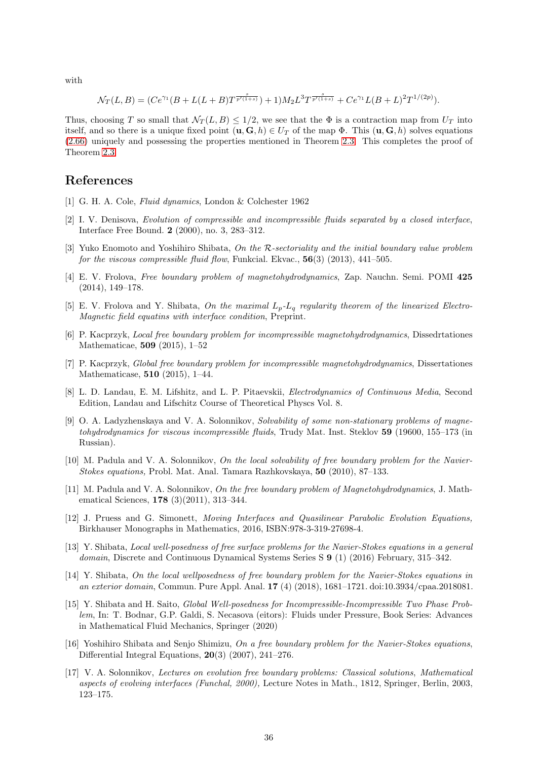with

$$
\mathcal{N}_T(L,B) = (Ce^{\gamma_1}(B+L(L+B)T^{\frac{s}{p'(1+s)}}) + 1)M_2L^3T^{\frac{s}{p'(1+s)}} + Ce^{\gamma_1}L(B+L)^2T^{1/(2p)}).
$$

Thus, choosing T so small that  $\mathcal{N}_T(L, B) \leq 1/2$ , we see that the  $\Phi$  is a contraction map from  $U_T$  into itself, and so there is a unique fixed point  $(\mathbf{u}, \mathbf{G}, h) \in U_T$  of the map  $\Phi$ . This  $(\mathbf{u}, \mathbf{G}, h)$  solves equations [\(2.66\)](#page-13-1) uniquely and possessing the properties mentioned in Theorem [2.3.](#page-13-2) This completes the proof of Theorem [2.3.](#page-13-2)

## <span id="page-35-1"></span>References

- [1] G. H. A. Cole, *Fluid dynamics*, London & Colchester 1962
- [2] I. V. Denisova, *Evolution of compressible and incompressible fluids separated by a closed interface*, Interface Free Bound. 2 (2000), no. 3, 283–312.
- [3] Yuko Enomoto and Yoshihiro Shibata, *On the* R*-sectoriality and the initial boundary value problem for the viscous compressible fluid flow*, Funkcial. Ekvac., 56(3) (2013), 441–505.
- <span id="page-35-5"></span>[4] E. V. Frolova, *Free boundary problem of magnetohydrodynamics*, Zap. Nauchn. Semi. POMI 425 (2014), 149–178.
- <span id="page-35-6"></span><span id="page-35-0"></span>[5] E. V. Frolova and Y. Shibata, *On the maximal* Lp*-*L<sup>q</sup> *regularity theorem of the linearized Electro-Magnetic field equatins with interface condition*, Preprint.
- [6] P. Kacprzyk, *Local free boundary problem for incompressible magnetohydrodynamics*, Dissedrtationes Mathematicae, 509 (2015), 1–52
- <span id="page-35-7"></span>[7] P. Kacprzyk, *Global free boundary problem for incompressible magnetohydrodynamics*, Dissertationes Mathematicase, 510 (2015), 1–44.
- <span id="page-35-2"></span>[8] L. D. Landau, E. M. Lifshitz, and L. P. Pitaevskii, *Electrodynamics of Continuous Media*, Second Edition, Landau and Lifschitz Course of Theoretical Physcs Vol. 8.
- <span id="page-35-3"></span>[9] O. A. Ladyzhenskaya and V. A. Solonnikov, *Solvability of some non-stationary problems of magnetohydrodynamics for viscous incompressible fluids*, Trudy Mat. Inst. Steklov 59 (19600, 155–173 (in Russian).
- [10] M. Padula and V. A. Solonnikov, *On the local solvability of free boundary problem for the Navier-Stokes equations,* Probl. Mat. Anal. Tamara Razhkovskaya, 50 (2010), 87–133.
- <span id="page-35-4"></span>[11] M. Padula and V. A. Solonnikov, *On the free boundary problem of Magnetohydrodynamics*, J. Mathematical Sciences, 178 (3)(2011), 313–344.
- [12] J. Pruess and G. Simonett, *Moving Interfaces and Quasilinear Parabolic Evolution Equations,* Birkhauser Monographs in Mathematics, 2016, ISBN:978-3-319-27698-4.
- [13] Y. Shibata, *Local well-posedness of free surface problems for the Navier-Stokes equations in a general domain*, Discrete and Continuous Dynamical Systems Series S 9 (1) (2016) February, 315–342.
- <span id="page-35-10"></span>[14] Y. Shibata, *On the local wellposedness of free boundary problem for the Navier-Stokes equations in an exterior domain*, Commun. Pure Appl. Anal. 17 (4) (2018), 1681–1721. doi:10.3934/cpaa.2018081.
- <span id="page-35-9"></span>[15] Y. Shibata and H. Saito, *Global Well-posedness for Incompressible-Incompressible Two Phase Problem*, In: T. Bodnar, G.P. Galdi, S. Necasova (eitors): Fluids under Pressure, Book Series: Advances in Mathematical Fluid Mechanics, Springer (2020)
- [16] Yoshihiro Shibata and Senjo Shimizu, *On a free boundary problem for the Navier-Stokes equations*, Differential Integral Equations, 20(3) (2007), 241–276.
- <span id="page-35-8"></span>[17] V. A. Solonnikov, *Lectures on evolution free boundary problems: Classical solutions*, *Mathematical aspects of evolving interfaces (Funchal, 2000),* Lecture Notes in Math., 1812, Springer, Berlin, 2003, 123–175.